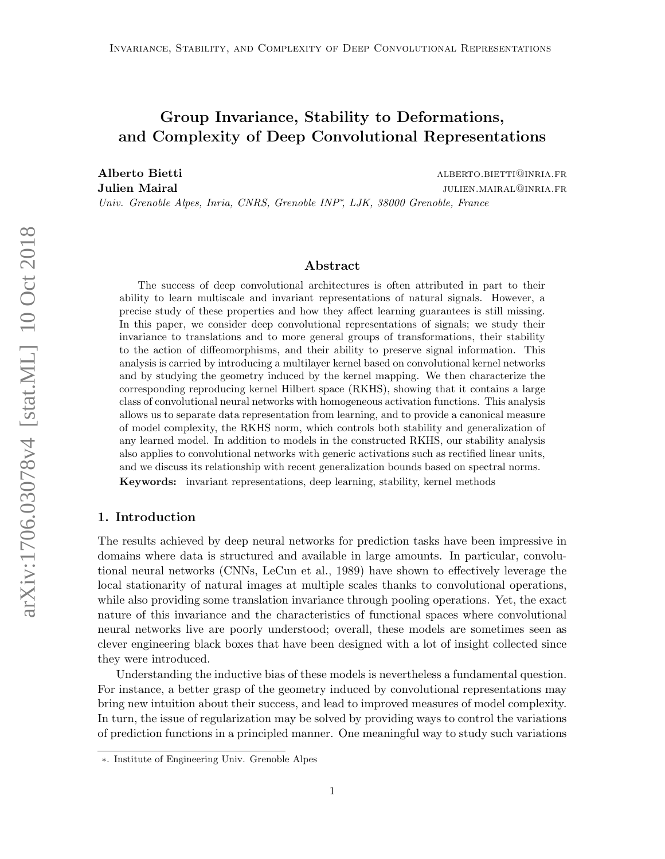# Group Invariance, Stability to Deformations, and Complexity of Deep Convolutional Representations

Alberto Bietti alberto.bietti alberto.bietti alberto.bietti alberto.bietti alberto.bietti alberto.bietti alberto.bietti alberto.bietti alberto.bietti alberto.bietti alberto.bietti alberto.bietti alberto.bietti alberto.biet **Julien Mairal Julien Mairal julien.mairal julien.mairal julien.mairal julien.mairal julien.mairal julien.mairal julien.mairal julien.mairal julien.mairal julien.mairal julien.mairal julien.mairal** Univ. Grenoble Alpes, Inria, CNRS, Grenoble INP<sup>\*</sup>, LJK, 38000 Grenoble, France

### Abstract

The success of deep convolutional architectures is often attributed in part to their ability to learn multiscale and invariant representations of natural signals. However, a precise study of these properties and how they affect learning guarantees is still missing. In this paper, we consider deep convolutional representations of signals; we study their invariance to translations and to more general groups of transformations, their stability to the action of diffeomorphisms, and their ability to preserve signal information. This analysis is carried by introducing a multilayer kernel based on convolutional kernel networks and by studying the geometry induced by the kernel mapping. We then characterize the corresponding reproducing kernel Hilbert space (RKHS), showing that it contains a large class of convolutional neural networks with homogeneous activation functions. This analysis allows us to separate data representation from learning, and to provide a canonical measure of model complexity, the RKHS norm, which controls both stability and generalization of any learned model. In addition to models in the constructed RKHS, our stability analysis also applies to convolutional networks with generic activations such as rectified linear units, and we discuss its relationship with recent generalization bounds based on spectral norms. Keywords: invariant representations, deep learning, stability, kernel methods

# 1. Introduction

The results achieved by deep neural networks for prediction tasks have been impressive in domains where data is structured and available in large amounts. In particular, convolutional neural networks (CNNs, [LeCun et al., 1989\)](#page-46-0) have shown to effectively leverage the local stationarity of natural images at multiple scales thanks to convolutional operations, while also providing some translation invariance through pooling operations. Yet, the exact nature of this invariance and the characteristics of functional spaces where convolutional neural networks live are poorly understood; overall, these models are sometimes seen as clever engineering black boxes that have been designed with a lot of insight collected since they were introduced.

Understanding the inductive bias of these models is nevertheless a fundamental question. For instance, a better grasp of the geometry induced by convolutional representations may bring new intuition about their success, and lead to improved measures of model complexity. In turn, the issue of regularization may be solved by providing ways to control the variations of prediction functions in a principled manner. One meaningful way to study such variations

<sup>∗</sup>. Institute of Engineering Univ. Grenoble Alpes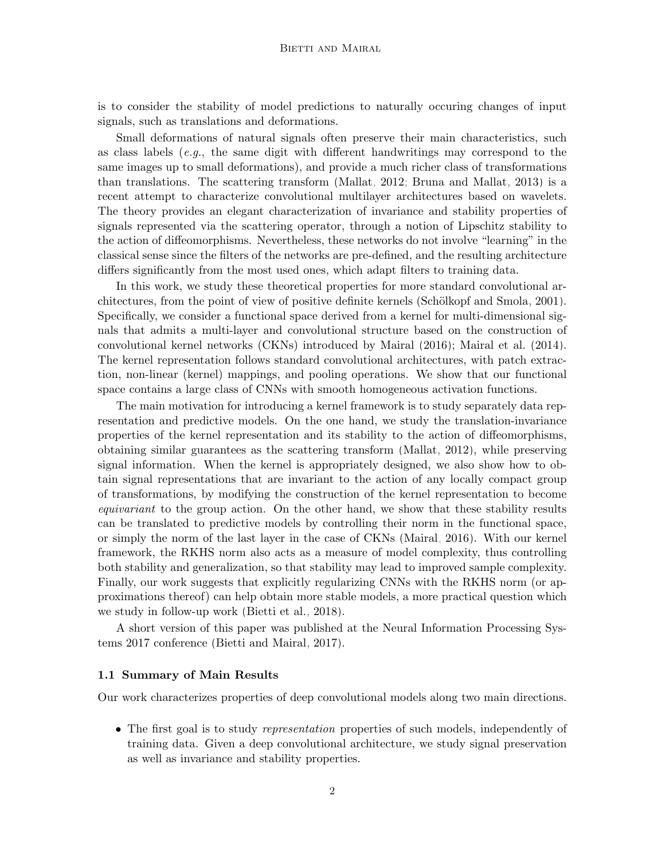is to consider the stability of model predictions to naturally occuring changes of input signals, such as translations and deformations.

Small deformations of natural signals often preserve their main characteristics, such as class labels  $(e.g., the same digit with different handwritings may correspond to the$ same images up to small deformations), and provide a much richer class of transformations than translations. The scattering transform [\(Mallat, 2012;](#page-46-1) [Bruna and Mallat, 2013\)](#page-45-0) is a recent attempt to characterize convolutional multilayer architectures based on wavelets. The theory provides an elegant characterization of invariance and stability properties of signals represented via the scattering operator, through a notion of Lipschitz stability to the action of diffeomorphisms. Nevertheless, these networks do not involve "learning" in the classical sense since the filters of the networks are pre-defined, and the resulting architecture differs significantly from the most used ones, which adapt filters to training data.

In this work, we study these theoretical properties for more standard convolutional architectures, from the point of view of positive definite kernels (Schölkopf and Smola, 2001). Specifically, we consider a functional space derived from a kernel for multi-dimensional signals that admits a multi-layer and convolutional structure based on the construction of convolutional kernel networks (CKNs) introduced by [Mairal](#page-46-2) [\(2016\)](#page-46-2); [Mairal et al.](#page-46-3) [\(2014\)](#page-46-3). The kernel representation follows standard convolutional architectures, with patch extraction, non-linear (kernel) mappings, and pooling operations. We show that our functional space contains a large class of CNNs with smooth homogeneous activation functions.

The main motivation for introducing a kernel framework is to study separately data representation and predictive models. On the one hand, we study the translation-invariance properties of the kernel representation and its stability to the action of diffeomorphisms, obtaining similar guarantees as the scattering transform [\(Mallat, 2012\)](#page-46-1), while preserving signal information. When the kernel is appropriately designed, we also show how to obtain signal representations that are invariant to the action of any locally compact group of transformations, by modifying the construction of the kernel representation to become equivariant to the group action. On the other hand, we show that these stability results can be translated to predictive models by controlling their norm in the functional space, or simply the norm of the last layer in the case of CKNs [\(Mairal, 2016\)](#page-46-2). With our kernel framework, the RKHS norm also acts as a measure of model complexity, thus controlling both stability and generalization, so that stability may lead to improved sample complexity. Finally, our work suggests that explicitly regularizing CNNs with the RKHS norm (or approximations thereof) can help obtain more stable models, a more practical question which we study in follow-up work [\(Bietti et al., 2018\)](#page-45-1).

A short version of this paper was published at the Neural Information Processing Systems 2017 conference [\(Bietti and Mairal, 2017\)](#page-45-2).

### 1.1 Summary of Main Results

Our work characterizes properties of deep convolutional models along two main directions.

• The first goal is to study *representation* properties of such models, independently of training data. Given a deep convolutional architecture, we study signal preservation as well as invariance and stability properties.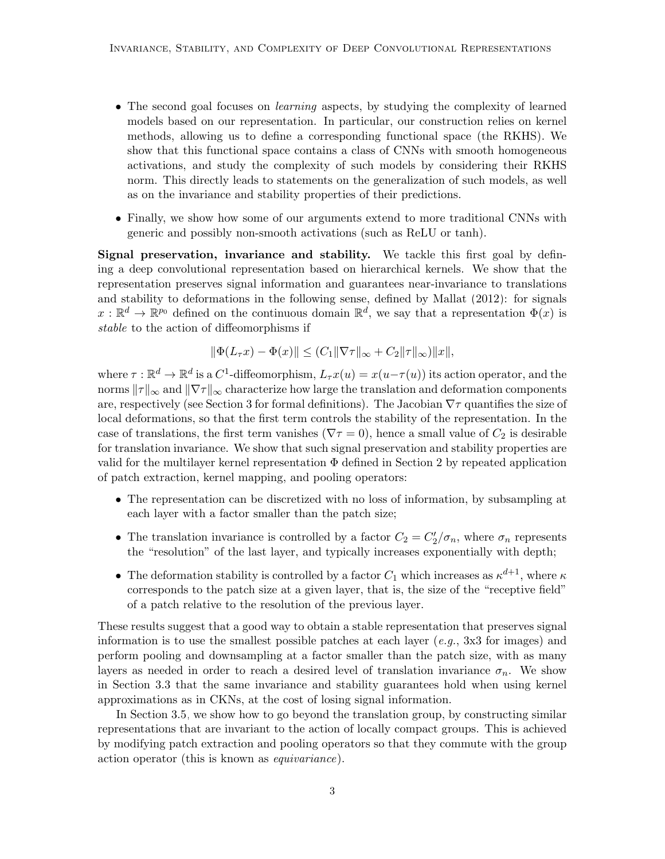- The second goal focuses on *learning* aspects, by studying the complexity of learned models based on our representation. In particular, our construction relies on kernel methods, allowing us to define a corresponding functional space (the RKHS). We show that this functional space contains a class of CNNs with smooth homogeneous activations, and study the complexity of such models by considering their RKHS norm. This directly leads to statements on the generalization of such models, as well as on the invariance and stability properties of their predictions.
- Finally, we show how some of our arguments extend to more traditional CNNs with generic and possibly non-smooth activations (such as ReLU or tanh).

Signal preservation, invariance and stability. We tackle this first goal by defining a deep convolutional representation based on hierarchical kernels. We show that the representation preserves signal information and guarantees near-invariance to translations and stability to deformations in the following sense, defined by [Mallat](#page-46-1) [\(2012\)](#page-46-1): for signals  $x: \mathbb{R}^d \to \mathbb{R}^{p_0}$  defined on the continuous domain  $\mathbb{R}^d$ , we say that a representation  $\Phi(x)$  is stable to the action of diffeomorphisms if

$$
\|\Phi(L_{\tau}x) - \Phi(x)\| \le (C_1 \|\nabla \tau\|_{\infty} + C_2 \|\tau\|_{\infty})\|x\|,
$$

where  $\tau : \mathbb{R}^d \to \mathbb{R}^d$  is a  $C^1$ -diffeomorphism,  $L_\tau x(u) = x(u - \tau(u))$  its action operator, and the norms  $||\tau||_{\infty}$  and  $||\nabla \tau||_{\infty}$  characterize how large the translation and deformation components are, respectively (see Section [3](#page-12-0) for formal definitions). The Jacobian  $\nabla \tau$  quantifies the size of local deformations, so that the first term controls the stability of the representation. In the case of translations, the first term vanishes ( $\nabla \tau = 0$ ), hence a small value of  $C_2$  is desirable for translation invariance. We show that such signal preservation and stability properties are valid for the multilayer kernel representation  $\Phi$  defined in Section [2](#page-6-0) by repeated application of patch extraction, kernel mapping, and pooling operators:

- The representation can be discretized with no loss of information, by subsampling at each layer with a factor smaller than the patch size;
- The translation invariance is controlled by a factor  $C_2 = C_2'/\sigma_n$ , where  $\sigma_n$  represents the "resolution" of the last layer, and typically increases exponentially with depth;
- The deformation stability is controlled by a factor  $C_1$  which increases as  $\kappa^{d+1}$ , where  $\kappa$ corresponds to the patch size at a given layer, that is, the size of the "receptive field" of a patch relative to the resolution of the previous layer.

These results suggest that a good way to obtain a stable representation that preserves signal information is to use the smallest possible patches at each layer (e.g.,  $3x3$  for images) and perform pooling and downsampling at a factor smaller than the patch size, with as many layers as needed in order to reach a desired level of translation invariance  $\sigma_n$ . We show in Section [3.3](#page-16-0) that the same invariance and stability guarantees hold when using kernel approximations as in CKNs, at the cost of losing signal information.

In Section [3.5,](#page-18-0) we show how to go beyond the translation group, by constructing similar representations that are invariant to the action of locally compact groups. This is achieved by modifying patch extraction and pooling operators so that they commute with the group action operator (this is known as equivariance).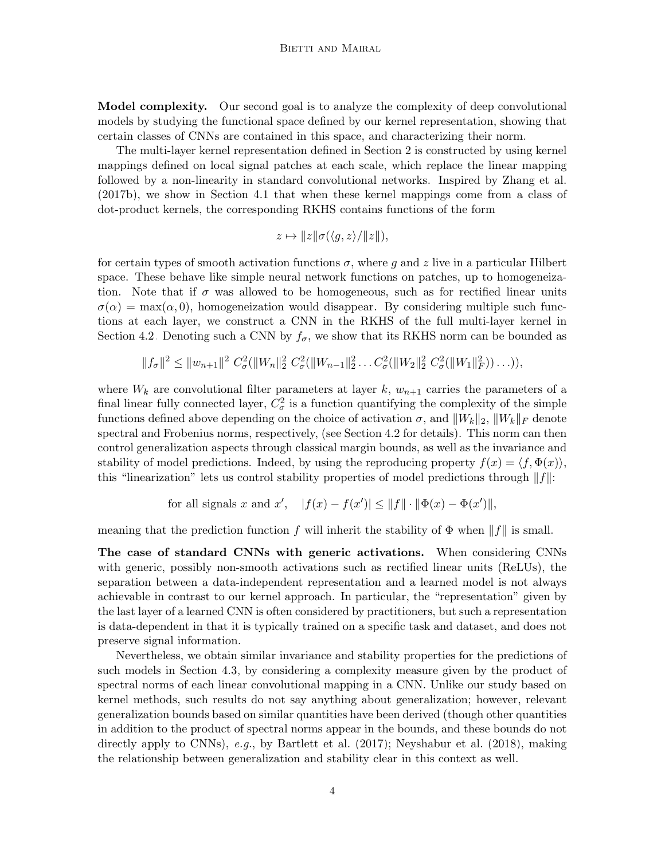Model complexity. Our second goal is to analyze the complexity of deep convolutional models by studying the functional space defined by our kernel representation, showing that certain classes of CNNs are contained in this space, and characterizing their norm.

The multi-layer kernel representation defined in Section [2](#page-6-0) is constructed by using kernel mappings defined on local signal patches at each scale, which replace the linear mapping followed by a non-linearity in standard convolutional networks. Inspired by [Zhang et al.](#page-48-0) [\(2017b\)](#page-48-0), we show in Section [4.1](#page-22-0) that when these kernel mappings come from a class of dot-product kernels, the corresponding RKHS contains functions of the form

$$
z \mapsto ||z||\sigma(\langle g, z \rangle/||z||),
$$

for certain types of smooth activation functions  $\sigma$ , where q and z live in a particular Hilbert space. These behave like simple neural network functions on patches, up to homogeneization. Note that if  $\sigma$  was allowed to be homogeneous, such as for rectified linear units  $\sigma(\alpha) = \max(\alpha, 0)$ , homogeneization would disappear. By considering multiple such functions at each layer, we construct a CNN in the RKHS of the full multi-layer kernel in Section [4.2.](#page-22-1) Denoting such a CNN by  $f_{\sigma}$ , we show that its RKHS norm can be bounded as

 $||f_{\sigma}||^2 \le ||w_{n+1}||^2 C_{\sigma}^2(||W_n||_2^2 C_{\sigma}^2(||W_{n-1}||_2^2 \ldots C_{\sigma}^2(||W_2||_2^2 C_{\sigma}^2(||W_1||_F^2)) \ldots)),$ 

where  $W_k$  are convolutional filter parameters at layer k,  $w_{n+1}$  carries the parameters of a final linear fully connected layer,  $C_{\sigma}^2$  is a function quantifying the complexity of the simple functions defined above depending on the choice of activation  $\sigma$ , and  $||W_k||_2$ ,  $||W_k||_F$  denote spectral and Frobenius norms, respectively, (see Section [4.2](#page-22-1) for details). This norm can then control generalization aspects through classical margin bounds, as well as the invariance and stability of model predictions. Indeed, by using the reproducing property  $f(x) = \langle f, \Phi(x) \rangle$ , this "linearization" lets us control stability properties of model predictions through  $||f||$ :

for all signals x and x', 
$$
|f(x) - f(x')| \le ||f|| \cdot ||\Phi(x) - \Phi(x')||
$$
,

meaning that the prediction function f will inherit the stability of  $\Phi$  when  $||f||$  is small.

The case of standard CNNs with generic activations. When considering CNNs with generic, possibly non-smooth activations such as rectified linear units (ReLUs), the separation between a data-independent representation and a learned model is not always achievable in contrast to our kernel approach. In particular, the "representation" given by the last layer of a learned CNN is often considered by practitioners, but such a representation is data-dependent in that it is typically trained on a specific task and dataset, and does not preserve signal information.

Nevertheless, we obtain similar invariance and stability properties for the predictions of such models in Section [4.3,](#page-26-0) by considering a complexity measure given by the product of spectral norms of each linear convolutional mapping in a CNN. Unlike our study based on kernel methods, such results do not say anything about generalization; however, relevant generalization bounds based on similar quantities have been derived (though other quantities in addition to the product of spectral norms appear in the bounds, and these bounds do not directly apply to CNNs), e.g., by [Bartlett et al.](#page-45-3) [\(2017\)](#page-45-3); [Neyshabur et al.](#page-46-4) [\(2018\)](#page-46-4), making the relationship between generalization and stability clear in this context as well.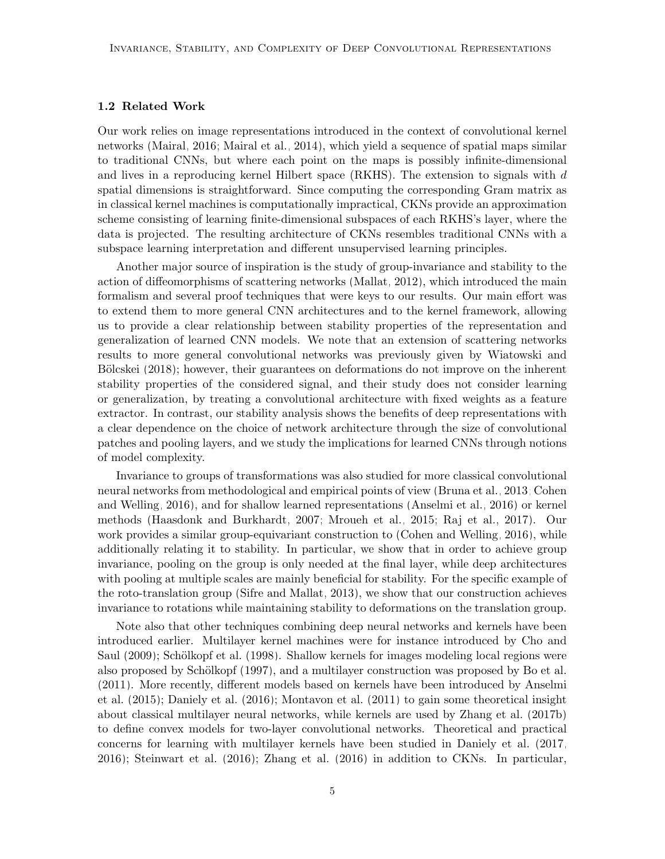# 1.2 Related Work

Our work relies on image representations introduced in the context of convolutional kernel networks [\(Mairal, 2016;](#page-46-2) [Mairal et al., 2014\)](#page-46-3), which yield a sequence of spatial maps similar to traditional CNNs, but where each point on the maps is possibly infinite-dimensional and lives in a reproducing kernel Hilbert space (RKHS). The extension to signals with  $d$ spatial dimensions is straightforward. Since computing the corresponding Gram matrix as in classical kernel machines is computationally impractical, CKNs provide an approximation scheme consisting of learning finite-dimensional subspaces of each RKHS's layer, where the data is projected. The resulting architecture of CKNs resembles traditional CNNs with a subspace learning interpretation and different unsupervised learning principles.

Another major source of inspiration is the study of group-invariance and stability to the action of diffeomorphisms of scattering networks [\(Mallat, 2012\)](#page-46-1), which introduced the main formalism and several proof techniques that were keys to our results. Our main effort was to extend them to more general CNN architectures and to the kernel framework, allowing us to provide a clear relationship between stability properties of the representation and generalization of learned CNN models. We note that an extension of scattering networks results to more general convolutional networks was previously given by [Wiatowski and](#page-48-1) Bölcskei [\(2018\)](#page-48-1); however, their guarantees on deformations do not improve on the inherent stability properties of the considered signal, and their study does not consider learning or generalization, by treating a convolutional architecture with fixed weights as a feature extractor. In contrast, our stability analysis shows the benefits of deep representations with a clear dependence on the choice of network architecture through the size of convolutional patches and pooling layers, and we study the implications for learned CNNs through notions of model complexity.

Invariance to groups of transformations was also studied for more classical convolutional neural networks from methodological and empirical points of view [\(Bruna et al., 2013;](#page-45-4) [Cohen](#page-45-5) [and Welling, 2016\)](#page-45-5), and for shallow learned representations [\(Anselmi et al., 2016\)](#page-45-6) or kernel methods [\(Haasdonk and Burkhardt, 2007;](#page-46-5) [Mroueh et al., 2015;](#page-46-6) [Raj et al., 2017\)](#page-47-1). Our work provides a similar group-equivariant construction to [\(Cohen and Welling, 2016\)](#page-45-5), while additionally relating it to stability. In particular, we show that in order to achieve group invariance, pooling on the group is only needed at the final layer, while deep architectures with pooling at multiple scales are mainly beneficial for stability. For the specific example of the roto-translation group [\(Sifre and Mallat, 2013\)](#page-47-2), we show that our construction achieves invariance to rotations while maintaining stability to deformations on the translation group.

Note also that other techniques combining deep neural networks and kernels have been introduced earlier. Multilayer kernel machines were for instance introduced by [Cho and](#page-45-7) [Saul](#page-45-7) [\(2009\)](#page-45-7); Schölkopf et al. [\(1998\)](#page-47-3). Shallow kernels for images modeling local regions were also proposed by Schölkopf [\(1997\)](#page-47-4), and a multilayer construction was proposed by [Bo et al.](#page-45-8) [\(2011\)](#page-45-8). More recently, different models based on kernels have been introduced by [Anselmi](#page-44-0) [et al.](#page-44-0) [\(2015\)](#page-44-0); [Daniely et al.](#page-45-9) [\(2016\)](#page-45-9); [Montavon et al.](#page-46-7) [\(2011\)](#page-46-7) to gain some theoretical insight about classical multilayer neural networks, while kernels are used by [Zhang et al.](#page-48-0) [\(2017b\)](#page-48-0) to define convex models for two-layer convolutional networks. Theoretical and practical concerns for learning with multilayer kernels have been studied in [Daniely et al.](#page-45-10) [\(2017,](#page-45-10) [2016\)](#page-45-9); [Steinwart et al.](#page-47-5) [\(2016\)](#page-47-5); [Zhang et al.](#page-48-2) [\(2016\)](#page-48-2) in addition to CKNs. In particular,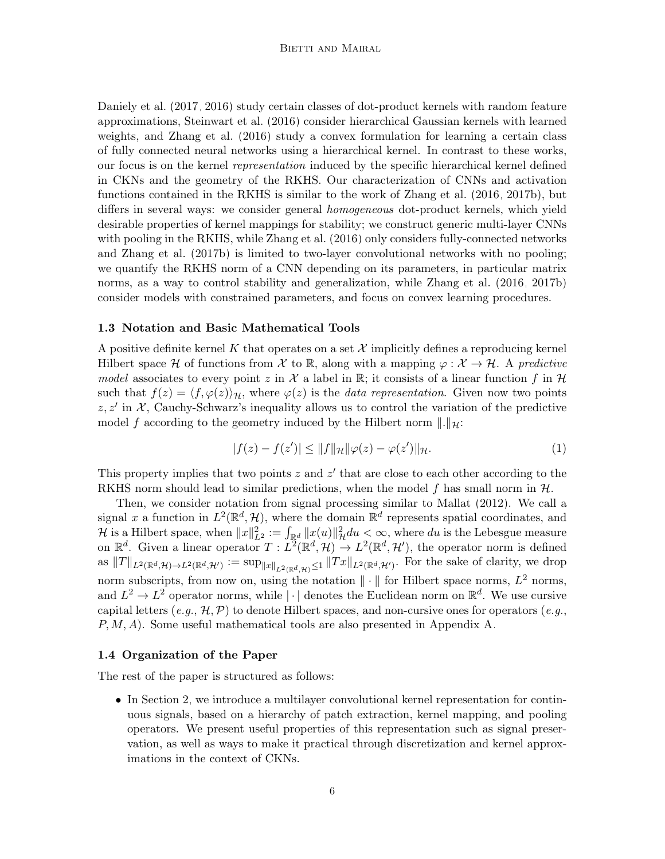[Daniely et al.](#page-45-10) [\(2017,](#page-45-10) [2016\)](#page-45-9) study certain classes of dot-product kernels with random feature approximations, [Steinwart et al.](#page-47-5) [\(2016\)](#page-47-5) consider hierarchical Gaussian kernels with learned weights, and [Zhang et al.](#page-48-2) [\(2016\)](#page-48-2) study a convex formulation for learning a certain class of fully connected neural networks using a hierarchical kernel. In contrast to these works, our focus is on the kernel representation induced by the specific hierarchical kernel defined in CKNs and the geometry of the RKHS. Our characterization of CNNs and activation functions contained in the RKHS is similar to the work of [Zhang et al.](#page-48-2) [\(2016,](#page-48-2) [2017b\)](#page-48-0), but differs in several ways: we consider general homogeneous dot-product kernels, which yield desirable properties of kernel mappings for stability; we construct generic multi-layer CNNs with pooling in the RKHS, while [Zhang et al.](#page-48-2) [\(2016\)](#page-48-2) only considers fully-connected networks and [Zhang et al.](#page-48-0) [\(2017b\)](#page-48-0) is limited to two-layer convolutional networks with no pooling; we quantify the RKHS norm of a CNN depending on its parameters, in particular matrix norms, as a way to control stability and generalization, while [Zhang et al.](#page-48-2) [\(2016,](#page-48-2) [2017b\)](#page-48-0) consider models with constrained parameters, and focus on convex learning procedures.

# 1.3 Notation and Basic Mathematical Tools

A positive definite kernel K that operates on a set  $\mathcal X$  implicitly defines a reproducing kernel Hilbert space H of functions from X to R, along with a mapping  $\varphi : \mathcal{X} \to \mathcal{H}$ . A predictive model associates to every point z in X a label in R; it consists of a linear function f in H such that  $f(z) = \langle f, \varphi(z) \rangle_{\mathcal{H}}$ , where  $\varphi(z)$  is the *data representation*. Given now two points  $z, z'$  in X, Cauchy-Schwarz's inequality allows us to control the variation of the predictive model f according to the geometry induced by the Hilbert norm  $\|\cdot\|_{\mathcal{H}}$ :

<span id="page-5-0"></span>
$$
|f(z) - f(z')| \le ||f||_{\mathcal{H}} ||\varphi(z) - \varphi(z')||_{\mathcal{H}}.
$$
 (1)

This property implies that two points  $z$  and  $z'$  that are close to each other according to the RKHS norm should lead to similar predictions, when the model f has small norm in  $H$ .

Then, we consider notation from signal processing similar to [Mallat](#page-46-1) [\(2012\)](#page-46-1). We call a signal x a function in  $L^2(\mathbb{R}^d, \mathcal{H})$ , where the domain  $\mathbb{R}^d$  represents spatial coordinates, and H is a Hilbert space, when  $||x||_{L^2}^2 := \int_{\mathbb{R}^d} ||x(u)||_{\mathcal{H}}^2 du < \infty$ , where du is the Lebesgue measure on  $\mathbb{R}^d$ . Given a linear operator  $T: L^2(\mathbb{R}^d, \mathcal{H}) \to L^2(\mathbb{R}^d, \mathcal{H}')$ , the operator norm is defined as  $||T||_{L^2(\mathbb{R}^d,\mathcal{H})\to L^2(\mathbb{R}^d,\mathcal{H}')}:=\sup_{||x||_{L^2(\mathbb{R}^d,\mathcal{H})}\leq 1}||Tx||_{L^2(\mathbb{R}^d,\mathcal{H}')}$ . For the sake of clarity, we drop norm subscripts, from now on, using the notation  $\|\cdot\|$  for Hilbert space norms,  $L^2$  norms, and  $L^2 \to L^2$  operator norms, while  $|\cdot|$  denotes the Euclidean norm on  $\mathbb{R}^d$ . We use cursive capital letters  $(e.g., \mathcal{H}, \mathcal{P})$  to denote Hilbert spaces, and non-cursive ones for operators  $(e.g.,$ P, M, A). Some useful mathematical tools are also presented in Appendix [A.](#page-29-0)

#### 1.4 Organization of the Paper

The rest of the paper is structured as follows:

• In Section [2,](#page-6-0) we introduce a multilayer convolutional kernel representation for continuous signals, based on a hierarchy of patch extraction, kernel mapping, and pooling operators. We present useful properties of this representation such as signal preservation, as well as ways to make it practical through discretization and kernel approximations in the context of CKNs.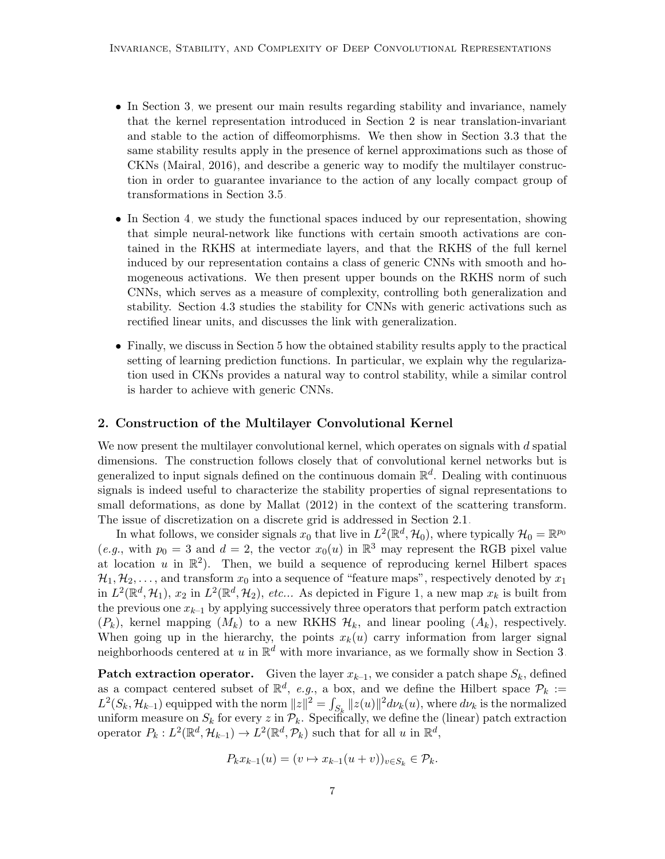- In Section [3,](#page-12-0) we present our main results regarding stability and invariance, namely that the kernel representation introduced in Section [2](#page-6-0) is near translation-invariant and stable to the action of diffeomorphisms. We then show in Section [3.3](#page-16-0) that the same stability results apply in the presence of kernel approximations such as those of CKNs [\(Mairal, 2016\)](#page-46-2), and describe a generic way to modify the multilayer construction in order to guarantee invariance to the action of any locally compact group of transformations in Section [3.5.](#page-18-0)
- In Section [4,](#page-21-0) we study the functional spaces induced by our representation, showing that simple neural-network like functions with certain smooth activations are contained in the RKHS at intermediate layers, and that the RKHS of the full kernel induced by our representation contains a class of generic CNNs with smooth and homogeneous activations. We then present upper bounds on the RKHS norm of such CNNs, which serves as a measure of complexity, controlling both generalization and stability. Section [4.3](#page-26-0) studies the stability for CNNs with generic activations such as rectified linear units, and discusses the link with generalization.
- Finally, we discuss in Section [5](#page-27-0) how the obtained stability results apply to the practical setting of learning prediction functions. In particular, we explain why the regularization used in CKNs provides a natural way to control stability, while a similar control is harder to achieve with generic CNNs.

# <span id="page-6-0"></span>2. Construction of the Multilayer Convolutional Kernel

We now present the multilayer convolutional kernel, which operates on signals with  $d$  spatial dimensions. The construction follows closely that of convolutional kernel networks but is generalized to input signals defined on the continuous domain  $\mathbb{R}^d$ . Dealing with continuous signals is indeed useful to characterize the stability properties of signal representations to small deformations, as done by [Mallat](#page-46-1) [\(2012\)](#page-46-1) in the context of the scattering transform. The issue of discretization on a discrete grid is addressed in Section [2.1.](#page-9-0)

In what follows, we consider signals  $x_0$  that live in  $L^2(\mathbb{R}^d, \mathcal{H}_0)$ , where typically  $\mathcal{H}_0 = \mathbb{R}^{p_0}$ (e.g., with  $p_0 = 3$  and  $d = 2$ , the vector  $x_0(u)$  in  $\mathbb{R}^3$  may represent the RGB pixel value at location u in  $\mathbb{R}^2$ ). Then, we build a sequence of reproducing kernel Hilbert spaces  $\mathcal{H}_1, \mathcal{H}_2, \ldots$ , and transform  $x_0$  into a sequence of "feature maps", respectively denoted by  $x_1$ in  $L^2(\mathbb{R}^d, \mathcal{H}_1)$ ,  $x_2$  in  $L^2(\mathbb{R}^d, \mathcal{H}_2)$ , etc... As depicted in Figure [1,](#page-7-0) a new map  $x_k$  is built from the previous one  $x_{k-1}$  by applying successively three operators that perform patch extraction  $(P_k)$ , kernel mapping  $(M_k)$  to a new RKHS  $\mathcal{H}_k$ , and linear pooling  $(A_k)$ , respectively. When going up in the hierarchy, the points  $x_k(u)$  carry information from larger signal neighborhoods centered at u in  $\mathbb{R}^d$  with more invariance, as we formally show in Section [3.](#page-12-0)

**Patch extraction operator.** Given the layer  $x_{k-1}$ , we consider a patch shape  $S_k$ , defined as a compact centered subset of  $\mathbb{R}^d$ , e.g., a box, and we define the Hilbert space  $\mathcal{P}_k :=$  $L^2(S_k, \mathcal{H}_{k-1})$  equipped with the norm  $||z||^2 = \int_{S_k} ||z(u)||^2 d\nu_k(u)$ , where  $d\nu_k$  is the normalized uniform measure on  $S_k$  for every z in  $\mathcal{P}_k$ . Specifically, we define the (linear) patch extraction operator  $P_k: L^2(\mathbb{R}^d, \mathcal{H}_{k-1}) \to L^2(\mathbb{R}^d, \mathcal{P}_k)$  such that for all  $u$  in  $\mathbb{R}^d$ ,

$$
P_k x_{k-1}(u) = (v \mapsto x_{k-1}(u+v))_{v \in S_k} \in \mathcal{P}_k.
$$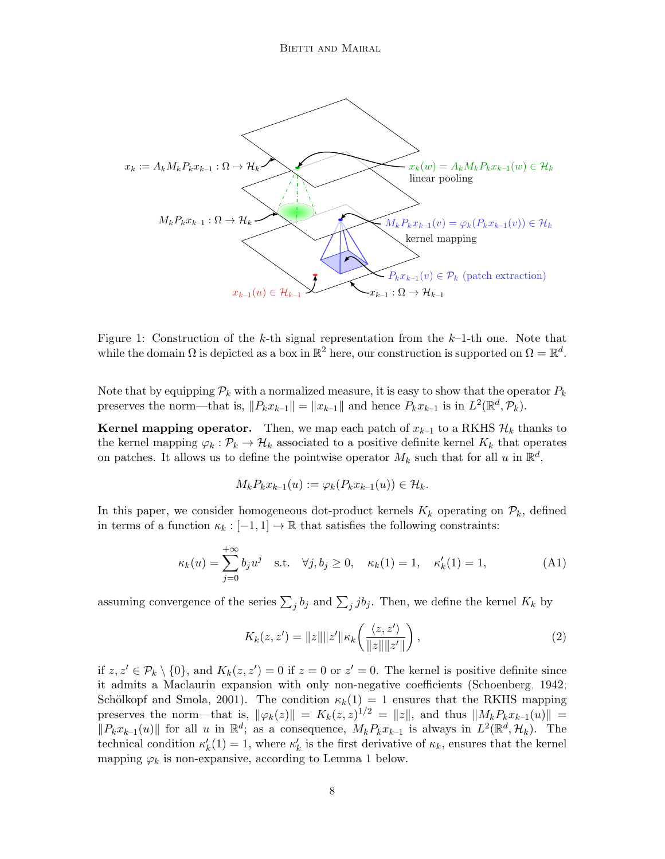<span id="page-7-0"></span>

Figure 1: Construction of the k-th signal representation from the  $k-1$ -th one. Note that while the domain  $\Omega$  is depicted as a box in  $\mathbb{R}^2$  here, our construction is supported on  $\Omega = \mathbb{R}^d$ .

Note that by equipping  $P_k$  with a normalized measure, it is easy to show that the operator  $P_k$ preserves the norm—that is,  $||P_k x_{k-1}|| = ||x_{k-1}||$  and hence  $P_k x_{k-1}$  is in  $L^2(\mathbb{R}^d, \mathcal{P}_k)$ .

**Kernel mapping operator.** Then, we map each patch of  $x_{k-1}$  to a RKHS  $\mathcal{H}_k$  thanks to the kernel mapping  $\varphi_k : \mathcal{P}_k \to \mathcal{H}_k$  associated to a positive definite kernel  $K_k$  that operates on patches. It allows us to define the pointwise operator  $M_k$  such that for all u in  $\mathbb{R}^d$ ,

<span id="page-7-2"></span>
$$
M_k P_k x_{k-1}(u) := \varphi_k(P_k x_{k-1}(u)) \in \mathcal{H}_k.
$$

In this paper, we consider homogeneous dot-product kernels  $K_k$  operating on  $\mathcal{P}_k$ , defined in terms of a function  $\kappa_k : [-1, 1] \to \mathbb{R}$  that satisfies the following constraints:

$$
\kappa_k(u) = \sum_{j=0}^{+\infty} b_j u^j \quad \text{s.t.} \quad \forall j, b_j \ge 0, \quad \kappa_k(1) = 1, \quad \kappa'_k(1) = 1,\tag{A1}
$$

assuming convergence of the series  $\sum_j b_j$  and  $\sum_j jb_j$ . Then, we define the kernel  $K_k$  by

<span id="page-7-1"></span>
$$
K_k(z, z') = ||z|| ||z'|| \kappa_k \left( \frac{\langle z, z' \rangle}{||z|| ||z'||} \right),
$$
\n(2)

if  $z, z' \in \mathcal{P}_k \setminus \{0\}$ , and  $K_k(z, z') = 0$  if  $z = 0$  or  $z' = 0$ . The kernel is positive definite since it admits a Maclaurin expansion with only non-negative coefficients [\(Schoenberg, 1942;](#page-47-6) Schölkopf and Smola, 2001). The condition  $\kappa_k(1) = 1$  ensures that the RKHS mapping preserves the norm—that is,  $\|\varphi_k(z)\| = K_k(z, z)^{1/2} = \|z\|$ , and thus  $\|M_kP_kx_{k-1}(u)\|$  =  $||P_kx_{k-1}(u)||$  for all u in  $\mathbb{R}^d$ ; as a consequence,  $M_kP_kx_{k-1}$  is always in  $L^2(\mathbb{R}^d, \mathcal{H}_k)$ . The technical condition  $\kappa'_k(1) = 1$ , where  $\kappa'_k$  is the first derivative of  $\kappa_k$ , ensures that the kernel mapping  $\varphi_k$  is non-expansive, according to Lemma [1](#page-7-1) below.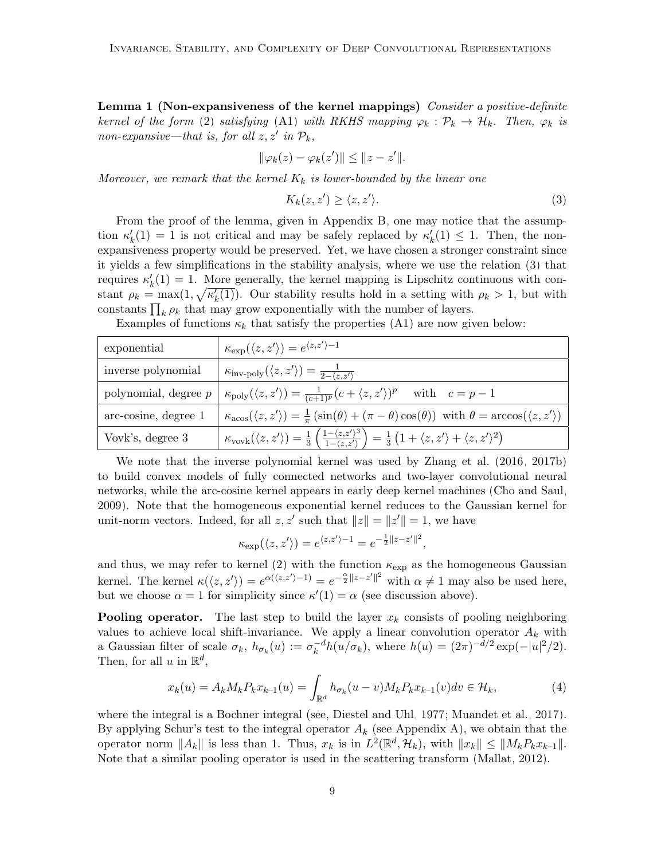Lemma 1 (Non-expansiveness of the kernel mappings) Consider a positive-definite kernel of the form [\(2\)](#page-7-2) satisfying [\(A1\)](#page-7-2) with RKHS mapping  $\varphi_k : \mathcal{P}_k \to \mathcal{H}_k$ . Then,  $\varphi_k$  is  $non-expansive-that$  is, for all  $z, z'$  in  $\mathcal{P}_k$ ,

$$
\|\varphi_k(z)-\varphi_k(z')\|\leq \|z-z'\|.
$$

Moreover, we remark that the kernel  $K_k$  is lower-bounded by the linear one

<span id="page-8-0"></span>
$$
K_k(z, z') \ge \langle z, z' \rangle. \tag{3}
$$

From the proof of the lemma, given in Appendix [B,](#page-30-0) one may notice that the assumption  $\kappa'_{k}(1) = 1$  is not critical and may be safely replaced by  $\kappa'_{k}(1) \leq 1$ . Then, the nonexpansiveness property would be preserved. Yet, we have chosen a stronger constraint since it yields a few simplifications in the stability analysis, where we use the relation [\(3\)](#page-8-0) that requires  $\kappa'_{k}(1) = 1$ . More generally, the kernel mapping is Lipschitz continuous with constant  $\rho_k = \max(1, \sqrt{\kappa'_k(1)})$ . Our stability results hold in a setting with  $\rho_k > 1$ , but with constants  $\prod_k \rho_k$  that may grow exponentially with the number of layers.

Examples of functions  $\kappa_k$  that satisfy the properties [\(A1\)](#page-7-2) are now given below:

| exponential            | $\kappa_{\text{exp}}(\langle z, z' \rangle) = e^{\langle z, z' \rangle - 1}$                                                                                                                                              |
|------------------------|---------------------------------------------------------------------------------------------------------------------------------------------------------------------------------------------------------------------------|
| inverse polynomial     | $\kappa_{\rm inv\text{-}poly}(\langle z,z'\rangle) = \frac{1}{2-\langle z,z'\rangle}$                                                                                                                                     |
| polynomial, degree $p$ | $\kappa_{\text{poly}}(\langle z, z' \rangle) = \frac{1}{(c+1)^p} (c + \langle z, z' \rangle)^p$ with $c = p-1$                                                                                                            |
| arc-cosine, degree 1   | $\kappa_{\text{acos}}(\langle z, z' \rangle) = \frac{1}{\pi} \left( \sin(\theta) + (\pi - \theta) \cos(\theta) \right)$ with $\theta = \arccos(\langle z, z' \rangle)$                                                    |
| Vovk's, degree 3       | $\kappa_{\text{vovk}}(\langle z, z' \rangle) = \frac{1}{3} \left( \frac{1 - \langle z, z' \rangle^3}{1 - \langle z, z' \rangle} \right) = \frac{1}{3} \left( 1 + \langle z, z' \rangle + \langle z, z' \rangle^2 \right)$ |

We note that the inverse polynomial kernel was used by [Zhang et al.](#page-48-2) [\(2016,](#page-48-2) [2017b\)](#page-48-0) to build convex models of fully connected networks and two-layer convolutional neural networks, while the arc-cosine kernel appears in early deep kernel machines [\(Cho and Saul,](#page-45-7) [2009\)](#page-45-7). Note that the homogeneous exponential kernel reduces to the Gaussian kernel for unit-norm vectors. Indeed, for all  $z, z'$  such that  $||z|| = ||z'|| = 1$ , we have

$$
\kappa_{\exp}(\langle z, z' \rangle) = e^{\langle z, z' \rangle - 1} = e^{-\frac{1}{2}||z - z'||^2},
$$

and thus, we may refer to kernel [\(2\)](#page-7-2) with the function  $\kappa_{\exp}$  as the homogeneous Gaussian kernel. The kernel  $\kappa(\langle z, z' \rangle) = e^{\alpha(\langle z, z' \rangle - 1)} = e^{-\frac{\alpha}{2}||z - z'||^2}$  with  $\alpha \neq 1$  may also be used here, but we choose  $\alpha = 1$  for simplicity since  $\kappa'(1) = \alpha$  (see discussion above).

**Pooling operator.** The last step to build the layer  $x_k$  consists of pooling neighboring values to achieve local shift-invariance. We apply a linear convolution operator  $A_k$  with a Gaussian filter of scale  $\sigma_k$ ,  $h_{\sigma_k}(u) := \sigma_k^{-d}$  $k^{-d}h(u/\sigma_k)$ , where  $h(u) = (2\pi)^{-d/2} \exp(-|u|^2/2)$ . Then, for all  $u$  in  $\mathbb{R}^d$ ,

$$
x_k(u) = A_k M_k P_k x_{k-1}(u) = \int_{\mathbb{R}^d} h_{\sigma_k}(u-v) M_k P_k x_{k-1}(v) dv \in \mathcal{H}_k,
$$
\n(4)

where the integral is a Bochner integral (see, [Diestel and Uhl, 1977;](#page-45-11) [Muandet et al., 2017\)](#page-46-8). By applying Schur's test to the integral operator  $A_k$  (see Appendix [A\)](#page-29-0), we obtain that the operator norm  $||A_k||$  is less than 1. Thus,  $x_k$  is in  $L^2(\mathbb{R}^d, \mathcal{H}_k)$ , with  $||x_k|| \leq ||M_kP_kx_{k-1}||$ . Note that a similar pooling operator is used in the scattering transform [\(Mallat, 2012\)](#page-46-1).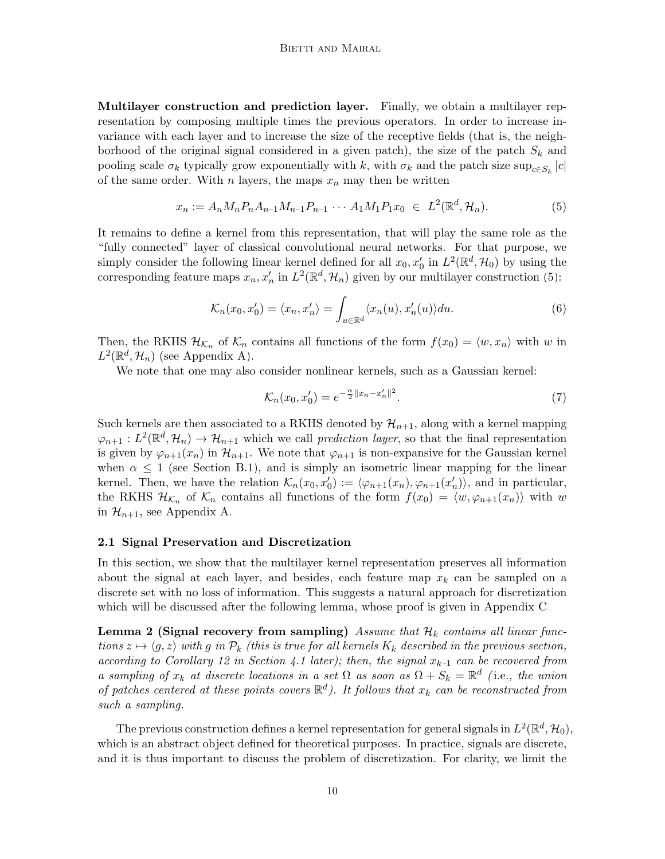Multilayer construction and prediction layer. Finally, we obtain a multilayer representation by composing multiple times the previous operators. In order to increase invariance with each layer and to increase the size of the receptive fields (that is, the neighborhood of the original signal considered in a given patch), the size of the patch  $S_k$  and pooling scale  $\sigma_k$  typically grow exponentially with k, with  $\sigma_k$  and the patch size sup $_{c \in S_k} |c|$ of the same order. With n layers, the maps  $x_n$  may then be written

$$
x_n := A_n M_n P_n A_{n-1} M_{n-1} P_{n-1} \cdots A_1 M_1 P_1 x_0 \in L^2(\mathbb{R}^d, \mathcal{H}_n).
$$
 (5)

It remains to define a kernel from this representation, that will play the same role as the "fully connected" layer of classical convolutional neural networks. For that purpose, we simply consider the following linear kernel defined for all  $x_0, x'_0$  in  $L^2(\mathbb{R}^d, \mathcal{H}_0)$  by using the corresponding feature maps  $x_n, x'_n$  in  $L^2(\mathbb{R}^d, \mathcal{H}_n)$  given by our multilayer construction [\(5\)](#page-9-1):

<span id="page-9-1"></span>
$$
\mathcal{K}_n(x_0, x'_0) = \langle x_n, x'_n \rangle = \int_{u \in \mathbb{R}^d} \langle x_n(u), x'_n(u) \rangle du.
$$
 (6)

Then, the RKHS  $\mathcal{H}_{\mathcal{K}_n}$  of  $\mathcal{K}_n$  contains all functions of the form  $f(x_0) = \langle w, x_n \rangle$  with w in  $L^2(\mathbb{R}^d, \mathcal{H}_n)$  (see Appendix [A\)](#page-29-0).

We note that one may also consider nonlinear kernels, such as a Gaussian kernel:

<span id="page-9-4"></span><span id="page-9-3"></span><span id="page-9-2"></span>
$$
\mathcal{K}_n(x_0, x'_0) = e^{-\frac{\alpha}{2} ||x_n - x'_n||^2}.
$$
\n(7)

Such kernels are then associated to a RKHS denoted by  $\mathcal{H}_{n+1}$ , along with a kernel mapping  $\varphi_{n+1}: L^2(\mathbb{R}^d, \mathcal{H}_n) \to \mathcal{H}_{n+1}$  which we call prediction layer, so that the final representation is given by  $\varphi_{n+1}(x_n)$  in  $\mathcal{H}_{n+1}$ . We note that  $\varphi_{n+1}$  is non-expansive for the Gaussian kernel when  $\alpha \leq 1$  (see Section [B.1\)](#page-30-1), and is simply an isometric linear mapping for the linear kernel. Then, we have the relation  $\mathcal{K}_n(x_0, x_0') := \langle \varphi_{n+1}(x_n), \varphi_{n+1}(x_n') \rangle$ , and in particular, the RKHS  $\mathcal{H}_{\mathcal{K}_n}$  of  $\mathcal{K}_n$  contains all functions of the form  $f(x_0) = \langle w, \varphi_{n+1}(x_n) \rangle$  with w in  $\mathcal{H}_{n+1}$ , see Appendix [A.](#page-29-0)

### <span id="page-9-0"></span>2.1 Signal Preservation and Discretization

In this section, we show that the multilayer kernel representation preserves all information about the signal at each layer, and besides, each feature map  $x_k$  can be sampled on a discrete set with no loss of information. This suggests a natural approach for discretization which will be discussed after the following lemma, whose proof is given in Appendix [C.](#page-31-0)

Lemma 2 (Signal recovery from sampling) Assume that  $\mathcal{H}_k$  contains all linear functions  $z \mapsto \langle g, z \rangle$  with g in  $\mathcal{P}_k$  (this is true for all kernels  $K_k$  described in the previous section, according to Corollary [12](#page-22-2) in Section [4.1](#page-22-0) later); then, the signal  $x_{k-1}$  can be recovered from a sampling of  $x_k$  at discrete locations in a set  $\Omega$  as soon as  $\Omega + S_k = \mathbb{R}^d$  (i.e., the union of patches centered at these points covers  $\mathbb{R}^d$ ). It follows that  $x_k$  can be reconstructed from such a sampling.

The previous construction defines a kernel representation for general signals in  $L^2(\mathbb{R}^d, \mathcal{H}_0)$ , which is an abstract object defined for theoretical purposes. In practice, signals are discrete, and it is thus important to discuss the problem of discretization. For clarity, we limit the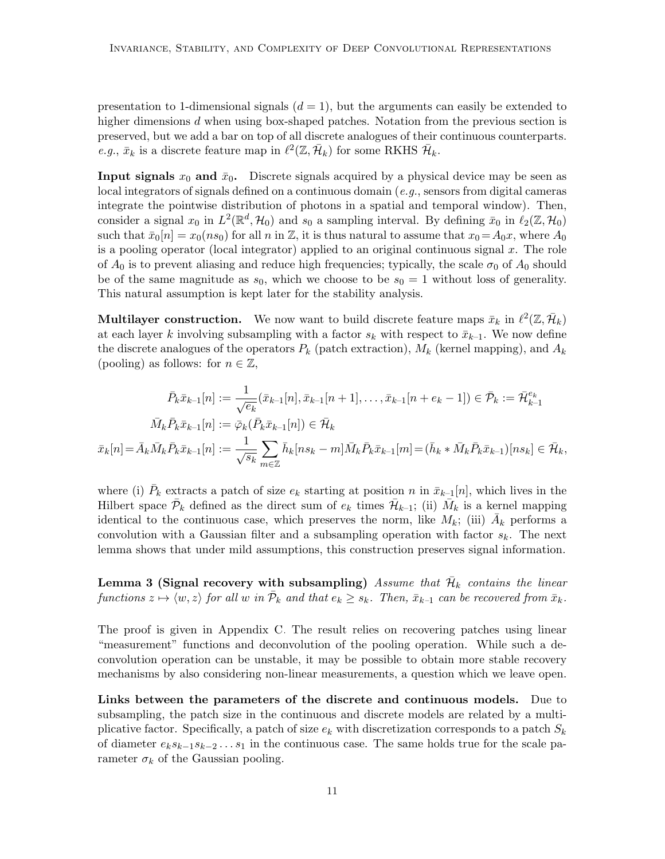presentation to 1-dimensional signals  $(d = 1)$ , but the arguments can easily be extended to higher dimensions d when using box-shaped patches. Notation from the previous section is preserved, but we add a bar on top of all discrete analogues of their continuous counterparts. *e.g.*,  $\bar{x}_k$  is a discrete feature map in  $\ell^2(\mathbb{Z}, \bar{\mathcal{H}}_k)$  for some RKHS  $\bar{\mathcal{H}}_k$ .

**Input signals**  $x_0$  and  $\bar{x}_0$ . Discrete signals acquired by a physical device may be seen as local integrators of signals defined on a continuous domain (e.g., sensors from digital cameras integrate the pointwise distribution of photons in a spatial and temporal window). Then, consider a signal  $x_0$  in  $L^2(\mathbb{R}^d, \mathcal{H}_0)$  and  $s_0$  a sampling interval. By defining  $\bar{x}_0$  in  $\ell_2(\mathbb{Z}, \mathcal{H}_0)$ such that  $\bar{x}_0[n] = x_0(ns_0)$  for all n in Z, it is thus natural to assume that  $x_0 = A_0x$ , where  $A_0$ is a pooling operator (local integrator) applied to an original continuous signal x. The role of  $A_0$  is to prevent aliasing and reduce high frequencies; typically, the scale  $\sigma_0$  of  $A_0$  should be of the same magnitude as  $s_0$ , which we choose to be  $s_0 = 1$  without loss of generality. This natural assumption is kept later for the stability analysis.

**Multilayer construction.** We now want to build discrete feature maps  $\bar{x}_k$  in  $\ell^2(\mathbb{Z}, \bar{\mathcal{H}}_k)$ at each layer k involving subsampling with a factor  $s_k$  with respect to  $\bar{x}_{k-1}$ . We now define the discrete analogues of the operators  $P_k$  (patch extraction),  $M_k$  (kernel mapping), and  $A_k$ (pooling) as follows: for  $n \in \mathbb{Z}$ ,

$$
\bar{P}_k \bar{x}_{k-1}[n] := \frac{1}{\sqrt{e_k}} (\bar{x}_{k-1}[n], \bar{x}_{k-1}[n+1], \dots, \bar{x}_{k-1}[n+e_k-1]) \in \bar{\mathcal{P}}_k := \bar{\mathcal{H}}_{k-1}^{e_k}
$$
\n
$$
\bar{M}_k \bar{P}_k \bar{x}_{k-1}[n] := \bar{\varphi}_k (\bar{P}_k \bar{x}_{k-1}[n]) \in \bar{\mathcal{H}}_k
$$
\n
$$
\bar{x}_k[n] = \bar{A}_k \bar{M}_k \bar{P}_k \bar{x}_{k-1}[n] := \frac{1}{\sqrt{s_k}} \sum_{m \in \mathbb{Z}} \bar{h}_k[n s_k - m] \bar{M}_k \bar{P}_k \bar{x}_{k-1}[m] = (\bar{h}_k * \bar{M}_k \bar{P}_k \bar{x}_{k-1})[ns_k] \in \bar{\mathcal{H}}_k,
$$

where (i)  $\bar{P}_k$  extracts a patch of size  $e_k$  starting at position n in  $\bar{x}_{k-1}[n]$ , which lives in the Hilbert space  $\bar{\mathcal{P}}_k$  defined as the direct sum of  $e_k$  times  $\bar{\mathcal{H}}_{k-1}$ ; (ii)  $\bar{M}_k$  is a kernel mapping identical to the continuous case, which preserves the norm, like  $M_k$ ; (iii)  $\bar{A}_k$  performs a convolution with a Gaussian filter and a subsampling operation with factor  $s_k$ . The next lemma shows that under mild assumptions, this construction preserves signal information.

<span id="page-10-0"></span>Lemma 3 (Signal recovery with subsampling) Assume that  $\bar{\mathcal{H}}_k$  contains the linear functions  $z \mapsto \langle w, z \rangle$  for all w in  $\bar{\mathcal{P}}_k$  and that  $e_k \geq s_k$ . Then,  $\bar{x}_{k-1}$  can be recovered from  $\bar{x}_k$ .

The proof is given in Appendix [C.](#page-31-0) The result relies on recovering patches using linear "measurement" functions and deconvolution of the pooling operation. While such a deconvolution operation can be unstable, it may be possible to obtain more stable recovery mechanisms by also considering non-linear measurements, a question which we leave open.

Links between the parameters of the discrete and continuous models. Due to subsampling, the patch size in the continuous and discrete models are related by a multiplicative factor. Specifically, a patch of size  $e_k$  with discretization corresponds to a patch  $S_k$ of diameter  $e_k s_{k-1} s_{k-2} \ldots s_1$  in the continuous case. The same holds true for the scale parameter  $\sigma_k$  of the Gaussian pooling.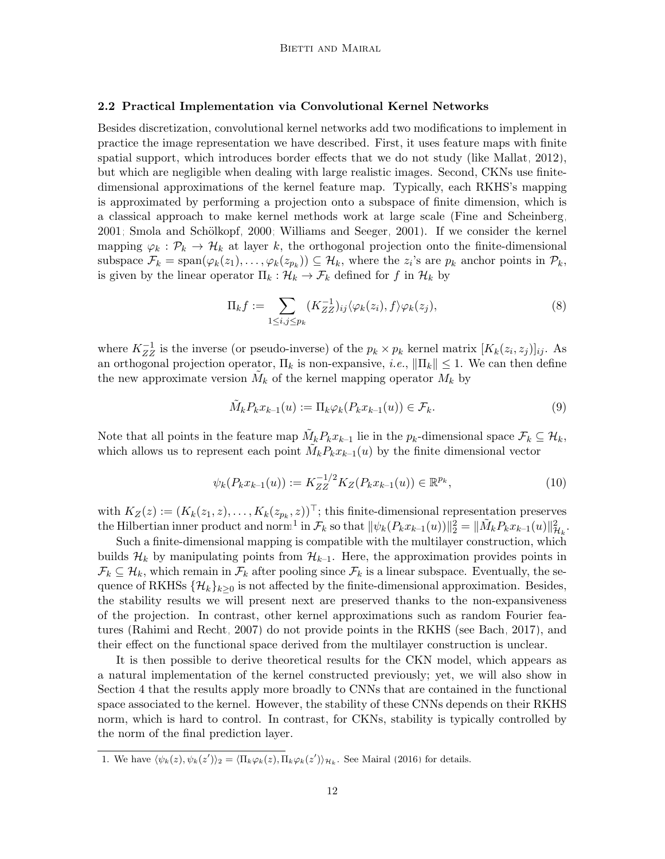# <span id="page-11-1"></span>2.2 Practical Implementation via Convolutional Kernel Networks

Besides discretization, convolutional kernel networks add two modifications to implement in practice the image representation we have described. First, it uses feature maps with finite spatial support, which introduces border effects that we do not study (like [Mallat, 2012\)](#page-46-1), but which are negligible when dealing with large realistic images. Second, CKNs use finitedimensional approximations of the kernel feature map. Typically, each RKHS's mapping is approximated by performing a projection onto a subspace of finite dimension, which is a classical approach to make kernel methods work at large scale [\(Fine and Scheinberg,](#page-46-9) [2001;](#page-46-9) Smola and Schölkopf, 2000; [Williams and Seeger, 2001\)](#page-48-3). If we consider the kernel mapping  $\varphi_k : \mathcal{P}_k \to \mathcal{H}_k$  at layer k, the orthogonal projection onto the finite-dimensional subspace  $\mathcal{F}_k = \text{span}(\varphi_k(z_1), \dots, \varphi_k(z_{p_k})) \subseteq \mathcal{H}_k$ , where the  $z_i$ 's are  $p_k$  anchor points in  $\mathcal{P}_k$ , is given by the linear operator  $\Pi_k : \mathcal{H}_k \to \mathcal{F}_k$  defined for f in  $\mathcal{H}_k$  by

<span id="page-11-2"></span>
$$
\Pi_k f := \sum_{1 \le i,j \le p_k} (K_{ZZ}^{-1})_{ij} \langle \varphi_k(z_i), f \rangle \varphi_k(z_j), \tag{8}
$$

where  $K_{ZZ}^{-1}$  is the inverse (or pseudo-inverse) of the  $p_k \times p_k$  kernel matrix  $[K_k(z_i, z_j)]_{ij}$ . As an orthogonal projection operator,  $\Pi_k$  is non-expansive, *i.e.*,  $\|\Pi_k\| \leq 1$ . We can then define the new approximate version  $\tilde{M}_k$  of the kernel mapping operator  $M_k$  by

<span id="page-11-3"></span>
$$
\tilde{M}_k P_k x_{k-1}(u) := \Pi_k \varphi_k (P_k x_{k-1}(u)) \in \mathcal{F}_k.
$$
\n
$$
(9)
$$

Note that all points in the feature map  $\tilde{M}_k P_k x_{k-1}$  lie in the  $p_k$ -dimensional space  $\mathcal{F}_k \subseteq \mathcal{H}_k$ , which allows us to represent each point  $\tilde{M}_k P_k x_{k-1}(u)$  by the finite dimensional vector

$$
\psi_k(P_k x_{k-1}(u)) := K_{ZZ}^{-1/2} K_Z(P_k x_{k-1}(u)) \in \mathbb{R}^{p_k},\tag{10}
$$

with  $K_Z(z) := (K_k(z_1, z), \ldots, K_k(z_{p_k}, z))^{\top}$ ; this finite-dimensional representation preserves the Hilbertian inner product and norm<sup>[1](#page-11-0)</sup> in  $\mathcal{F}_k$  so that  $\|\psi_k(P_k x_{k-1}(u))\|_2^2 = \|\tilde{M}_k P_k x_{k-1}(u)\|_{\mathcal{H}_k}^2$ .

Such a finite-dimensional mapping is compatible with the multilayer construction, which builds  $\mathcal{H}_k$  by manipulating points from  $\mathcal{H}_{k-1}$ . Here, the approximation provides points in  $\mathcal{F}_k \subseteq \mathcal{H}_k$ , which remain in  $\mathcal{F}_k$  after pooling since  $\mathcal{F}_k$  is a linear subspace. Eventually, the sequence of RKHSs  $\{\mathcal{H}_k\}_{k>0}$  is not affected by the finite-dimensional approximation. Besides, the stability results we will present next are preserved thanks to the non-expansiveness of the projection. In contrast, other kernel approximations such as random Fourier features [\(Rahimi and Recht, 2007\)](#page-47-8) do not provide points in the RKHS (see [Bach, 2017\)](#page-45-12), and their effect on the functional space derived from the multilayer construction is unclear.

It is then possible to derive theoretical results for the CKN model, which appears as a natural implementation of the kernel constructed previously; yet, we will also show in Section [4](#page-21-0) that the results apply more broadly to CNNs that are contained in the functional space associated to the kernel. However, the stability of these CNNs depends on their RKHS norm, which is hard to control. In contrast, for CKNs, stability is typically controlled by the norm of the final prediction layer.

<span id="page-11-0"></span><sup>1.</sup> We have  $\langle \psi_k(z), \psi_k(z') \rangle_2 = \langle \Pi_k \varphi_k(z), \Pi_k \varphi_k(z') \rangle_{\mathcal{H}_k}$ . See [Mairal](#page-46-2) [\(2016\)](#page-46-2) for details.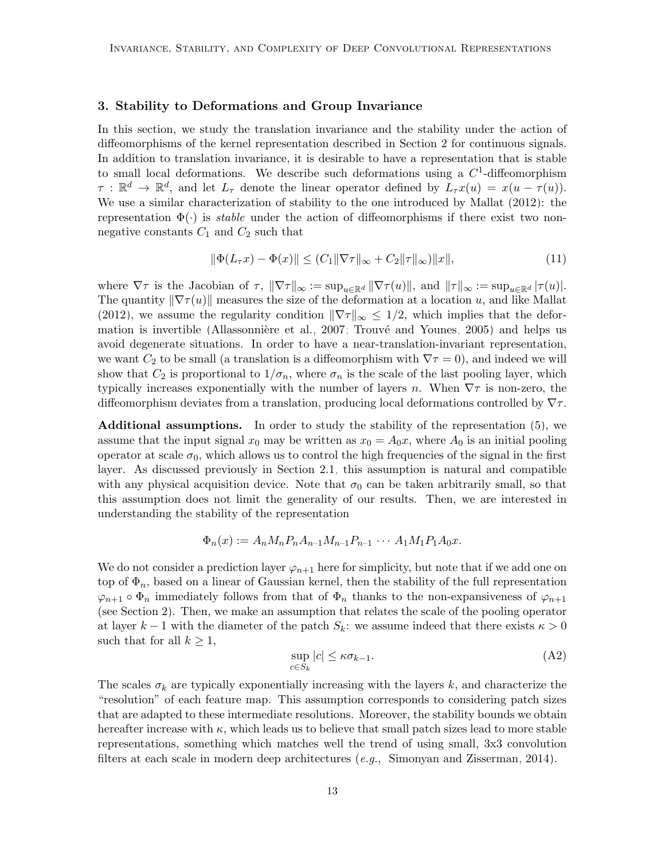# <span id="page-12-0"></span>3. Stability to Deformations and Group Invariance

In this section, we study the translation invariance and the stability under the action of diffeomorphisms of the kernel representation described in Section [2](#page-6-0) for continuous signals. In addition to translation invariance, it is desirable to have a representation that is stable to small local deformations. We describe such deformations using a  $C<sup>1</sup>$ -diffeomorphism  $\tau : \mathbb{R}^d \to \mathbb{R}^d$ , and let  $L_{\tau}$  denote the linear operator defined by  $L_{\tau}x(u) = x(u - \tau(u))$ . We use a similar characterization of stability to the one introduced by [Mallat](#page-46-1) [\(2012\)](#page-46-1): the representation  $\Phi(\cdot)$  is *stable* under the action of diffeomorphisms if there exist two nonnegative constants  $C_1$  and  $C_2$  such that

<span id="page-12-1"></span>
$$
\|\Phi(L_{\tau}x) - \Phi(x)\| \le (C_1 \|\nabla \tau\|_{\infty} + C_2 \|\tau\|_{\infty})\|x\|,\tag{11}
$$

where  $\nabla \tau$  is the Jacobian of  $\tau$ ,  $\|\nabla \tau\|_{\infty} := \sup_{u \in \mathbb{R}^d} \|\nabla \tau(u)\|$ , and  $\|\tau\|_{\infty} := \sup_{u \in \mathbb{R}^d} |\tau(u)|$ . The quantity  $\|\nabla \tau(u)\|$  measures the size of the deformation at a location u, and like [Mallat](#page-46-1) [\(2012\)](#page-46-1), we assume the regularity condition  $\|\nabla \tau\|_{\infty} \leq 1/2$ , which implies that the deformation is invertible (Allassonnière et al., 2007; Trouvé and Younes, 2005) and helps us avoid degenerate situations. In order to have a near-translation-invariant representation, we want  $C_2$  to be small (a translation is a diffeomorphism with  $\nabla \tau = 0$ ), and indeed we will show that  $C_2$  is proportional to  $1/\sigma_n$ , where  $\sigma_n$  is the scale of the last pooling layer, which typically increases exponentially with the number of layers n. When  $\nabla \tau$  is non-zero, the diffeomorphism deviates from a translation, producing local deformations controlled by  $\nabla \tau$ .

Additional assumptions. In order to study the stability of the representation [\(5\)](#page-9-1), we assume that the input signal  $x_0$  may be written as  $x_0 = A_0x$ , where  $A_0$  is an initial pooling operator at scale  $\sigma_0$ , which allows us to control the high frequencies of the signal in the first layer. As discussed previously in Section [2.1,](#page-9-0) this assumption is natural and compatible with any physical acquisition device. Note that  $\sigma_0$  can be taken arbitrarily small, so that this assumption does not limit the generality of our results. Then, we are interested in understanding the stability of the representation

$$
\Phi_n(x) := A_n M_n P_n A_{n-1} M_{n-1} P_{n-1} \cdots A_1 M_1 P_1 A_0 x.
$$

We do not consider a prediction layer  $\varphi_{n+1}$  here for simplicity, but note that if we add one on top of  $\Phi_n$ , based on a linear of Gaussian kernel, then the stability of the full representation  $\varphi_{n+1} \circ \Phi_n$  immediately follows from that of  $\Phi_n$  thanks to the non-expansiveness of  $\varphi_{n+1}$ (see Section [2\)](#page-6-0). Then, we make an assumption that relates the scale of the pooling operator at layer  $k-1$  with the diameter of the patch  $S_k$ : we assume indeed that there exists  $\kappa > 0$ such that for all  $k \geq 1$ ,

<span id="page-12-2"></span>
$$
\sup_{c \in S_k} |c| \le \kappa \sigma_{k-1}.\tag{A2}
$$

The scales  $\sigma_k$  are typically exponentially increasing with the layers k, and characterize the "resolution" of each feature map. This assumption corresponds to considering patch sizes that are adapted to these intermediate resolutions. Moreover, the stability bounds we obtain hereafter increase with  $\kappa$ , which leads us to believe that small patch sizes lead to more stable representations, something which matches well the trend of using small, 3x3 convolution filters at each scale in modern deep architectures  $(e.q., Simonyan and Zisserman, 2014)$  $(e.q., Simonyan and Zisserman, 2014)$ .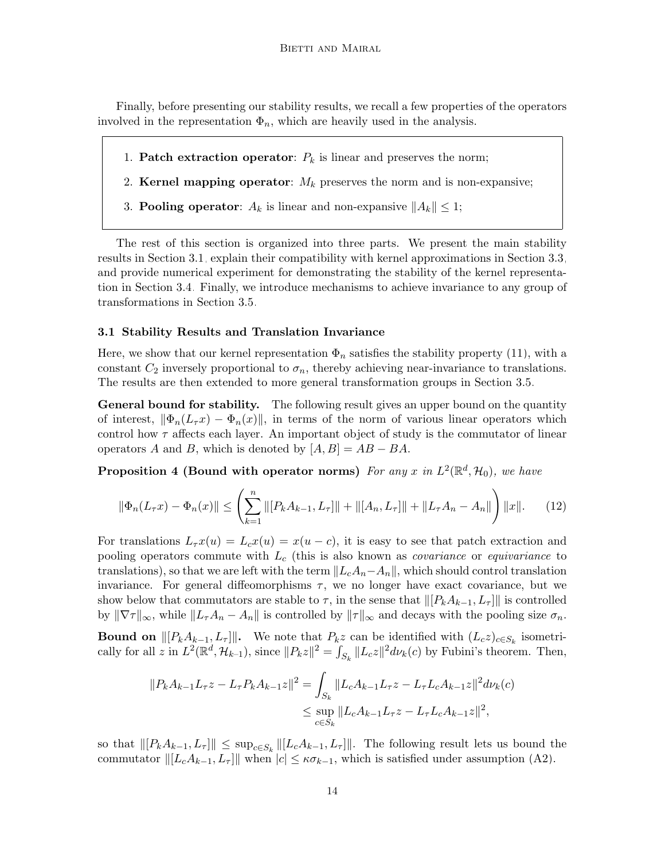Finally, before presenting our stability results, we recall a few properties of the operators involved in the representation  $\Phi_n$ , which are heavily used in the analysis.

- 1. **Patch extraction operator:**  $P_k$  is linear and preserves the norm;
- 2. Kernel mapping operator:  $M_k$  preserves the norm and is non-expansive;
- 3. **Pooling operator**:  $A_k$  is linear and non-expansive  $||A_k|| \leq 1$ ;

The rest of this section is organized into three parts. We present the main stability results in Section [3.1,](#page-13-0) explain their compatibility with kernel approximations in Section [3.3,](#page-16-0) and provide numerical experiment for demonstrating the stability of the kernel representation in Section [3.4.](#page-16-1) Finally, we introduce mechanisms to achieve invariance to any group of transformations in Section [3.5.](#page-18-0)

### <span id="page-13-0"></span>3.1 Stability Results and Translation Invariance

Here, we show that our kernel representation  $\Phi_n$  satisfies the stability property [\(11\)](#page-12-1), with a constant  $C_2$  inversely proportional to  $\sigma_n$ , thereby achieving near-invariance to translations. The results are then extended to more general transformation groups in Section [3.5.](#page-18-0)

General bound for stability. The following result gives an upper bound on the quantity of interest,  $\|\Phi_n(L_\tau x) - \Phi_n(x)\|$ , in terms of the norm of various linear operators which control how  $\tau$  affects each layer. An important object of study is the commutator of linear operators A and B, which is denoted by  $[A, B] = AB - BA$ .

**Proposition 4 (Bound with operator norms)** For any x in  $L^2(\mathbb{R}^d, \mathcal{H}_0)$ , we have

<span id="page-13-1"></span>
$$
\|\Phi_n(L_\tau x) - \Phi_n(x)\| \le \left(\sum_{k=1}^n \|[P_k A_{k-1}, L_\tau]\| + \|[A_n, L_\tau]\| + \|L_\tau A_n - A_n\|\right) \|x\|.\tag{12}
$$

For translations  $L_{\tau}x(u) = L_{c}x(u) = x(u - c)$ , it is easy to see that patch extraction and pooling operators commute with  $L_c$  (this is also known as *covariance* or *equivariance* to translations), so that we are left with the term  $||L_cA_n-A_n||$ , which should control translation invariance. For general diffeomorphisms  $\tau$ , we no longer have exact covariance, but we show below that commutators are stable to  $\tau$ , in the sense that  $\|[P_kA_{k-1}, L_{\tau}]\|$  is controlled by  $\|\nabla \tau\|_{\infty}$ , while  $\|L_{\tau}A_n - A_n\|$  is controlled by  $\|\tau\|_{\infty}$  and decays with the pooling size  $\sigma_n$ .

**Bound on**  $\|[P_kA_{k-1}, L_{\tau}]\|$ . We note that  $P_kz$  can be identified with  $(L_cz)_{c\in S_k}$  isometrically for all z in  $L^2(\mathbb{R}^d, \mathcal{H}_{k-1})$ , since  $||P_kz||^2 = \int_{S_k} ||L_cz||^2 d\nu_k(c)$  by Fubini's theorem. Then,

$$
||P_k A_{k-1} L_\tau z - L_\tau P_k A_{k-1} z||^2 = \int_{S_k} ||L_c A_{k-1} L_\tau z - L_\tau L_c A_{k-1} z||^2 d\nu_k(c)
$$
  

$$
\leq \sup_{c \in S_k} ||L_c A_{k-1} L_\tau z - L_\tau L_c A_{k-1} z||^2,
$$

<span id="page-13-2"></span>so that  $\|[P_kA_{k-1}, L_\tau]\| \leq \sup_{c \in S_k} \| [L_cA_{k-1}, L_\tau]\|.$  The following result lets us bound the commutator  $\|[L_cA_{k-1}, L_\tau]\|$  when  $|c| \leq \kappa \sigma_{k-1}$ , which is satisfied under assumption [\(A2\)](#page-12-2).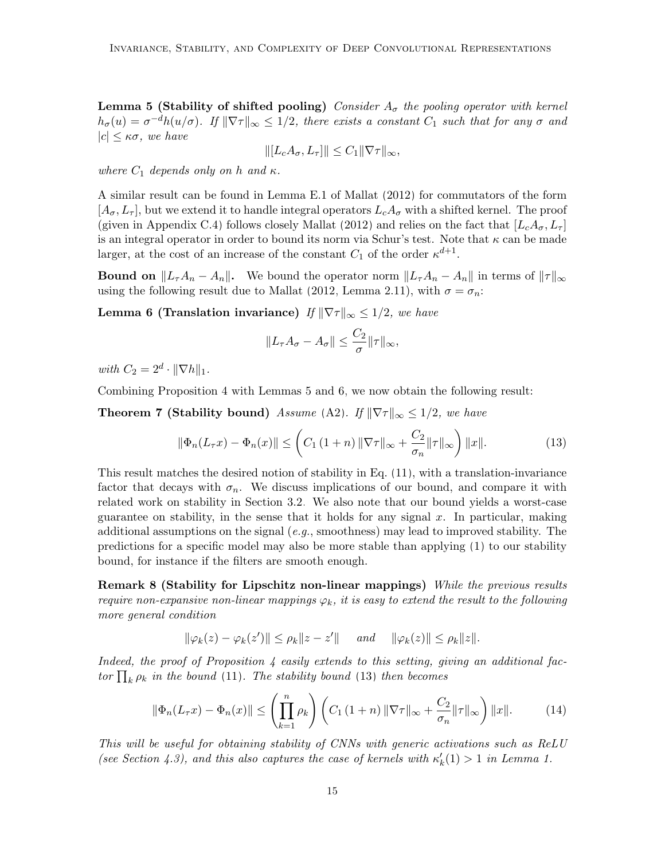**Lemma 5 (Stability of shifted pooling)** Consider  $A_{\sigma}$  the pooling operator with kernel  $h_{\sigma}(u) = \sigma^{-d}h(u/\sigma)$ . If  $\|\nabla \tau\|_{\infty} \leq 1/2$ , there exists a constant  $C_1$  such that for any  $\sigma$  and  $|c| \leq \kappa \sigma$ , we have

$$
\| [L_c A_\sigma, L_\tau] \| \le C_1 \| \nabla \tau \|_\infty,
$$

where  $C_1$  depends only on h and  $\kappa$ .

A similar result can be found in Lemma E.1 of [Mallat](#page-46-1) [\(2012\)](#page-46-1) for commutators of the form  $[A_{\sigma}, L_{\tau}],$  but we extend it to handle integral operators  $L_{c}A_{\sigma}$  with a shifted kernel. The proof (given in Appendix [C.4\)](#page-33-0) follows closely [Mallat](#page-46-1) [\(2012\)](#page-46-1) and relies on the fact that  $[L_cA_{\sigma}, L_{\tau}]$ is an integral operator in order to bound its norm via Schur's test. Note that  $\kappa$  can be made larger, at the cost of an increase of the constant  $C_1$  of the order  $\kappa^{d+1}$ .

**Bound on**  $||L_{\tau}A_n - A_n||$ . We bound the operator norm  $||L_{\tau}A_n - A_n||$  in terms of  $||\tau||_{\infty}$ using the following result due to [Mallat](#page-46-1) [\(2012,](#page-46-1) Lemma 2.11), with  $\sigma = \sigma_n$ :

**Lemma 6 (Translation invariance)** If  $\|\nabla \tau\|_{\infty} \leq 1/2$ , we have

<span id="page-14-2"></span><span id="page-14-1"></span><span id="page-14-0"></span>
$$
||L_{\tau}A_{\sigma}-A_{\sigma}||\leq \frac{C_2}{\sigma}||\tau||_{\infty},
$$

with  $C_2 = 2^d \cdot ||\nabla h||_1$ .

Combining Proposition [4](#page-13-1) with Lemmas [5](#page-13-2) and [6,](#page-14-0) we now obtain the following result:

**Theorem 7 (Stability bound)** Assume [\(A2\)](#page-12-2). If  $\|\nabla \tau\|_{\infty} \leq 1/2$ , we have

$$
\|\Phi_n(L_\tau x) - \Phi_n(x)\| \le \left( C_1 (1+n) \|\nabla \tau\|_{\infty} + \frac{C_2}{\sigma_n} \|\tau\|_{\infty} \right) \|x\|.
$$
 (13)

This result matches the desired notion of stability in Eq. [\(11\)](#page-12-1), with a translation-invariance factor that decays with  $\sigma_n$ . We discuss implications of our bound, and compare it with related work on stability in Section [3.2.](#page-15-0) We also note that our bound yields a worst-case guarantee on stability, in the sense that it holds for any signal  $x$ . In particular, making additional assumptions on the signal  $(e.g.,$  smoothness) may lead to improved stability. The predictions for a specific model may also be more stable than applying [\(1\)](#page-5-0) to our stability bound, for instance if the filters are smooth enough.

**Remark 8 (Stability for Lipschitz non-linear mappings)** While the previous results require non-expansive non-linear mappings  $\varphi_k$ , it is easy to extend the result to the following more general condition

$$
\|\varphi_k(z)-\varphi_k(z')\| \leq \rho_k \|z-z'\| \quad \text{and} \quad \|\varphi_k(z)\| \leq \rho_k \|z\|.
$$

Indeed, the proof of Proposition  $\lambda$  easily extends to this setting, giving an additional factor  $\prod_k \rho_k$  in the bound [\(11\)](#page-12-1). The stability bound [\(13\)](#page-14-1) then becomes

$$
\|\Phi_n(L_\tau x) - \Phi_n(x)\| \le \left(\prod_{k=1}^n \rho_k\right) \left(C_1\left(1+n\right) \|\nabla \tau\|_\infty + \frac{C_2}{\sigma_n} \|\tau\|_\infty\right) \|x\|.\tag{14}
$$

This will be useful for obtaining stability of CNNs with generic activations such as ReLU (see Section [4.3\)](#page-26-0), and this also captures the case of kernels with  $\kappa'_{k}(1) > 1$  in Lemma [1.](#page-7-1)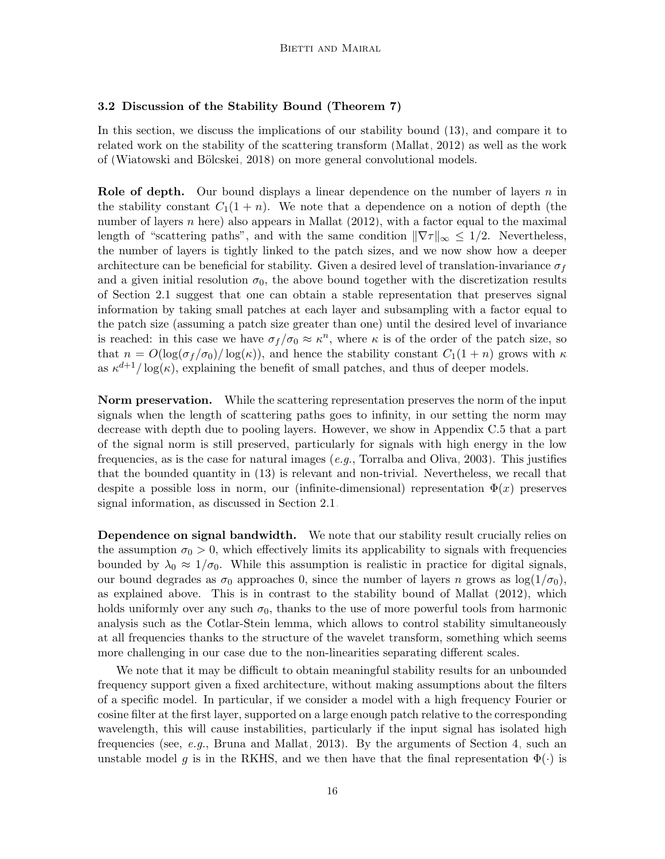# <span id="page-15-0"></span>3.2 Discussion of the Stability Bound (Theorem [7\)](#page-14-2)

In this section, we discuss the implications of our stability bound [\(13\)](#page-14-1), and compare it to related work on the stability of the scattering transform [\(Mallat, 2012\)](#page-46-1) as well as the work of (Wiatowski and Bölcskei, 2018) on more general convolutional models.

**Role of depth.** Our bound displays a linear dependence on the number of layers n in the stability constant  $C_1(1 + n)$ . We note that a dependence on a notion of depth (the number of layers n here) also appears in [Mallat](#page-46-1)  $(2012)$ , with a factor equal to the maximal length of "scattering paths", and with the same condition  $\|\nabla \tau\|_{\infty} \leq 1/2$ . Nevertheless, the number of layers is tightly linked to the patch sizes, and we now show how a deeper architecture can be beneficial for stability. Given a desired level of translation-invariance  $\sigma_f$ and a given initial resolution  $\sigma_0$ , the above bound together with the discretization results of Section [2.1](#page-9-0) suggest that one can obtain a stable representation that preserves signal information by taking small patches at each layer and subsampling with a factor equal to the patch size (assuming a patch size greater than one) until the desired level of invariance is reached: in this case we have  $\sigma_f/\sigma_0 \approx \kappa^n$ , where  $\kappa$  is of the order of the patch size, so that  $n = O(\log(\sigma_f/\sigma_0)/\log(\kappa))$ , and hence the stability constant  $C_1(1+n)$  grows with  $\kappa$ as  $\kappa^{d+1}/\log(\kappa)$ , explaining the benefit of small patches, and thus of deeper models.

**Norm preservation.** While the scattering representation preserves the norm of the input signals when the length of scattering paths goes to infinity, in our setting the norm may decrease with depth due to pooling layers. However, we show in Appendix [C.5](#page-36-0) that a part of the signal norm is still preserved, particularly for signals with high energy in the low frequencies, as is the case for natural images  $(e.g.,$  [Torralba and Oliva, 2003\)](#page-47-10). This justifies that the bounded quantity in [\(13\)](#page-14-1) is relevant and non-trivial. Nevertheless, we recall that despite a possible loss in norm, our (infinite-dimensional) representation  $\Phi(x)$  preserves signal information, as discussed in Section [2.1.](#page-9-0)

**Dependence on signal bandwidth.** We note that our stability result crucially relies on the assumption  $\sigma_0 > 0$ , which effectively limits its applicability to signals with frequencies bounded by  $\lambda_0 \approx 1/\sigma_0$ . While this assumption is realistic in practice for digital signals, our bound degrades as  $\sigma_0$  approaches 0, since the number of layers n grows as  $\log(1/\sigma_0)$ , as explained above. This is in contrast to the stability bound of [Mallat](#page-46-1) [\(2012\)](#page-46-1), which holds uniformly over any such  $\sigma_0$ , thanks to the use of more powerful tools from harmonic analysis such as the Cotlar-Stein lemma, which allows to control stability simultaneously at all frequencies thanks to the structure of the wavelet transform, something which seems more challenging in our case due to the non-linearities separating different scales.

We note that it may be difficult to obtain meaningful stability results for an unbounded frequency support given a fixed architecture, without making assumptions about the filters of a specific model. In particular, if we consider a model with a high frequency Fourier or cosine filter at the first layer, supported on a large enough patch relative to the corresponding wavelength, this will cause instabilities, particularly if the input signal has isolated high frequencies (see, e.g., [Bruna and Mallat, 2013\)](#page-45-0). By the arguments of Section [4,](#page-21-0) such an unstable model g is in the RKHS, and we then have that the final representation  $\Phi(\cdot)$  is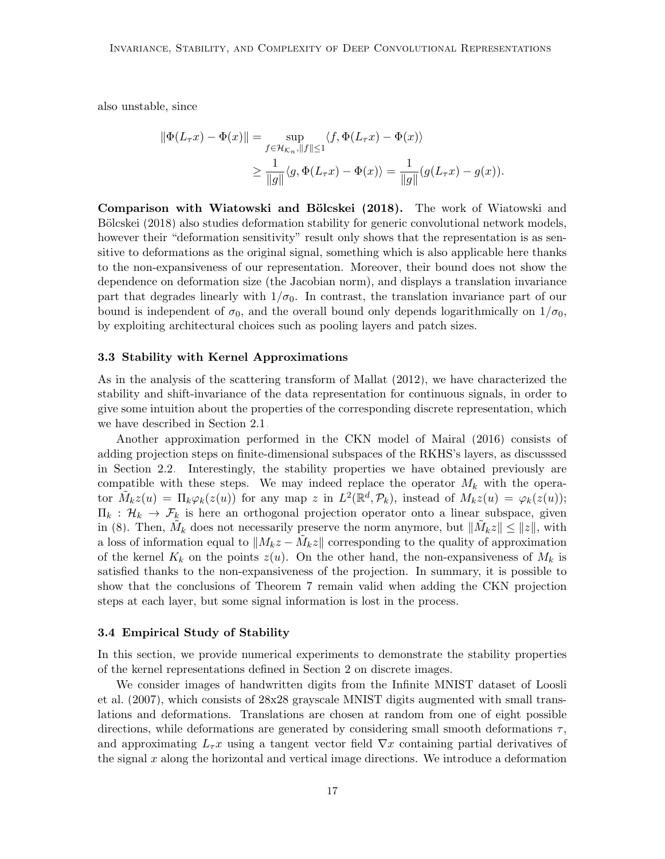also unstable, since

$$
\|\Phi(L_{\tau}x) - \Phi(x)\| = \sup_{f \in \mathcal{H}_{\mathcal{K}_n}, \|f\| \le 1} \langle f, \Phi(L_{\tau}x) - \Phi(x) \rangle
$$
  

$$
\ge \frac{1}{\|g\|} \langle g, \Phi(L_{\tau}x) - \Phi(x) \rangle = \frac{1}{\|g\|} (g(L_{\tau}x) - g(x)).
$$

Comparison with Wiatowski and Bölcskei [\(2018\)](#page-48-1). The work of [Wiatowski and](#page-48-1) Bölcskei [\(2018\)](#page-48-1) also studies deformation stability for generic convolutional network models, however their "deformation sensitivity" result only shows that the representation is as sensitive to deformations as the original signal, something which is also applicable here thanks to the non-expansiveness of our representation. Moreover, their bound does not show the dependence on deformation size (the Jacobian norm), and displays a translation invariance part that degrades linearly with  $1/\sigma_0$ . In contrast, the translation invariance part of our bound is independent of  $\sigma_0$ , and the overall bound only depends logarithmically on  $1/\sigma_0$ , by exploiting architectural choices such as pooling layers and patch sizes.

### <span id="page-16-0"></span>3.3 Stability with Kernel Approximations

As in the analysis of the scattering transform of [Mallat](#page-46-1) [\(2012\)](#page-46-1), we have characterized the stability and shift-invariance of the data representation for continuous signals, in order to give some intuition about the properties of the corresponding discrete representation, which we have described in Section [2.1.](#page-9-0)

Another approximation performed in the CKN model of [Mairal](#page-46-2) [\(2016\)](#page-46-2) consists of adding projection steps on finite-dimensional subspaces of the RKHS's layers, as discusssed in Section [2.2.](#page-11-1) Interestingly, the stability properties we have obtained previously are compatible with these steps. We may indeed replace the operator  $M_k$  with the operator  $\tilde{M}_k z(u) = \Pi_k \varphi_k(z(u))$  for any map z in  $L^2(\mathbb{R}^d, \mathcal{P}_k)$ , instead of  $M_k z(u) = \varphi_k(z(u))$ ;  $\Pi_k : \mathcal{H}_k \to \mathcal{F}_k$  is here an orthogonal projection operator onto a linear subspace, given in [\(8\)](#page-11-2). Then,  $\tilde{M}_k$  does not necessarily preserve the norm anymore, but  $\|\tilde{M}_k z\| \leq \|z\|$ , with a loss of information equal to  $||M_kz - \tilde{M}_kz||$  corresponding to the quality of approximation of the kernel  $K_k$  on the points  $z(u)$ . On the other hand, the non-expansiveness of  $M_k$  is satisfied thanks to the non-expansiveness of the projection. In summary, it is possible to show that the conclusions of Theorem [7](#page-14-2) remain valid when adding the CKN projection steps at each layer, but some signal information is lost in the process.

# <span id="page-16-1"></span>3.4 Empirical Study of Stability

In this section, we provide numerical experiments to demonstrate the stability properties of the kernel representations defined in Section [2](#page-6-0) on discrete images.

We consider images of handwritten digits from the Infinite MNIST dataset of [Loosli](#page-46-10) [et al.](#page-46-10) [\(2007\)](#page-46-10), which consists of 28x28 grayscale MNIST digits augmented with small translations and deformations. Translations are chosen at random from one of eight possible directions, while deformations are generated by considering small smooth deformations  $\tau$ , and approximating  $L_{\tau}x$  using a tangent vector field  $\nabla x$  containing partial derivatives of the signal  $x$  along the horizontal and vertical image directions. We introduce a deformation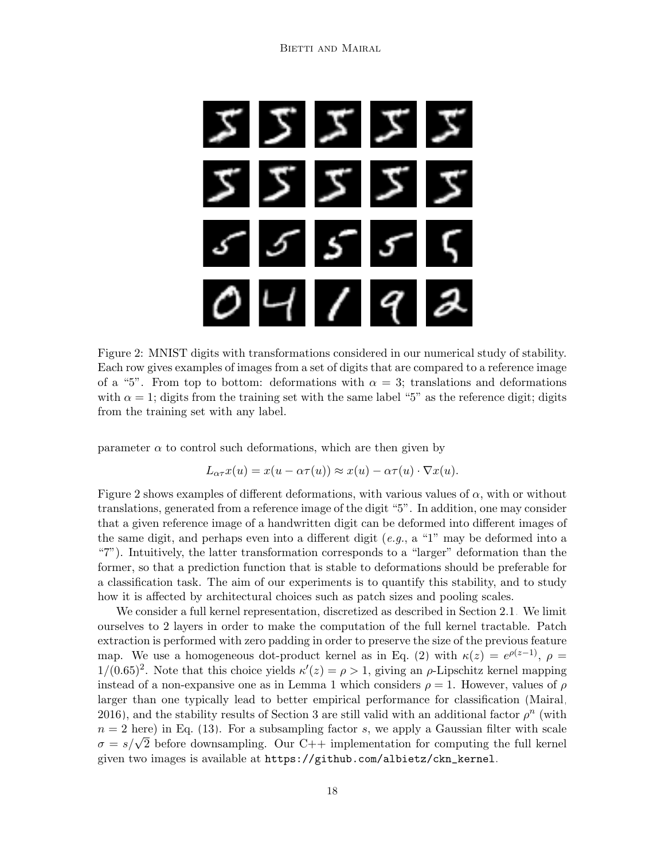<span id="page-17-0"></span>

Figure 2: MNIST digits with transformations considered in our numerical study of stability. Each row gives examples of images from a set of digits that are compared to a reference image of a "5". From top to bottom: deformations with  $\alpha = 3$ ; translations and deformations with  $\alpha = 1$ ; digits from the training set with the same label "5" as the reference digit; digits from the training set with any label.

parameter  $\alpha$  to control such deformations, which are then given by

$$
L_{\alpha\tau}x(u) = x(u - \alpha\tau(u)) \approx x(u) - \alpha\tau(u) \cdot \nabla x(u).
$$

Figure [2](#page-17-0) shows examples of different deformations, with various values of  $\alpha$ , with or without translations, generated from a reference image of the digit "5". In addition, one may consider that a given reference image of a handwritten digit can be deformed into different images of the same digit, and perhaps even into a different digit  $(e.g., a "1" may be deformed into a$ "7"). Intuitively, the latter transformation corresponds to a "larger" deformation than the former, so that a prediction function that is stable to deformations should be preferable for a classification task. The aim of our experiments is to quantify this stability, and to study how it is affected by architectural choices such as patch sizes and pooling scales.

We consider a full kernel representation, discretized as described in Section [2.1.](#page-9-0) We limit ourselves to 2 layers in order to make the computation of the full kernel tractable. Patch extraction is performed with zero padding in order to preserve the size of the previous feature map. We use a homogeneous dot-product kernel as in Eq. [\(2\)](#page-7-2) with  $\kappa(z) = e^{\rho(z-1)}$ ,  $\rho =$  $1/(0.65)^2$ . Note that this choice yields  $\kappa'(z) = \rho > 1$ , giving an  $\rho$ -Lipschitz kernel mapping instead of a non-expansive one as in Lemma [1](#page-7-1) which considers  $\rho = 1$ . However, values of  $\rho$ larger than one typically lead to better empirical performance for classification [\(Mairal,](#page-46-2) [2016\)](#page-46-2), and the stability results of Section [3](#page-12-0) are still valid with an additional factor  $\rho^n$  (with  $n = 2$  here) in Eq. [\(13\)](#page-14-1). For a subsampling factor s, we apply a Gaussian filter with scale  $\sigma = s/\sqrt{2}$  before downsampling. Our C++ implementation for computing the full kernel given two images is available at [https://github.com/albietz/ckn\\_kernel](https://github.com/albietz/ckn_kernel).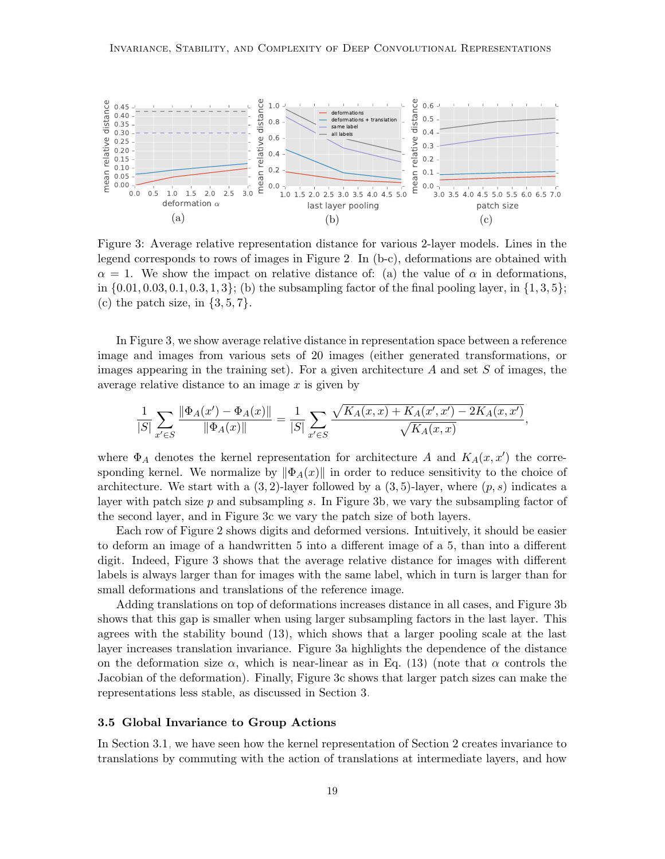<span id="page-18-1"></span>

Figure 3: Average relative representation distance for various 2-layer models. Lines in the legend corresponds to rows of images in Figure [2.](#page-17-0) In (b-c), deformations are obtained with  $\alpha = 1$ . We show the impact on relative distance of: (a) the value of  $\alpha$  in deformations, in  $\{0.01, 0.03, 0.1, 0.3, 1, 3\}$ ; (b) the subsampling factor of the final pooling layer, in  $\{1, 3, 5\}$ ; (c) the patch size, in  $\{3, 5, 7\}$ .

In Figure [3,](#page-18-1) we show average relative distance in representation space between a reference image and images from various sets of 20 images (either generated transformations, or images appearing in the training set). For a given architecture  $A$  and set  $S$  of images, the average relative distance to an image  $x$  is given by

$$
\frac{1}{|S|} \sum_{x' \in S} \frac{\|\Phi_A(x') - \Phi_A(x)\|}{\|\Phi_A(x)\|} = \frac{1}{|S|} \sum_{x' \in S} \frac{\sqrt{K_A(x,x) + K_A(x',x') - 2K_A(x,x')}}{\sqrt{K_A(x,x)}}.
$$

where  $\Phi_A$  denotes the kernel representation for architecture A and  $K_A(x, x')$  the corresponding kernel. We normalize by  $\|\Phi_A(x)\|$  in order to reduce sensitivity to the choice of architecture. We start with a  $(3, 2)$ -layer followed by a  $(3, 5)$ -layer, where  $(p, s)$  indicates a layer with patch size  $p$  and subsampling s. In Figure [3b,](#page-18-1) we vary the subsampling factor of the second layer, and in Figure [3c](#page-18-1) we vary the patch size of both layers.

Each row of Figure [2](#page-17-0) shows digits and deformed versions. Intuitively, it should be easier to deform an image of a handwritten 5 into a different image of a 5, than into a different digit. Indeed, Figure [3](#page-18-1) shows that the average relative distance for images with different labels is always larger than for images with the same label, which in turn is larger than for small deformations and translations of the reference image.

Adding translations on top of deformations increases distance in all cases, and Figure [3b](#page-18-1) shows that this gap is smaller when using larger subsampling factors in the last layer. This agrees with the stability bound [\(13\)](#page-14-1), which shows that a larger pooling scale at the last layer increases translation invariance. Figure [3a](#page-18-1) highlights the dependence of the distance on the deformation size  $\alpha$ , which is near-linear as in Eq. [\(13\)](#page-14-1) (note that  $\alpha$  controls the Jacobian of the deformation). Finally, Figure [3c](#page-18-1) shows that larger patch sizes can make the representations less stable, as discussed in Section [3.](#page-12-0)

### <span id="page-18-0"></span>3.5 Global Invariance to Group Actions

In Section [3.1,](#page-13-0) we have seen how the kernel representation of Section [2](#page-6-0) creates invariance to translations by commuting with the action of translations at intermediate layers, and how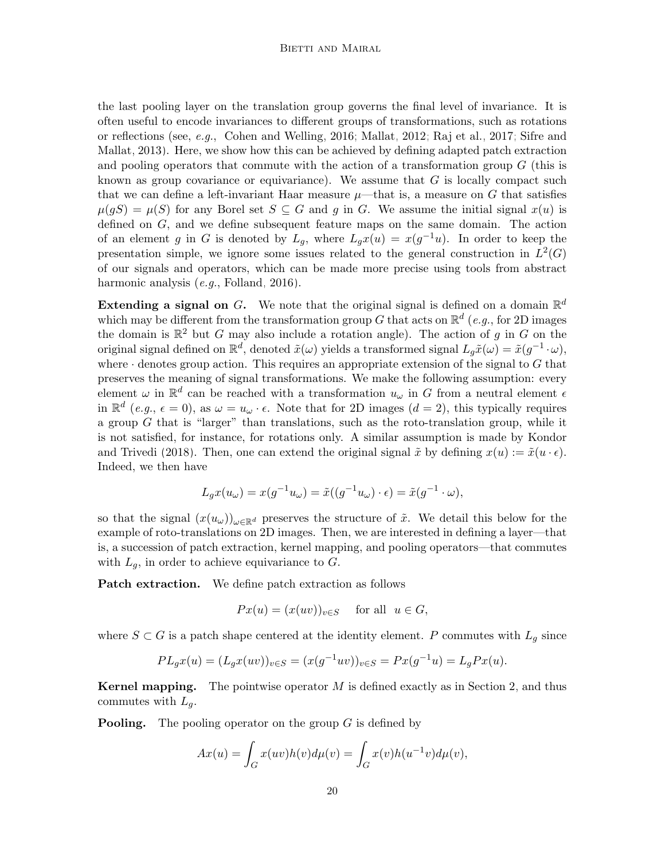the last pooling layer on the translation group governs the final level of invariance. It is often useful to encode invariances to different groups of transformations, such as rotations or reflections (see, e.g., [Cohen and Welling, 2016;](#page-45-5) [Mallat, 2012;](#page-46-1) [Raj et al., 2017;](#page-47-1) [Sifre and](#page-47-2) [Mallat, 2013\)](#page-47-2). Here, we show how this can be achieved by defining adapted patch extraction and pooling operators that commute with the action of a transformation group  $G$  (this is known as group covariance or equivariance). We assume that  $G$  is locally compact such that we can define a left-invariant Haar measure  $\mu$ —that is, a measure on G that satisfies  $\mu(gS) = \mu(S)$  for any Borel set  $S \subseteq G$  and g in G. We assume the initial signal  $x(u)$  is defined on G, and we define subsequent feature maps on the same domain. The action of an element g in G is denoted by  $L_g$ , where  $L_g x(u) = x(g^{-1}u)$ . In order to keep the presentation simple, we ignore some issues related to the general construction in  $L^2(G)$ of our signals and operators, which can be made more precise using tools from abstract harmonic analysis (e.g., [Folland, 2016\)](#page-46-11).

**Extending a signal on G.** We note that the original signal is defined on a domain  $\mathbb{R}^d$ which may be different from the transformation group G that acts on  $\mathbb{R}^d$  (e.g., for 2D images the domain is  $\mathbb{R}^2$  but G may also include a rotation angle). The action of g in G on the original signal defined on  $\mathbb{R}^d$ , denoted  $\tilde{x}(\omega)$  yields a transformed signal  $L_g\tilde{x}(\omega) = \tilde{x}(g^{-1} \cdot \omega)$ , where  $\cdot$  denotes group action. This requires an appropriate extension of the signal to G that preserves the meaning of signal transformations. We make the following assumption: every element  $\omega$  in  $\mathbb{R}^d$  can be reached with a transformation  $u_{\omega}$  in G from a neutral element  $\epsilon$ in  $\mathbb{R}^d$  (e.g.,  $\epsilon = 0$ ), as  $\omega = u_\omega \cdot \epsilon$ . Note that for 2D images (d = 2), this typically requires a group  $G$  that is "larger" than translations, such as the roto-translation group, while it is not satisfied, for instance, for rotations only. A similar assumption is made by [Kondor](#page-46-12) [and Trivedi](#page-46-12) [\(2018\)](#page-46-12). Then, one can extend the original signal  $\tilde{x}$  by defining  $x(u) := \tilde{x}(u \cdot \epsilon)$ . Indeed, we then have

$$
L_g x(u_\omega) = x(g^{-1} u_\omega) = \tilde{x}((g^{-1} u_\omega) \cdot \epsilon) = \tilde{x}(g^{-1} \cdot \omega),
$$

so that the signal  $(x(u_\omega))_{\omega \in \mathbb{R}^d}$  preserves the structure of  $\tilde{x}$ . We detail this below for the example of roto-translations on 2D images. Then, we are interested in defining a layer—that is, a succession of patch extraction, kernel mapping, and pooling operators—that commutes with  $L_g$ , in order to achieve equivariance to  $G$ .

Patch extraction. We define patch extraction as follows

$$
Px(u) = (x(uv))_{v \in S} \text{ for all } u \in G,
$$

where  $S \subset G$  is a patch shape centered at the identity element. P commutes with  $L_q$  since

$$
PL_gx(u) = (L_gx(uv))_{v \in S} = (x(g^{-1}uv))_{v \in S} = Px(g^{-1}u) = L_gPx(u).
$$

**Kernel mapping.** The pointwise operator  $M$  is defined exactly as in Section [2,](#page-6-0) and thus commutes with  $L_q$ .

**Pooling.** The pooling operator on the group  $G$  is defined by

$$
Ax(u) = \int_G x(uv)h(v)d\mu(v) = \int_G x(v)h(u^{-1}v)d\mu(v),
$$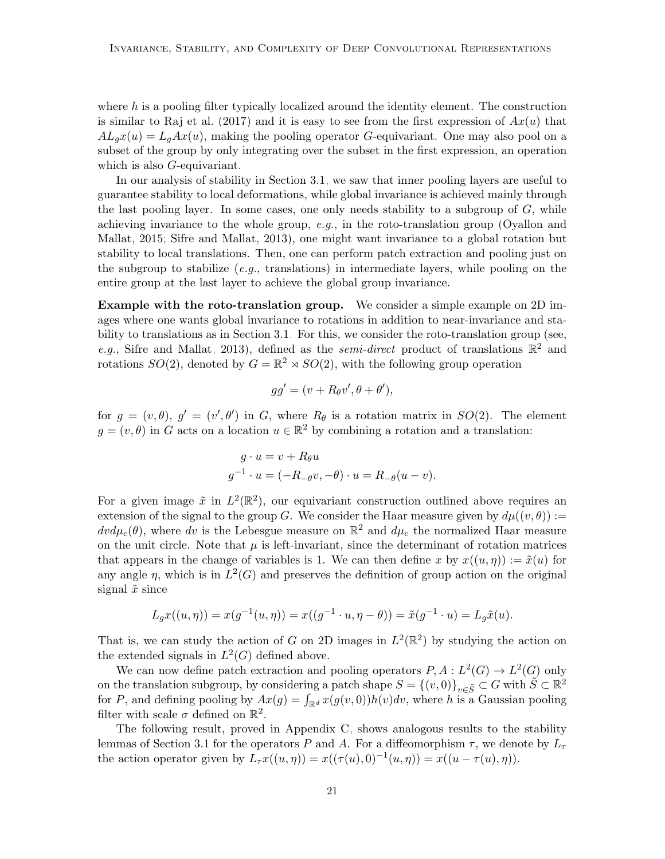where  $h$  is a pooling filter typically localized around the identity element. The construction is similar to [Raj et al.](#page-47-1) [\(2017\)](#page-47-1) and it is easy to see from the first expression of  $Ax(u)$  that  $AL_gx(u) = L_gAx(u)$ , making the pooling operator G-equivariant. One may also pool on a subset of the group by only integrating over the subset in the first expression, an operation which is also *G*-equivariant.

In our analysis of stability in Section [3.1,](#page-13-0) we saw that inner pooling layers are useful to guarantee stability to local deformations, while global invariance is achieved mainly through the last pooling layer. In some cases, one only needs stability to a subgroup of  $G$ , while achieving invariance to the whole group,  $e.g.,$  in the roto-translation group [\(Oyallon and](#page-47-11) [Mallat, 2015;](#page-47-11) [Sifre and Mallat, 2013\)](#page-47-2), one might want invariance to a global rotation but stability to local translations. Then, one can perform patch extraction and pooling just on the subgroup to stabilize (e.g., translations) in intermediate layers, while pooling on the entire group at the last layer to achieve the global group invariance.

Example with the roto-translation group. We consider a simple example on 2D images where one wants global invariance to rotations in addition to near-invariance and stability to translations as in Section [3.1.](#page-13-0) For this, we consider the roto-translation group (see, e.g., [Sifre and Mallat, 2013\)](#page-47-2), defined as the *semi-direct* product of translations  $\mathbb{R}^2$  and rotations  $SO(2)$ , denoted by  $G = \mathbb{R}^2 \rtimes SO(2)$ , with the following group operation

$$
gg' = (v + R_{\theta}v', \theta + \theta'),
$$

for  $g = (v, \theta), g' = (v', \theta')$  in G, where  $R_{\theta}$  is a rotation matrix in  $SO(2)$ . The element  $g = (v, \theta)$  in G acts on a location  $u \in \mathbb{R}^2$  by combining a rotation and a translation:

$$
g \cdot u = v + R_{\theta}u
$$
  

$$
g^{-1} \cdot u = (-R_{-\theta}v, -\theta) \cdot u = R_{-\theta}(u - v).
$$

For a given image  $\tilde{x}$  in  $L^2(\mathbb{R}^2)$ , our equivariant construction outlined above requires an extension of the signal to the group G. We consider the Haar measure given by  $d\mu((v,\theta)) :=$  $dv d\mu_c(\theta)$ , where dv is the Lebesgue measure on  $\mathbb{R}^2$  and  $d\mu_c$  the normalized Haar measure on the unit circle. Note that  $\mu$  is left-invariant, since the determinant of rotation matrices that appears in the change of variables is 1. We can then define x by  $x((u, \eta)) := \tilde{x}(u)$  for any angle  $\eta$ , which is in  $L^2(G)$  and preserves the definition of group action on the original signal  $\tilde{x}$  since

<span id="page-20-0"></span>
$$
L_g x((u, \eta)) = x(g^{-1}(u, \eta)) = x((g^{-1} \cdot u, \eta - \theta)) = \tilde{x}(g^{-1} \cdot u) = L_g \tilde{x}(u).
$$

That is, we can study the action of G on 2D images in  $L^2(\mathbb{R}^2)$  by studying the action on the extended signals in  $L^2(G)$  defined above.

We can now define patch extraction and pooling operators  $P, A: L^2(G) \to L^2(G)$  only on the translation subgroup, by considering a patch shape  $S = \{(v, 0)\}_{v \in \tilde{S}} \subset G$  with  $\tilde{S} \subset \mathbb{R}^2$ for P, and defining pooling by  $Ax(g) = \int_{\mathbb{R}^d} x(g(v, 0))h(v)dv$ , where h is a Gaussian pooling filter with scale  $\sigma$  defined on  $\mathbb{R}^2$ .

The following result, proved in Appendix [C,](#page-31-0) shows analogous results to the stability lemmas of Section [3.1](#page-13-0) for the operators P and A. For a diffeomorphism  $\tau$ , we denote by  $L_{\tau}$ the action operator given by  $L_{\tau}x((u, \eta)) = x((\tau(u), 0)^{-1}(u, \eta)) = x((u - \tau(u), \eta)).$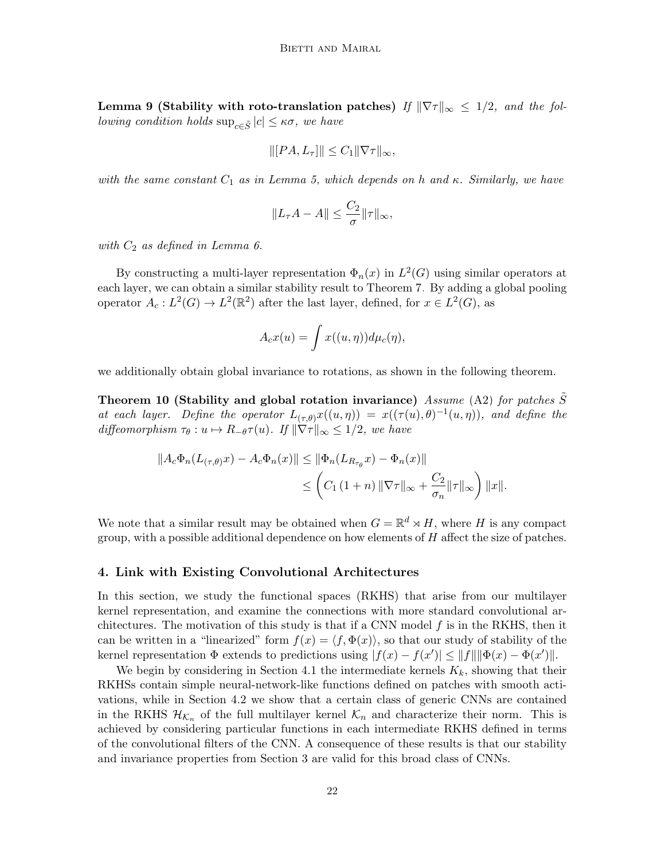Lemma 9 (Stability with roto-translation patches) If  $\|\nabla \tau\|_{\infty} \leq 1/2$ , and the fol*lowing condition holds*  $\sup_{c \in \tilde{S}} |c| \leq \kappa \sigma$ , we have

$$
\| [PA, L_{\tau}]\| \leq C_1 \| \nabla \tau \|_{\infty},
$$

with the same constant  $C_1$  as in Lemma [5,](#page-13-2) which depends on h and  $\kappa$ . Similarly, we have

$$
||L_{\tau}A - A|| \leq \frac{C_2}{\sigma} ||\tau||_{\infty},
$$

with  $C_2$  as defined in Lemma [6.](#page-14-0)

By constructing a multi-layer representation  $\Phi_n(x)$  in  $L^2(G)$  using similar operators at each layer, we can obtain a similar stability result to Theorem [7.](#page-14-2) By adding a global pooling operator  $A_c: L^2(G) \to L^2(\mathbb{R}^2)$  after the last layer, defined, for  $x \in L^2(G)$ , as

<span id="page-21-1"></span>
$$
A_c x(u) = \int x((u, \eta)) d\mu_c(\eta),
$$

we additionally obtain global invariance to rotations, as shown in the following theorem.

Theorem 10 (Stability and global rotation invariance) Assume [\(A2\)](#page-12-2) for patches  $\tilde{S}$ at each layer. Define the operator  $L_{(\tau,\theta)}x((u,\eta)) = x((\tau(u),\theta)^{-1}(u,\eta)),$  and define the diffeomorphism  $\tau_{\theta}: u \mapsto R_{-\theta} \tau(u)$ . If  $\|\nabla \tau\|_{\infty} \leq 1/2$ , we have

$$
||A_c \Phi_n(L_{(\tau,\theta)}x) - A_c \Phi_n(x)|| \le ||\Phi_n(L_{R_{\tau_\theta}}x) - \Phi_n(x)||
$$
  

$$
\le \left(C_1 (1+n) ||\nabla \tau||_{\infty} + \frac{C_2}{\sigma_n} ||\tau||_{\infty}\right) ||x||.
$$

We note that a similar result may be obtained when  $G = \mathbb{R}^d \rtimes H$ , where H is any compact group, with a possible additional dependence on how elements of  $H$  affect the size of patches.

# <span id="page-21-0"></span>4. Link with Existing Convolutional Architectures

In this section, we study the functional spaces (RKHS) that arise from our multilayer kernel representation, and examine the connections with more standard convolutional architectures. The motivation of this study is that if a CNN model  $f$  is in the RKHS, then it can be written in a "linearized" form  $f(x) = \langle f, \Phi(x) \rangle$ , so that our study of stability of the kernel representation  $\Phi$  extends to predictions using  $|f(x) - f(x')| \le ||f|| ||\Phi(x) - \Phi(x')||$ .

We begin by considering in Section [4.1](#page-22-0) the intermediate kernels  $K_k$ , showing that their RKHSs contain simple neural-network-like functions defined on patches with smooth activations, while in Section [4.2](#page-22-1) we show that a certain class of generic CNNs are contained in the RKHS  $\mathcal{H}_{\mathcal{K}_n}$  of the full multilayer kernel  $\mathcal{K}_n$  and characterize their norm. This is achieved by considering particular functions in each intermediate RKHS defined in terms of the convolutional filters of the CNN. A consequence of these results is that our stability and invariance properties from Section [3](#page-12-0) are valid for this broad class of CNNs.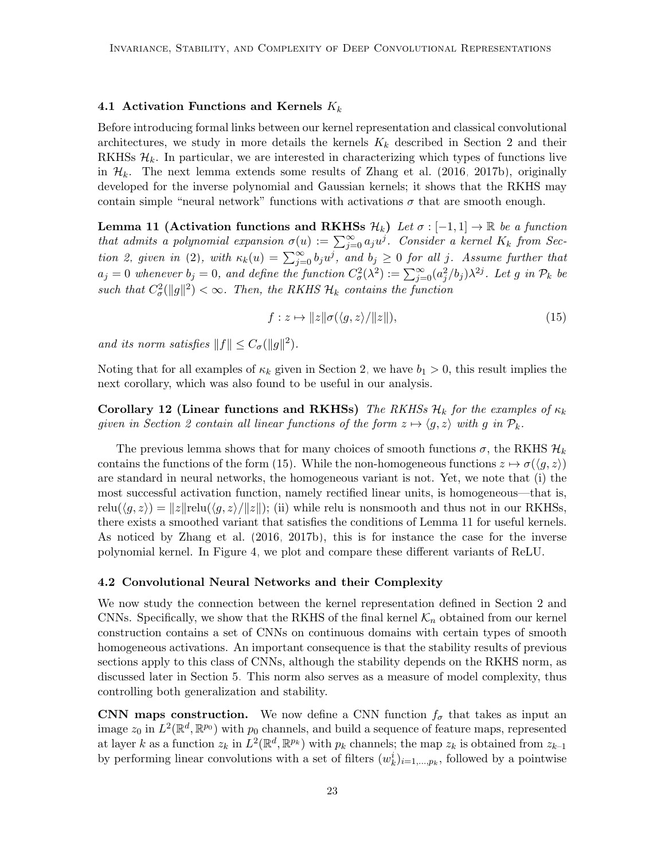### <span id="page-22-0"></span>4.1 Activation Functions and Kernels  $K_k$

Before introducing formal links between our kernel representation and classical convolutional architectures, we study in more details the kernels  $K_k$  described in Section [2](#page-6-0) and their RKHSs  $\mathcal{H}_k$ . In particular, we are interested in characterizing which types of functions live in  $\mathcal{H}_k$ . The next lemma extends some results of [Zhang et al.](#page-48-2) [\(2016,](#page-48-2) [2017b\)](#page-48-0), originally developed for the inverse polynomial and Gaussian kernels; it shows that the RKHS may contain simple "neural network" functions with activations  $\sigma$  that are smooth enough.

Lemma 11 (Activation functions and RKHSs  $\mathcal{H}_k$ ) Let  $\sigma : [-1,1] \to \mathbb{R}$  be a function that admits a polynomial expansion  $\sigma(u) := \sum_{j=0}^{\infty} a_j u^j$ . Consider a kernel  $K_k$  from Sec-tion [2,](#page-6-0) given in [\(2\)](#page-7-2), with  $\kappa_k(u) = \sum_{j=0}^{\infty} b_j u^j$ , and  $b_j \ge 0$  for all j. Assume further that  $a_j = 0$  whenever  $b_j = 0$ , and define the function  $C^2_\sigma(\lambda^2) := \sum_{j=0}^\infty (a_j^2/b_j) \lambda^{2j}$ . Let g in  $\mathcal{P}_k$  be such that  $C^2_{\sigma}(\|g\|^2) < \infty$ . Then, the RKHS  $\mathcal{H}_k$  contains the function

<span id="page-22-4"></span><span id="page-22-3"></span><span id="page-22-2"></span>
$$
f: z \mapsto ||z||\sigma(\langle g, z \rangle / ||z||), \tag{15}
$$

and its norm satisfies  $||f|| \leq C_{\sigma} (||g||^2)$ .

Noting that for all examples of  $\kappa_k$  given in Section [2,](#page-6-0) we have  $b_1 > 0$ , this result implies the next corollary, which was also found to be useful in our analysis.

Corollary 12 (Linear functions and RKHSs) The RKHSs  $\mathcal{H}_k$  for the examples of  $\kappa_k$ given in Section [2](#page-6-0) contain all linear functions of the form  $z \mapsto \langle g, z \rangle$  with g in  $\mathcal{P}_k$ .

The previous lemma shows that for many choices of smooth functions  $\sigma$ , the RKHS  $\mathcal{H}_k$ contains the functions of the form [\(15\)](#page-22-3). While the non-homogeneous functions  $z \mapsto \sigma(\langle g, z \rangle)$ are standard in neural networks, the homogeneous variant is not. Yet, we note that (i) the most successful activation function, namely rectified linear units, is homogeneous—that is, relu $(\langle q, z \rangle) = ||z||$ relu $(\langle q, z \rangle/||z||)$ ; (ii) while relu is nonsmooth and thus not in our RKHSs, there exists a smoothed variant that satisfies the conditions of Lemma [11](#page-22-4) for useful kernels. As noticed by [Zhang et al.](#page-48-2) [\(2016,](#page-48-2) [2017b\)](#page-48-0), this is for instance the case for the inverse polynomial kernel. In Figure [4,](#page-23-0) we plot and compare these different variants of ReLU.

### <span id="page-22-1"></span>4.2 Convolutional Neural Networks and their Complexity

We now study the connection between the kernel representation defined in Section [2](#page-6-0) and CNNs. Specifically, we show that the RKHS of the final kernel  $\mathcal{K}_n$  obtained from our kernel construction contains a set of CNNs on continuous domains with certain types of smooth homogeneous activations. An important consequence is that the stability results of previous sections apply to this class of CNNs, although the stability depends on the RKHS norm, as discussed later in Section [5.](#page-27-0) This norm also serves as a measure of model complexity, thus controlling both generalization and stability.

CNN maps construction. We now define a CNN function  $f_{\sigma}$  that takes as input an image  $z_0$  in  $L^2(\mathbb{R}^d, \mathbb{R}^{p_0})$  with  $p_0$  channels, and build a sequence of feature maps, represented at layer k as a function  $z_k$  in  $L^2(\mathbb{R}^d, \mathbb{R}^{p_k})$  with  $p_k$  channels; the map  $z_k$  is obtained from  $z_{k-1}$ by performing linear convolutions with a set of filters  $(w_k^i)_{i=1,\dots,p_k}$ , followed by a pointwise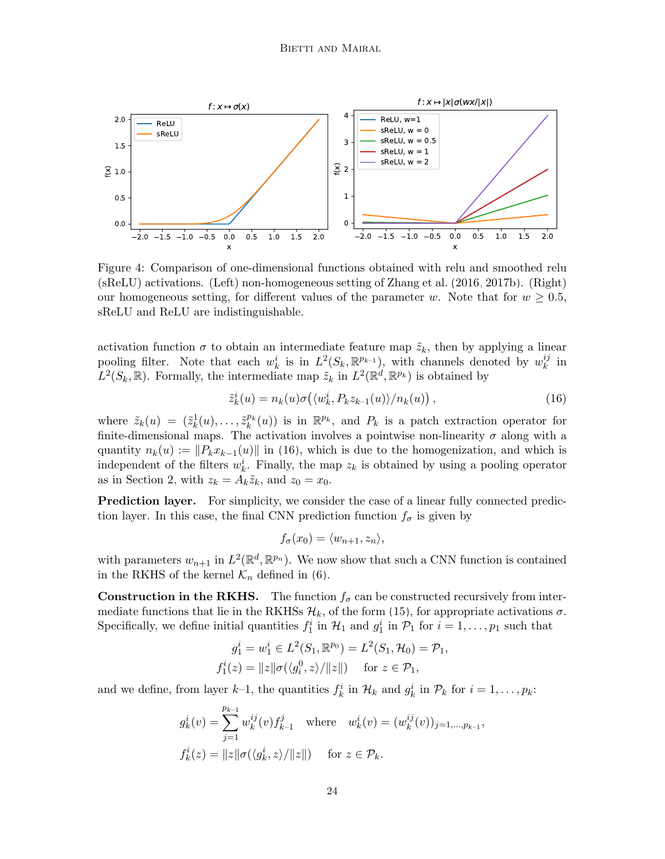<span id="page-23-0"></span>

Figure 4: Comparison of one-dimensional functions obtained with relu and smoothed relu (sReLU) activations. (Left) non-homogeneous setting of [Zhang et al.](#page-48-2) [\(2016,](#page-48-2) [2017b\)](#page-48-0). (Right) our homogeneous setting, for different values of the parameter w. Note that for  $w \geq 0.5$ , sReLU and ReLU are indistinguishable.

activation function  $\sigma$  to obtain an intermediate feature map  $\tilde{z}_k$ , then by applying a linear pooling filter. Note that each  $w_k^i$  is in  $L^2(S_k, \mathbb{R}^{p_{k-1}})$ , with channels denoted by  $w_k^{ij}$  $\frac{ij}{k}$  in  $L^2(S_k, \mathbb{R})$ . Formally, the intermediate map  $\tilde{z}_k$  in  $L^2(\mathbb{R}^d, \mathbb{R}^{p_k})$  is obtained by

<span id="page-23-1"></span>
$$
\tilde{z}_k^i(u) = n_k(u)\sigma\big(\langle w_k^i, P_k z_{k-1}(u) \rangle / n_k(u)\big),\tag{16}
$$

where  $\tilde{z}_k(u) = (\tilde{z}_k^1(u), \ldots, \tilde{z}_k^{p_k}(u))$  is in  $\mathbb{R}^{p_k}$ , and  $P_k$  is a patch extraction operator for finite-dimensional maps. The activation involves a pointwise non-linearity  $\sigma$  along with a quantity  $n_k(u) := ||P_k x_{k-1}(u)||$  in [\(16\)](#page-23-1), which is due to the homogenization, and which is independent of the filters  $w_k^i$ . Finally, the map  $z_k$  is obtained by using a pooling operator as in Section [2,](#page-6-0) with  $z_k = A_k \tilde{z}_k$ , and  $z_0 = x_0$ .

Prediction layer. For simplicity, we consider the case of a linear fully connected prediction layer. In this case, the final CNN prediction function  $f_{\sigma}$  is given by

$$
f_{\sigma}(x_0) = \langle w_{n+1}, z_n \rangle,
$$

with parameters  $w_{n+1}$  in  $L^2(\mathbb{R}^d, \mathbb{R}^{p_n})$ . We now show that such a CNN function is contained in the RKHS of the kernel  $\mathcal{K}_n$  defined in [\(6\)](#page-9-2).

**Construction in the RKHS.** The function  $f_{\sigma}$  can be constructed recursively from intermediate functions that lie in the RKHSs  $\mathcal{H}_k$ , of the form [\(15\)](#page-22-3), for appropriate activations  $\sigma$ . Specifically, we define initial quantities  $f_1^i$  in  $\mathcal{H}_1$  and  $g_1^i$  in  $\mathcal{P}_1$  for  $i = 1, \ldots, p_1$  such that

$$
g_1^i = w_1^i \in L^2(S_1, \mathbb{R}^{p_0}) = L^2(S_1, \mathcal{H}_0) = \mathcal{P}_1,
$$
  

$$
f_1^i(z) = ||z||\sigma(\langle g_i^0, z \rangle / ||z||) \quad \text{for } z \in \mathcal{P}_1,
$$

and we define, from layer  $k-1$ , the quantities  $f_k^i$  in  $\mathcal{H}_k$  and  $g_k^i$  in  $\mathcal{P}_k$  for  $i = 1, \ldots, p_k$ :

$$
g_k^i(v) = \sum_{j=1}^{p_{k-1}} w_k^{ij}(v) f_{k-1}^j \quad \text{where} \quad w_k^i(v) = (w_k^{ij}(v))_{j=1,\dots,p_{k-1}},
$$
  

$$
f_k^i(z) = ||z|| \sigma(\langle g_k^i, z \rangle / ||z||) \quad \text{for } z \in \mathcal{P}_k.
$$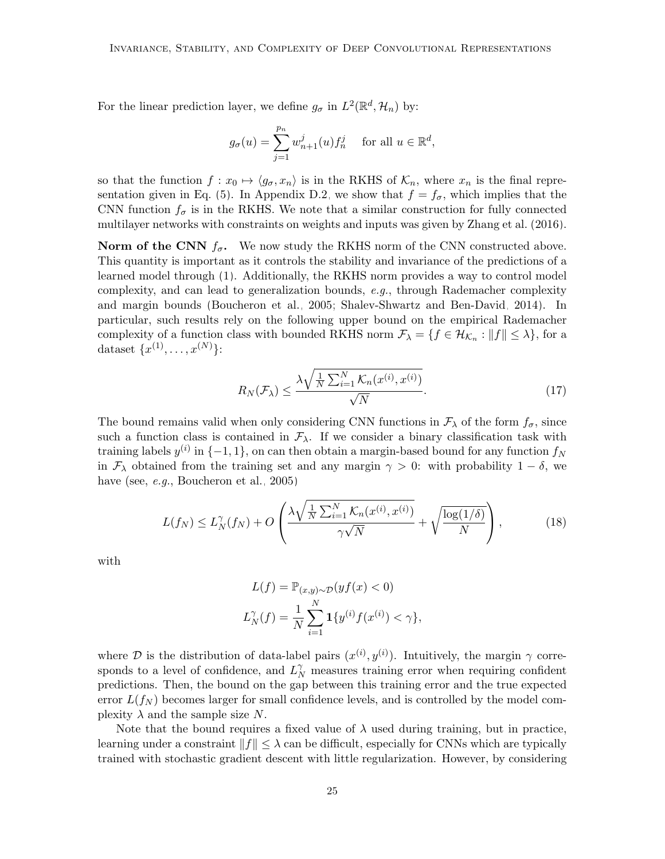For the linear prediction layer, we define  $g_{\sigma}$  in  $L^2(\mathbb{R}^d, \mathcal{H}_n)$  by:

$$
g_{\sigma}(u) = \sum_{j=1}^{p_n} w_{n+1}^j(u) f_n^j \quad \text{ for all } u \in \mathbb{R}^d,
$$

so that the function  $f: x_0 \mapsto \langle g_{\sigma}, x_n \rangle$  is in the RKHS of  $\mathcal{K}_n$ , where  $x_n$  is the final repre-sentation given in Eq. [\(5\)](#page-9-1). In Appendix [D.2,](#page-41-0) we show that  $f = f_{\sigma}$ , which implies that the CNN function  $f_{\sigma}$  is in the RKHS. We note that a similar construction for fully connected multilayer networks with constraints on weights and inputs was given by [Zhang et al.](#page-48-2) [\(2016\)](#page-48-2).

**Norm of the CNN**  $f_{\sigma}$ . We now study the RKHS norm of the CNN constructed above. This quantity is important as it controls the stability and invariance of the predictions of a learned model through [\(1\)](#page-5-0). Additionally, the RKHS norm provides a way to control model complexity, and can lead to generalization bounds, e.g., through Rademacher complexity and margin bounds [\(Boucheron et al., 2005;](#page-45-13) [Shalev-Shwartz and Ben-David, 2014\)](#page-47-12). In particular, such results rely on the following upper bound on the empirical Rademacher complexity of a function class with bounded RKHS norm  $\mathcal{F}_{\lambda} = \{f \in \mathcal{H}_{\mathcal{K}_n} : ||f|| \leq \lambda\}$ , for a dataset  $\{x^{(1)}, \ldots, x^{(N)}\}$ :

<span id="page-24-0"></span>
$$
R_N(\mathcal{F}_\lambda) \le \frac{\lambda \sqrt{\frac{1}{N} \sum_{i=1}^N \mathcal{K}_n(x^{(i)}, x^{(i)})}}{\sqrt{N}}.
$$
\n(17)

The bound remains valid when only considering CNN functions in  $\mathcal{F}_{\lambda}$  of the form  $f_{\sigma}$ , since such a function class is contained in  $\mathcal{F}_{\lambda}$ . If we consider a binary classification task with training labels  $y^{(i)}$  in  $\{-1, 1\}$ , on can then obtain a margin-based bound for any function  $f_N$ in  $\mathcal{F}_{\lambda}$  obtained from the training set and any margin  $\gamma > 0$ : with probability  $1 - \delta$ , we have (see, e.g., [Boucheron et al., 2005\)](#page-45-13)

$$
L(f_N) \le L_N^{\gamma}(f_N) + O\left(\frac{\lambda \sqrt{\frac{1}{N} \sum_{i=1}^N \mathcal{K}_n(x^{(i)}, x^{(i)})}}{\gamma \sqrt{N}} + \sqrt{\frac{\log(1/\delta)}{N}}\right),\tag{18}
$$

with

$$
L(f) = \mathbb{P}_{(x,y)\sim\mathcal{D}}(yf(x) < 0)
$$
\n
$$
L_N^{\gamma}(f) = \frac{1}{N} \sum_{i=1}^N \mathbf{1}\{y^{(i)}f(x^{(i)}) < \gamma\},
$$

where D is the distribution of data-label pairs  $(x^{(i)}, y^{(i)})$ . Intuitively, the margin  $\gamma$  corresponds to a level of confidence, and  $L_N^{\gamma}$  measures training error when requiring confident predictions. Then, the bound on the gap between this training error and the true expected error  $L(f_N)$  becomes larger for small confidence levels, and is controlled by the model complexity  $\lambda$  and the sample size N.

Note that the bound requires a fixed value of  $\lambda$  used during training, but in practice, learning under a constraint  $||f|| \leq \lambda$  can be difficult, especially for CNNs which are typically trained with stochastic gradient descent with little regularization. However, by considering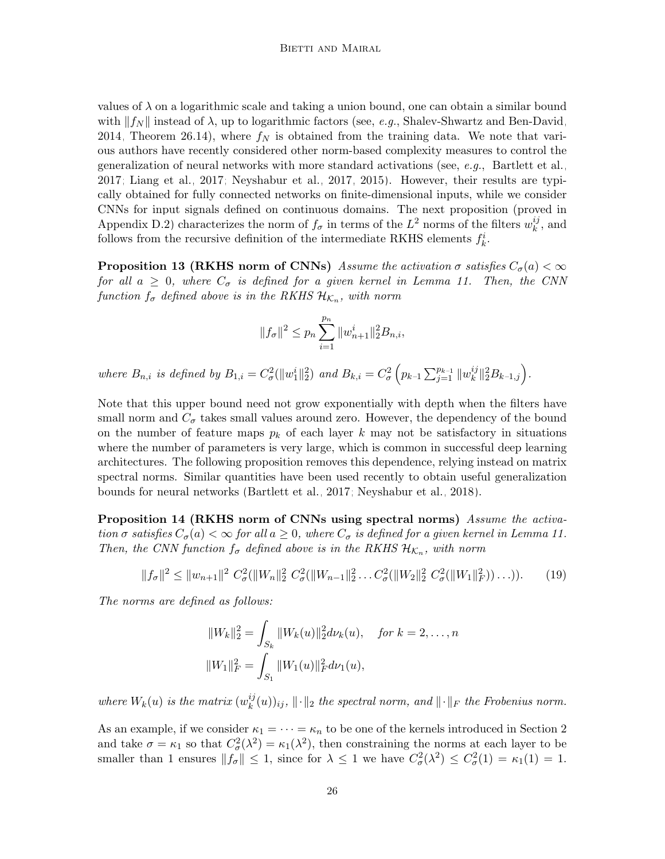values of  $\lambda$  on a logarithmic scale and taking a union bound, one can obtain a similar bound with  $||f_N||$  instead of  $\lambda$ , up to logarithmic factors (see, e.g., [Shalev-Shwartz and Ben-David,](#page-47-12) [2014,](#page-47-12) Theorem 26.14), where  $f_N$  is obtained from the training data. We note that various authors have recently considered other norm-based complexity measures to control the generalization of neural networks with more standard activations (see, e.g., [Bartlett et al.,](#page-45-3) [2017;](#page-45-3) [Liang et al., 2017;](#page-46-13) [Neyshabur et al., 2017,](#page-46-14) [2015\)](#page-46-15). However, their results are typically obtained for fully connected networks on finite-dimensional inputs, while we consider CNNs for input signals defined on continuous domains. The next proposition (proved in Appendix [D.2\)](#page-41-0) characterizes the norm of  $f_{\sigma}$  in terms of the L<sup>2</sup> norms of the filters  $w_k^{ij}$  $\binom{ij}{k}$ , and follows from the recursive definition of the intermediate RKHS elements  $f_k^i$ .

<span id="page-25-1"></span>**Proposition 13 (RKHS norm of CNNs)** Assume the activation  $\sigma$  satisfies  $C_{\sigma}(a) < \infty$ for all  $a \geq 0$ , where  $C_{\sigma}$  is defined for a given kernel in Lemma [11.](#page-22-4) Then, the CNN function  $f_{\sigma}$  defined above is in the RKHS  $\mathcal{H}_{\mathcal{K}_n}$ , with norm

$$
||f_{\sigma}||^{2} \le p_{n} \sum_{i=1}^{p_{n}} ||w_{n+1}^{i}||_{2}^{2} B_{n,i},
$$

where  $B_{n,i}$  is defined by  $B_{1,i} = C^2_{\sigma}(\|w_1^i\|_2^2)$  and  $B_{k,i} = C^2_{\sigma} \left( p_{k-1} \sum_{j=1}^{p_{k-1}} \|w_k^{ij}\right)$  $_{k}^{ij}\Vert_{2}^{2}B_{k-1,j}\Big).$ 

Note that this upper bound need not grow exponentially with depth when the filters have small norm and  $C_{\sigma}$  takes small values around zero. However, the dependency of the bound on the number of feature maps  $p_k$  of each layer k may not be satisfactory in situations where the number of parameters is very large, which is common in successful deep learning architectures. The following proposition removes this dependence, relying instead on matrix spectral norms. Similar quantities have been used recently to obtain useful generalization bounds for neural networks [\(Bartlett et al., 2017;](#page-45-3) [Neyshabur et al., 2018\)](#page-46-4).

<span id="page-25-0"></span>Proposition 14 (RKHS norm of CNNs using spectral norms) Assume the activation  $\sigma$  satisfies  $C_{\sigma}(a) < \infty$  for all  $a \geq 0$ , where  $C_{\sigma}$  is defined for a given kernel in Lemma [11.](#page-22-4) Then, the CNN function  $f_{\sigma}$  defined above is in the RKHS  $\mathcal{H}_{\mathcal{K}_n}$ , with norm

$$
||f_{\sigma}||^{2} \le ||w_{n+1}||^{2} C_{\sigma}^{2} (||W_{n}||_{2}^{2} C_{\sigma}^{2}(||W_{n-1}||_{2}^{2} ... C_{\sigma}^{2}(||W_{2}||_{2}^{2} C_{\sigma}^{2}(||W_{1}||_{F}^{2})) ...)).
$$
 (19)

The norms are defined as follows:

$$
||W_k||_2^2 = \int_{S_k} ||W_k(u)||_2^2 d\nu_k(u), \quad \text{for } k = 2, \dots, n
$$
  

$$
||W_1||_F^2 = \int_{S_1} ||W_1(u)||_F^2 d\nu_k(u),
$$

where  $W_k(u)$  is the matrix  $(w_k^{ij})$  $\|f_k^{ij}(u)\rangle_{ij}$ ,  $\|\cdot\|_2$  the spectral norm, and  $\|\cdot\|_F$  the Frobenius norm.

As an example, if we consider  $\kappa_1 = \cdots = \kappa_n$  to be one of the kernels introduced in Section [2](#page-6-0) and take  $\sigma = \kappa_1$  so that  $C^2_{\sigma}(\lambda^2) = \kappa_1(\lambda^2)$ , then constraining the norms at each layer to be smaller than 1 ensures  $||f_{\sigma}|| \leq 1$ , since for  $\lambda \leq 1$  we have  $C_{\sigma}^{2}(\lambda^{2}) \leq C_{\sigma}^{2}(1) = \kappa_{1}(1) = 1$ .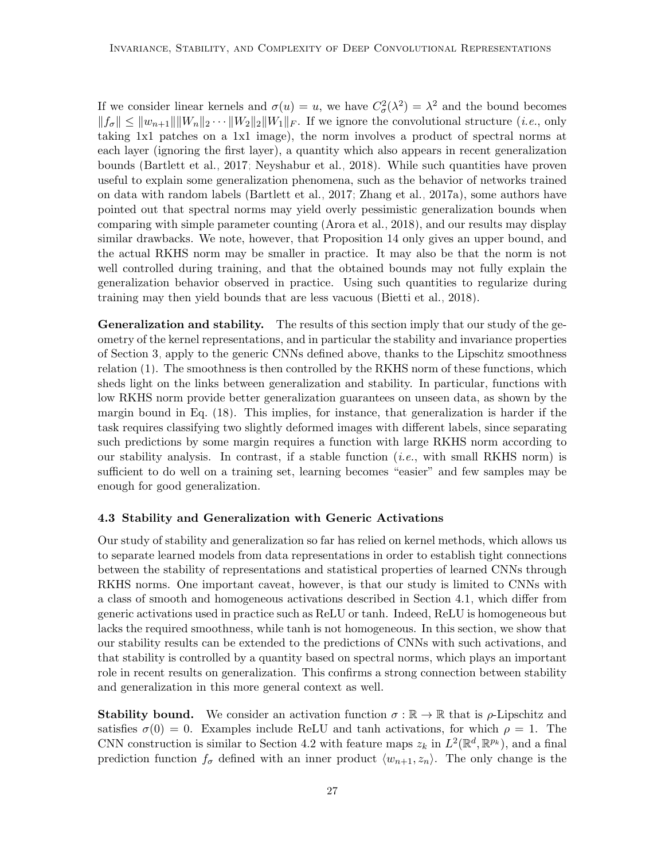If we consider linear kernels and  $\sigma(u) = u$ , we have  $C^2_{\sigma}(\lambda^2) = \lambda^2$  and the bound becomes  $||f_{\sigma}|| \leq ||w_{n+1}|| ||W_{n}||_2 \cdots ||W_{2}||_2 ||W_{1}||_F$ . If we ignore the convolutional structure (*i.e.*, only taking 1x1 patches on a 1x1 image), the norm involves a product of spectral norms at each layer (ignoring the first layer), a quantity which also appears in recent generalization bounds [\(Bartlett et al., 2017;](#page-45-3) [Neyshabur et al., 2018\)](#page-46-4). While such quantities have proven useful to explain some generalization phenomena, such as the behavior of networks trained on data with random labels [\(Bartlett et al., 2017;](#page-45-3) [Zhang et al., 2017a\)](#page-48-5), some authors have pointed out that spectral norms may yield overly pessimistic generalization bounds when comparing with simple parameter counting [\(Arora et al., 2018\)](#page-45-14), and our results may display similar drawbacks. We note, however, that Proposition [14](#page-25-0) only gives an upper bound, and the actual RKHS norm may be smaller in practice. It may also be that the norm is not well controlled during training, and that the obtained bounds may not fully explain the generalization behavior observed in practice. Using such quantities to regularize during training may then yield bounds that are less vacuous [\(Bietti et al., 2018\)](#page-45-1).

Generalization and stability. The results of this section imply that our study of the geometry of the kernel representations, and in particular the stability and invariance properties of Section [3,](#page-12-0) apply to the generic CNNs defined above, thanks to the Lipschitz smoothness relation [\(1\)](#page-5-0). The smoothness is then controlled by the RKHS norm of these functions, which sheds light on the links between generalization and stability. In particular, functions with low RKHS norm provide better generalization guarantees on unseen data, as shown by the margin bound in Eq. [\(18\)](#page-24-0). This implies, for instance, that generalization is harder if the task requires classifying two slightly deformed images with different labels, since separating such predictions by some margin requires a function with large RKHS norm according to our stability analysis. In contrast, if a stable function (i.e., with small RKHS norm) is sufficient to do well on a training set, learning becomes "easier" and few samples may be enough for good generalization.

# <span id="page-26-0"></span>4.3 Stability and Generalization with Generic Activations

Our study of stability and generalization so far has relied on kernel methods, which allows us to separate learned models from data representations in order to establish tight connections between the stability of representations and statistical properties of learned CNNs through RKHS norms. One important caveat, however, is that our study is limited to CNNs with a class of smooth and homogeneous activations described in Section [4.1,](#page-22-0) which differ from generic activations used in practice such as ReLU or tanh. Indeed, ReLU is homogeneous but lacks the required smoothness, while tanh is not homogeneous. In this section, we show that our stability results can be extended to the predictions of CNNs with such activations, and that stability is controlled by a quantity based on spectral norms, which plays an important role in recent results on generalization. This confirms a strong connection between stability and generalization in this more general context as well.

**Stability bound.** We consider an activation function  $\sigma : \mathbb{R} \to \mathbb{R}$  that is  $\rho$ -Lipschitz and satisfies  $\sigma(0) = 0$ . Examples include ReLU and tanh activations, for which  $\rho = 1$ . The CNN construction is similar to Section [4.2](#page-22-1) with feature maps  $z_k$  in  $L^2(\mathbb{R}^d, \mathbb{R}^{p_k})$ , and a final prediction function  $f_{\sigma}$  defined with an inner product  $\langle w_{n+1}, z_n \rangle$ . The only change is the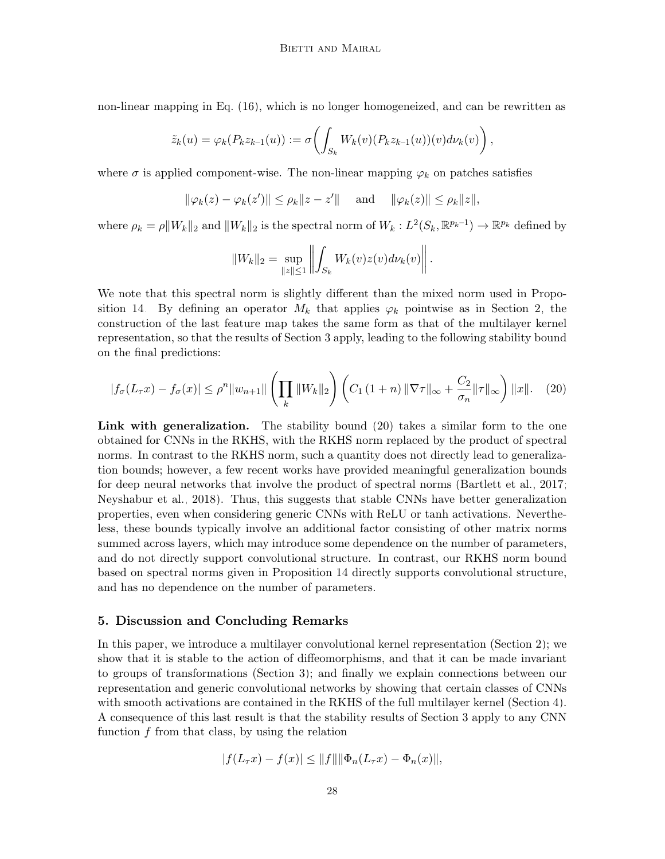non-linear mapping in Eq. [\(16\)](#page-23-1), which is no longer homogeneized, and can be rewritten as

$$
\tilde{z}_k(u) = \varphi_k(P_k z_{k-1}(u)) := \sigma\left(\int_{S_k} W_k(v)(P_k z_{k-1}(u))(v) d\nu_k(v)\right),
$$

where  $\sigma$  is applied component-wise. The non-linear mapping  $\varphi_k$  on patches satisfies

$$
\|\varphi_k(z) - \varphi_k(z')\| \le \rho_k \|z - z'\|
$$
 and  $\|\varphi_k(z)\| \le \rho_k \|z\|$ ,

where  $\rho_k = \rho \|W_k\|_2$  and  $\|W_k\|_2$  is the spectral norm of  $W_k : L^2(S_k, \mathbb{R}^{p_k-1}) \to \mathbb{R}^{p_k}$  defined by

<span id="page-27-1"></span>
$$
||W_k||_2 = \sup_{\|z\| \le 1} \left\| \int_{S_k} W_k(v) z(v) d\nu_k(v) \right\|.
$$

We note that this spectral norm is slightly different than the mixed norm used in Propo-sition [14.](#page-25-0) By defining an operator  $M_k$  that applies  $\varphi_k$  pointwise as in Section [2,](#page-6-0) the construction of the last feature map takes the same form as that of the multilayer kernel representation, so that the results of Section [3](#page-12-0) apply, leading to the following stability bound on the final predictions:

$$
|f_{\sigma}(L_{\tau}x) - f_{\sigma}(x)| \le \rho^{n} \|w_{n+1}\| \left(\prod_{k} \|W_{k}\|_{2}\right) \left(C_{1} \left(1+n\right) \|\nabla \tau\|_{\infty} + \frac{C_{2}}{\sigma_{n}} \|\tau\|_{\infty}\right) \|x\|.
$$
 (20)

Link with generalization. The stability bound [\(20\)](#page-27-1) takes a similar form to the one obtained for CNNs in the RKHS, with the RKHS norm replaced by the product of spectral norms. In contrast to the RKHS norm, such a quantity does not directly lead to generalization bounds; however, a few recent works have provided meaningful generalization bounds for deep neural networks that involve the product of spectral norms [\(Bartlett et al., 2017;](#page-45-3) [Neyshabur et al., 2018\)](#page-46-4). Thus, this suggests that stable CNNs have better generalization properties, even when considering generic CNNs with ReLU or tanh activations. Nevertheless, these bounds typically involve an additional factor consisting of other matrix norms summed across layers, which may introduce some dependence on the number of parameters, and do not directly support convolutional structure. In contrast, our RKHS norm bound based on spectral norms given in Proposition [14](#page-25-0) directly supports convolutional structure, and has no dependence on the number of parameters.

### <span id="page-27-0"></span>5. Discussion and Concluding Remarks

In this paper, we introduce a multilayer convolutional kernel representation (Section [2\)](#page-6-0); we show that it is stable to the action of diffeomorphisms, and that it can be made invariant to groups of transformations (Section [3\)](#page-12-0); and finally we explain connections between our representation and generic convolutional networks by showing that certain classes of CNNs with smooth activations are contained in the RKHS of the full multilayer kernel (Section [4\)](#page-21-0). A consequence of this last result is that the stability results of Section [3](#page-12-0) apply to any CNN function  $f$  from that class, by using the relation

$$
|f(L_{\tau}x) - f(x)| \leq ||f|| ||\Phi_n(L_{\tau}x) - \Phi_n(x)||,
$$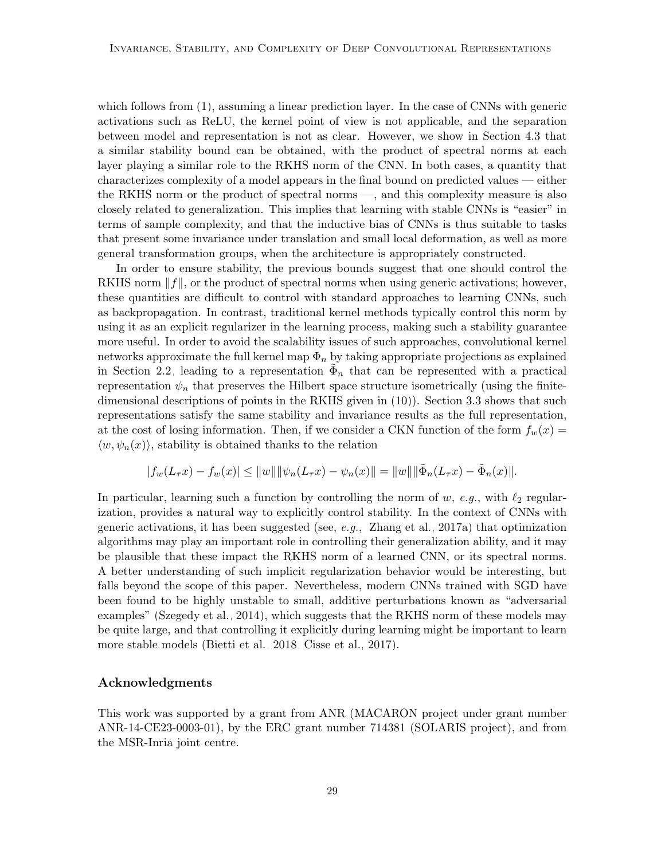which follows from  $(1)$ , assuming a linear prediction layer. In the case of CNNs with generic activations such as ReLU, the kernel point of view is not applicable, and the separation between model and representation is not as clear. However, we show in Section [4.3](#page-26-0) that a similar stability bound can be obtained, with the product of spectral norms at each layer playing a similar role to the RKHS norm of the CNN. In both cases, a quantity that characterizes complexity of a model appears in the final bound on predicted values — either the RKHS norm or the product of spectral norms —, and this complexity measure is also closely related to generalization. This implies that learning with stable CNNs is "easier" in terms of sample complexity, and that the inductive bias of CNNs is thus suitable to tasks that present some invariance under translation and small local deformation, as well as more general transformation groups, when the architecture is appropriately constructed.

In order to ensure stability, the previous bounds suggest that one should control the RKHS norm  $||f||$ , or the product of spectral norms when using generic activations; however, these quantities are difficult to control with standard approaches to learning CNNs, such as backpropagation. In contrast, traditional kernel methods typically control this norm by using it as an explicit regularizer in the learning process, making such a stability guarantee more useful. In order to avoid the scalability issues of such approaches, convolutional kernel networks approximate the full kernel map  $\Phi_n$  by taking appropriate projections as explained in Section [2.2,](#page-11-1) leading to a representation  $\tilde{\Phi}_n$  that can be represented with a practical representation  $\psi_n$  that preserves the Hilbert space structure isometrically (using the finitedimensional descriptions of points in the RKHS given in [\(10\)](#page-11-3)). Section [3.3](#page-16-0) shows that such representations satisfy the same stability and invariance results as the full representation, at the cost of losing information. Then, if we consider a CKN function of the form  $f_w(x) =$  $\langle w, \psi_n(x) \rangle$ , stability is obtained thanks to the relation

$$
|f_w(L_\tau x) - f_w(x)| \le ||w|| ||\psi_n(L_\tau x) - \psi_n(x)|| = ||w|| ||\tilde{\Phi}_n(L_\tau x) - \tilde{\Phi}_n(x)||.
$$

In particular, learning such a function by controlling the norm of w, e.g., with  $\ell_2$  regularization, provides a natural way to explicitly control stability. In the context of CNNs with generic activations, it has been suggested (see,  $e.g.,$  [Zhang et al., 2017a\)](#page-48-5) that optimization algorithms may play an important role in controlling their generalization ability, and it may be plausible that these impact the RKHS norm of a learned CNN, or its spectral norms. A better understanding of such implicit regularization behavior would be interesting, but falls beyond the scope of this paper. Nevertheless, modern CNNs trained with SGD have been found to be highly unstable to small, additive perturbations known as "adversarial examples" [\(Szegedy et al., 2014\)](#page-47-13), which suggests that the RKHS norm of these models may be quite large, and that controlling it explicitly during learning might be important to learn more stable models [\(Bietti et al., 2018;](#page-45-1) [Cisse et al., 2017\)](#page-45-15).

# Acknowledgments

This work was supported by a grant from ANR (MACARON project under grant number ANR-14-CE23-0003-01), by the ERC grant number 714381 (SOLARIS project), and from the MSR-Inria joint centre.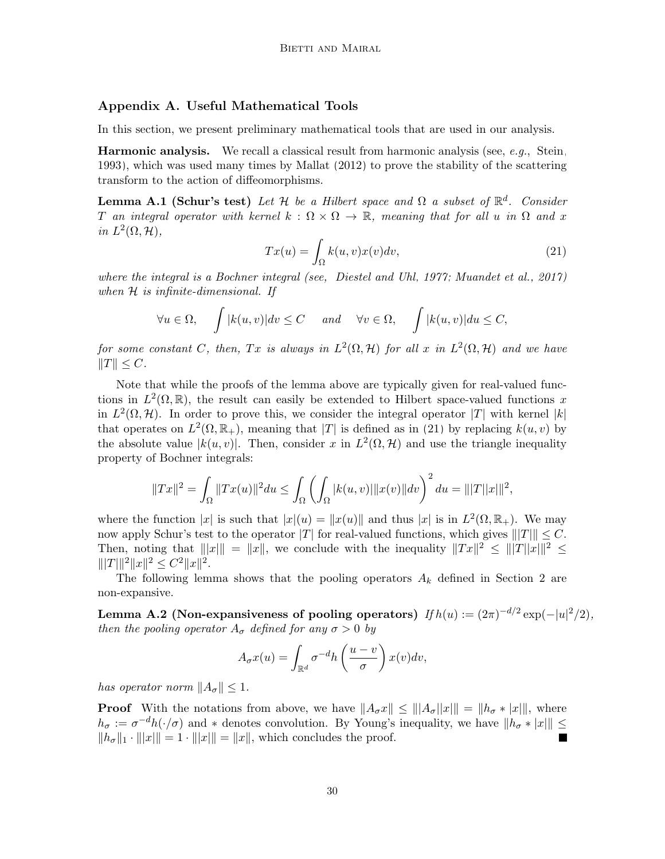# <span id="page-29-0"></span>Appendix A. Useful Mathematical Tools

In this section, we present preliminary mathematical tools that are used in our analysis.

**Harmonic analysis.** We recall a classical result from harmonic analysis (see, e.g., [Stein,](#page-47-14) [1993\)](#page-47-14), which was used many times by [Mallat](#page-46-1) [\(2012\)](#page-46-1) to prove the stability of the scattering transform to the action of diffeomorphisms.

<span id="page-29-1"></span>**Lemma A.1 (Schur's test)** Let H be a Hilbert space and  $\Omega$  a subset of  $\mathbb{R}^d$ . Consider T an integral operator with kernel  $k : \Omega \times \Omega \to \mathbb{R}$ , meaning that for all u in  $\Omega$  and x in  $L^2(\Omega, \mathcal{H}),$ 

<span id="page-29-2"></span>
$$
Tx(u) = \int_{\Omega} k(u, v)x(v)dv,
$$
\n(21)

where the integral is a Bochner integral (see, [Diestel and Uhl, 1977;](#page-45-11) [Muandet et al., 2017\)](#page-46-8) when  $H$  is infinite-dimensional. If

$$
\forall u \in \Omega, \quad \int |k(u, v)| dv \le C \quad \text{and} \quad \forall v \in \Omega, \quad \int |k(u, v)| du \le C,
$$

for some constant C, then, Tx is always in  $L^2(\Omega, \mathcal{H})$  for all x in  $L^2(\Omega, \mathcal{H})$  and we have  $||T|| \leq C.$ 

Note that while the proofs of the lemma above are typically given for real-valued functions in  $L^2(\Omega,\mathbb{R})$ , the result can easily be extended to Hilbert space-valued functions x in  $L^2(\Omega, \mathcal{H})$ . In order to prove this, we consider the integral operator |T| with kernel |k| that operates on  $L^2(\Omega, \mathbb{R}_+)$ , meaning that |T| is defined as in [\(21\)](#page-29-1) by replacing  $k(u, v)$  by the absolute value  $|k(u, v)|$ . Then, consider x in  $L^2(\Omega, \mathcal{H})$  and use the triangle inequality property of Bochner integrals:

$$
||Tx||^2 = \int_{\Omega} ||Tx(u)||^2 du \le \int_{\Omega} \left( \int_{\Omega} |k(u,v)| ||x(v)|| dv \right)^2 du = |||T||x|||^2,
$$

where the function |x| is such that  $|x|(u) = ||x(u)||$  and thus  $|x|$  is in  $L^2(\Omega, \mathbb{R}_+)$ . We may now apply Schur's test to the operator |T| for real-valued functions, which gives  $|||T|| \leq C$ . Then, noting that  $||x|| = ||x||$ , we conclude with the inequality  $||Tx||^2 \le |||T||x|||^2 \le$  $|||T|||^2 ||x||^2 \leq C^2 ||x||^2.$ 

The following lemma shows that the pooling operators  $A_k$  defined in Section [2](#page-6-0) are non-expansive.

Lemma A.2 (Non-expansiveness of pooling operators)  $If h(u) := (2\pi)^{-d/2} \exp(-|u|^2/2),$ then the pooling operator  $A_{\sigma}$  defined for any  $\sigma > 0$  by

$$
A_{\sigma}x(u) = \int_{\mathbb{R}^d} \sigma^{-d}h\left(\frac{u-v}{\sigma}\right) x(v)dv,
$$

has operator norm  $||A_{\sigma}|| \leq 1$ .

**Proof** With the notations from above, we have  $||A_{\sigma}x|| \leq ||A_{\sigma}||x|| = ||h_{\sigma} * |x||$ , where  $h_{\sigma} := \sigma^{-d} h(\cdot/\sigma)$  and \* denotes convolution. By Young's inequality, we have  $||h_{\sigma} * |x||| \le$  $||h_{\sigma}||_1 \cdot |||x|| = 1 \cdot |||x|| = ||x||$ , which concludes the proof.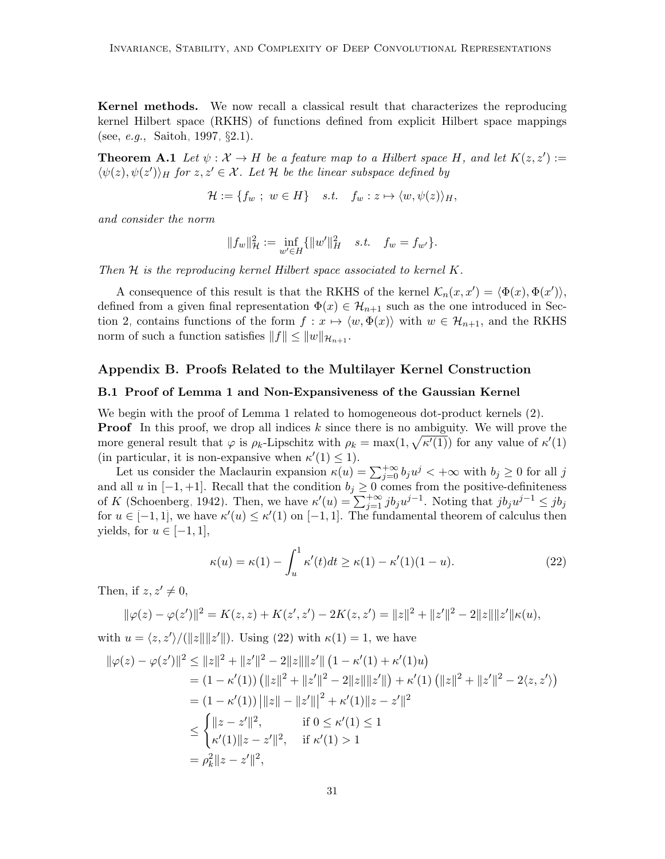Kernel methods. We now recall a classical result that characterizes the reproducing kernel Hilbert space (RKHS) of functions defined from explicit Hilbert space mappings (see, e.g., [Saitoh, 1997,](#page-47-15) §2.1).

**Theorem A.1** Let  $\psi : \mathcal{X} \to H$  be a feature map to a Hilbert space H, and let  $K(z, z') :=$  $\langle \psi(z), \psi(z') \rangle_H$  for  $z, z' \in \mathcal{X}$ . Let  $\mathcal{H}$  be the linear subspace defined by

<span id="page-30-3"></span>
$$
\mathcal{H} := \{ f_w \; ; \; w \in H \} \quad s.t. \quad f_w : z \mapsto \langle w, \psi(z) \rangle_H,
$$

and consider the norm

$$
||f_w||_{\mathcal{H}}^2 := \inf_{w' \in H} \{ ||w'||_H^2 \quad s.t. \quad f_w = f_{w'} \}.
$$

Then H is the reproducing kernel Hilbert space associated to kernel K.

A consequence of this result is that the RKHS of the kernel  $\mathcal{K}_n(x, x') = \langle \Phi(x), \Phi(x') \rangle$ , defined from a given final representation  $\Phi(x) \in \mathcal{H}_{n+1}$  such as the one introduced in Sec-tion [2,](#page-6-0) contains functions of the form  $f: x \mapsto \langle w, \Phi(x) \rangle$  with  $w \in \mathcal{H}_{n+1}$ , and the RKHS norm of such a function satisfies  $||f|| \leq ||w||_{\mathcal{H}_{n+1}}$ .

# <span id="page-30-0"></span>Appendix B. Proofs Related to the Multilayer Kernel Construction

# <span id="page-30-1"></span>B.1 Proof of Lemma [1](#page-7-1) and Non-Expansiveness of the Gaussian Kernel

We begin with the proof of Lemma [1](#page-7-1) related to homogeneous dot-product kernels  $(2)$ . **Proof** In this proof, we drop all indices  $k$  since there is no ambiguity. We will prove the more general result that  $\varphi$  is  $\rho_k$ -Lipschitz with  $\rho_k = \max(1, \sqrt{\kappa'(1)})$  for any value of  $\kappa'(1)$ (in particular, it is non-expansive when  $\kappa'(1) \leq 1$ ).

Let us consider the Maclaurin expansion  $\kappa(u) = \sum_{j=0}^{+\infty} b_j u^j < +\infty$  with  $b_j \ge 0$  for all j and all u in  $[-1, +1]$ . Recall that the condition  $b_j \geq 0$  comes from the positive-definiteness of K [\(Schoenberg, 1942\)](#page-47-6). Then, we have  $\kappa'(u) = \sum_{j=1}^{+\infty} ib_j u^{j-1}$ . Noting that  $jb_j u^{j-1} \leq jb_j$ for  $u \in [-1,1]$ , we have  $\kappa'(u) \leq \kappa'(1)$  on  $[-1,1]$ . The fundamental theorem of calculus then yields, for  $u \in [-1, 1]$ ,

<span id="page-30-2"></span>
$$
\kappa(u) = \kappa(1) - \int_u^1 \kappa'(t)dt \ge \kappa(1) - \kappa'(1)(1-u). \tag{22}
$$

Then, if  $z, z' \neq 0$ ,

$$
\|\varphi(z) - \varphi(z')\|^2 = K(z, z) + K(z', z') - 2K(z, z') = \|z\|^2 + \|z'\|^2 - 2\|z\|\|z'\|\kappa(u),
$$

with  $u = \langle z, z' \rangle / (||z|| ||z'||)$ . Using [\(22\)](#page-30-2) with  $\kappa(1) = 1$ , we have

$$
\|\varphi(z) - \varphi(z')\|^2 \le \|z\|^2 + \|z'\|^2 - 2\|z\|\|z'\| \left(1 - \kappa'(1) + \kappa'(1)u\right)
$$
  
\n
$$
= (1 - \kappa'(1)) \left(\|z\|^2 + \|z'\|^2 - 2\|z\|\|z'\|\right) + \kappa'(1) \left(\|z\|^2 + \|z'\|^2 - 2\langle z, z'\rangle\right)
$$
  
\n
$$
= (1 - \kappa'(1)) \|z\| - \|z'\|^2 + \kappa'(1)\|z - z'\|^2
$$
  
\n
$$
\le \begin{cases} \|z - z'\|^2, & \text{if } 0 \le \kappa'(1) \le 1 \\ \kappa'(1)\|z - z'\|^2, & \text{if } \kappa'(1) > 1 \end{cases}
$$
  
\n
$$
= \rho_k^2 \|z - z'\|^2,
$$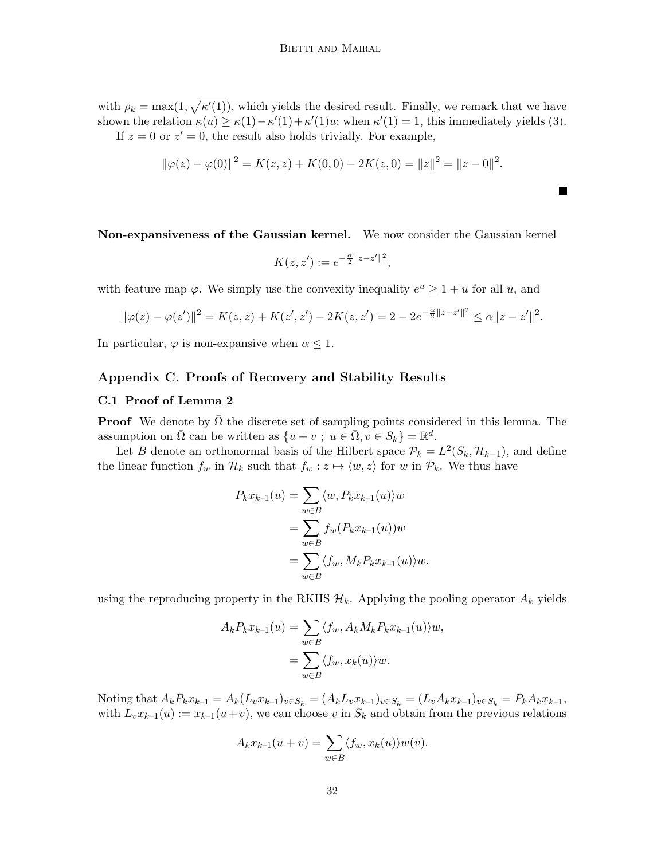with  $\rho_k = \max(1, \sqrt{\kappa'(1)})$ , which yields the desired result. Finally, we remark that we have shown the relation  $\kappa(u) \geq \kappa(1) - \kappa'(1) + \kappa'(1)u$ ; when  $\kappa'(1) = 1$ , this immediately yields [\(3\)](#page-8-0). If  $z = 0$  or  $z' = 0$ , the result also holds trivially. For example,

$$
\|\varphi(z) - \varphi(0)\|^2 = K(z, z) + K(0, 0) - 2K(z, 0) = \|z\|^2 = \|z - 0\|^2.
$$

Non-expansiveness of the Gaussian kernel. We now consider the Gaussian kernel

$$
K(z, z') := e^{-\frac{\alpha}{2}||z - z'||^2},
$$

with feature map  $\varphi$ . We simply use the convexity inequality  $e^u \geq 1 + u$  for all u, and

$$
\|\varphi(z) - \varphi(z')\|^2 = K(z, z) + K(z', z') - 2K(z, z') = 2 - 2e^{-\frac{\alpha}{2}||z - z'||^2} \le \alpha ||z - z'||^2.
$$

In particular,  $\varphi$  is non-expansive when  $\alpha \leq 1$ .

# <span id="page-31-0"></span>Appendix C. Proofs of Recovery and Stability Results

# C.1 Proof of Lemma [2](#page-9-3)

**Proof** We denote by  $\overline{\Omega}$  the discrete set of sampling points considered in this lemma. The assumption on  $\overline{\Omega}$  can be written as  $\{u + v; u \in \overline{\Omega}, v \in S_k\} = \mathbb{R}^d$ .

Let B denote an orthonormal basis of the Hilbert space  $\mathcal{P}_k = L^2(S_k, \mathcal{H}_{k-1})$ , and define the linear function  $f_w$  in  $\mathcal{H}_k$  such that  $f_w : z \mapsto \langle w, z \rangle$  for w in  $\mathcal{P}_k$ . We thus have

$$
P_k x_{k-1}(u) = \sum_{w \in B} \langle w, P_k x_{k-1}(u) \rangle w
$$
  
= 
$$
\sum_{w \in B} f_w(P_k x_{k-1}(u)) w
$$
  
= 
$$
\sum_{w \in B} \langle f_w, M_k P_k x_{k-1}(u) \rangle w,
$$

using the reproducing property in the RKHS  $\mathcal{H}_k$ . Applying the pooling operator  $A_k$  yields

$$
A_k P_k x_{k-1}(u) = \sum_{w \in B} \langle f_w, A_k M_k P_k x_{k-1}(u) \rangle w,
$$
  
= 
$$
\sum_{w \in B} \langle f_w, x_k(u) \rangle w.
$$

Noting that  $A_k P_k x_{k-1} = A_k (L_v x_{k-1})_{v \in S_k} = (A_k L_v x_{k-1})_{v \in S_k} = (L_v A_k x_{k-1})_{v \in S_k} = P_k A_k x_{k-1}$ , with  $L_v x_{k-1}(u) := x_{k-1}(u+v)$ , we can choose v in  $S_k$  and obtain from the previous relations

$$
A_k x_{k-1}(u+v) = \sum_{w \in B} \langle f_w, x_k(u) \rangle w(v).
$$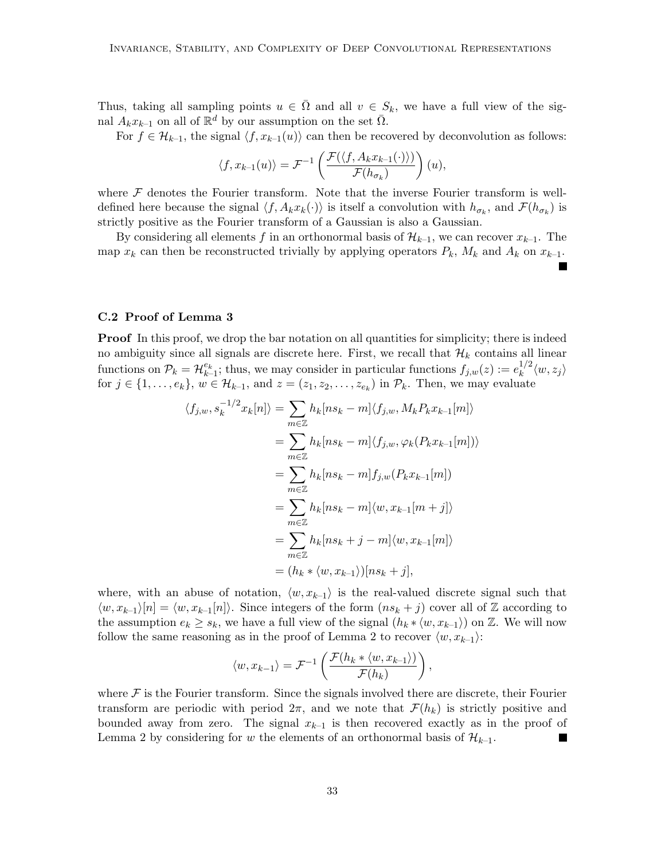Thus, taking all sampling points  $u \in \overline{\Omega}$  and all  $v \in S_k$ , we have a full view of the signal  $A_k x_{k-1}$  on all of  $\mathbb{R}^d$  by our assumption on the set  $\overline{\Omega}$ .

For  $f \in \mathcal{H}_{k-1}$ , the signal  $\langle f, x_{k-1}(u) \rangle$  can then be recovered by deconvolution as follows:

$$
\langle f, x_{k-1}(u) \rangle = \mathcal{F}^{-1}\left(\frac{\mathcal{F}(\langle f, A_k x_{k-1}(\cdot) \rangle)}{\mathcal{F}(h_{\sigma_k})}\right)(u),
$$

where  $\mathcal F$  denotes the Fourier transform. Note that the inverse Fourier transform is welldefined here because the signal  $\langle f, A_k x_k(\cdot) \rangle$  is itself a convolution with  $h_{\sigma_k}$ , and  $\mathcal{F}(h_{\sigma_k})$  is strictly positive as the Fourier transform of a Gaussian is also a Gaussian.

By considering all elements f in an orthonormal basis of  $\mathcal{H}_{k-1}$ , we can recover  $x_{k-1}$ . The map  $x_k$  can then be reconstructed trivially by applying operators  $P_k$ ,  $M_k$  and  $A_k$  on  $x_{k-1}$ .

# C.2 Proof of Lemma [3](#page-10-0)

**Proof** In this proof, we drop the bar notation on all quantities for simplicity; there is indeed no ambiguity since all signals are discrete here. First, we recall that  $\mathcal{H}_k$  contains all linear functions on  $\mathcal{P}_k = \mathcal{H}_{k-1}^{e_k}$ ; thus, we may consider in particular functions  $f_{j,w}(z) := e_k^{1/2}$  $\binom{1}{k}^2 \langle w, z_j \rangle$ for  $j \in \{1, \ldots, e_k\}$ ,  $w \in \mathcal{H}_{k-1}$ , and  $z = (z_1, z_2, \ldots, z_{e_k})$  in  $\mathcal{P}_k$ . Then, we may evaluate

$$
\langle f_{j,w}, s_k^{-1/2} x_k[n] \rangle = \sum_{m \in \mathbb{Z}} h_k[n s_k - m] \langle f_{j,w}, M_k P_k x_{k-1}[m] \rangle
$$
  

$$
= \sum_{m \in \mathbb{Z}} h_k[n s_k - m] \langle f_{j,w}, \varphi_k(P_k x_{k-1}[m]) \rangle
$$
  

$$
= \sum_{m \in \mathbb{Z}} h_k[n s_k - m] f_{j,w}(P_k x_{k-1}[m])
$$
  

$$
= \sum_{m \in \mathbb{Z}} h_k[n s_k - m] \langle w, x_{k-1}[m + j] \rangle
$$
  

$$
= \sum_{m \in \mathbb{Z}} h_k[n s_k + j - m] \langle w, x_{k-1}[m] \rangle
$$
  

$$
= (h_k * \langle w, x_{k-1} \rangle)[ns_k + j],
$$

where, with an abuse of notation,  $\langle w, x_{k-1} \rangle$  is the real-valued discrete signal such that  $\langle w, x_{k-1}\rangle[n] = \langle w, x_{k-1}[n]\rangle$ . Since integers of the form  $(ns_k + j)$  cover all of Z according to the assumption  $e_k \geq s_k$ , we have a full view of the signal  $(h_k * \langle w, x_{k-1} \rangle)$  on Z. We will now follow the same reasoning as in the proof of Lemma [2](#page-9-3) to recover  $\langle w, x_{k-1} \rangle$ :

$$
\langle w, x_{k-1} \rangle = \mathcal{F}^{-1}\left(\frac{\mathcal{F}(h_k * \langle w, x_{k-1} \rangle)}{\mathcal{F}(h_k)}\right),
$$

where  $\mathcal F$  is the Fourier transform. Since the signals involved there are discrete, their Fourier transform are periodic with period  $2\pi$ , and we note that  $\mathcal{F}(h_k)$  is strictly positive and bounded away from zero. The signal  $x_{k-1}$  is then recovered exactly as in the proof of Lemma [2](#page-9-3) by considering for w the elements of an orthonormal basis of  $\mathcal{H}_{k-1}$ .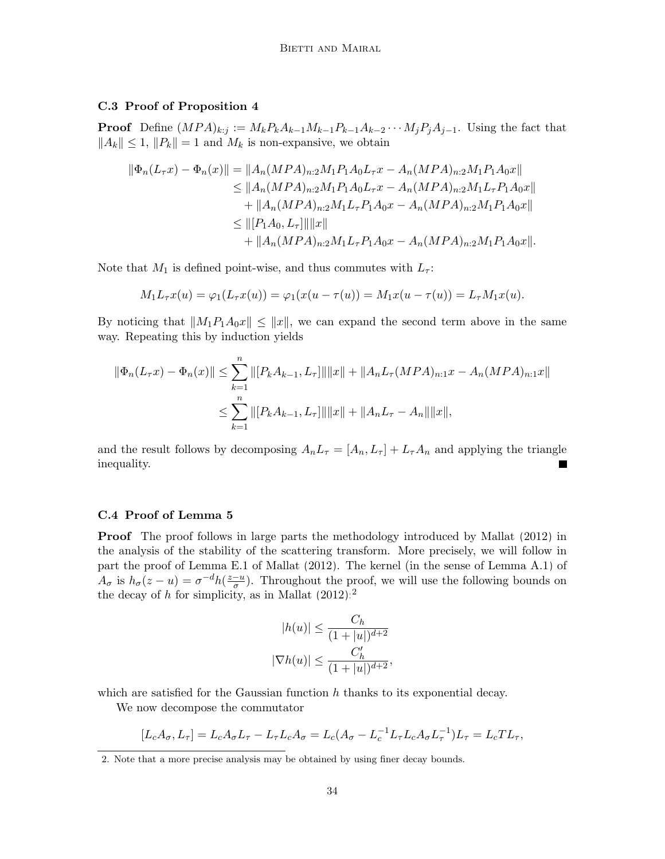# C.3 Proof of Proposition [4](#page-13-1)

**Proof** Define  $(MPA)_{k:j} := M_kP_kA_{k-1}M_{k-1}P_{k-1}A_{k-2}\cdots M_jP_jA_{j-1}$ . Using the fact that  $||A_k|| \leq 1$ ,  $||P_k|| = 1$  and  $M_k$  is non-expansive, we obtain

$$
\|\Phi_n(L_\tau x) - \Phi_n(x)\| = \|A_n(MPA)_{n:2}M_1P_1A_0L_\tau x - A_n(MPA)_{n:2}M_1P_1A_0x\|
$$
  
\n
$$
\le \|A_n(MPA)_{n:2}M_1P_1A_0L_\tau x - A_n(MPA)_{n:2}M_1L_\tau P_1A_0x\|
$$
  
\n
$$
+ \|A_n(MPA)_{n:2}M_1L_\tau P_1A_0x - A_n(MPA)_{n:2}M_1P_1A_0x\|
$$
  
\n
$$
\le \| [P_1A_0, L_\tau] \| \|x\|
$$
  
\n
$$
+ \|A_n(MPA)_{n:2}M_1L_\tau P_1A_0x - A_n(MPA)_{n:2}M_1P_1A_0x\|.
$$

Note that  $M_1$  is defined point-wise, and thus commutes with  $L_7$ :

$$
M_1 L_\tau x(u) = \varphi_1(L_\tau x(u)) = \varphi_1(x(u - \tau(u)) = M_1 x(u - \tau(u)) = L_\tau M_1 x(u).
$$

By noticing that  $||M_1P_1A_0x|| \le ||x||$ , we can expand the second term above in the same way. Repeating this by induction yields

$$
\|\Phi_n(L_\tau x) - \Phi_n(x)\| \le \sum_{k=1}^n \|[P_k A_{k-1}, L_\tau]\| \|x\| + \|A_n L_\tau (MPA)_{n:1} x - A_n (MPA)_{n:1} x\|
$$
  

$$
\le \sum_{k=1}^n \|[P_k A_{k-1}, L_\tau]\| \|x\| + \|A_n L_\tau - A_n\| \|x\|,
$$

and the result follows by decomposing  $A_n L_\tau = [A_n, L_\tau] + L_\tau A_n$  and applying the triangle inequality.

### <span id="page-33-0"></span>C.4 Proof of Lemma [5](#page-13-2)

**Proof** The proof follows in large parts the methodology introduced by [Mallat](#page-46-1) [\(2012\)](#page-46-1) in the analysis of the stability of the scattering transform. More precisely, we will follow in part the proof of Lemma E.1 of [Mallat](#page-46-1) [\(2012\)](#page-46-1). The kernel (in the sense of Lemma [A.1\)](#page-29-2) of  $A_{\sigma}$  is  $h_{\sigma}(z-u) = \sigma^{-d}h(\frac{z-u}{\sigma})$  $\frac{-u}{\sigma}$ ). Throughout the proof, we will use the following bounds on the decay of h for simplicity, as in [Mallat](#page-46-1)  $(2012)$ :<sup>[2](#page-33-1)</sup>

$$
|h(u)| \le \frac{C_h}{(1+|u|)^{d+2}}
$$
  

$$
|\nabla h(u)| \le \frac{C_h'}{(1+|u|)^{d+2}},
$$

which are satisfied for the Gaussian function  $h$  thanks to its exponential decay.

We now decompose the commutator

$$
[L_c A_\sigma, L_\tau] = L_c A_\sigma L_\tau - L_\tau L_c A_\sigma = L_c (A_\sigma - L_c^{-1} L_\tau L_c A_\sigma L_\tau^{-1}) L_\tau = L_c T L_\tau,
$$

<span id="page-33-1"></span><sup>2.</sup> Note that a more precise analysis may be obtained by using finer decay bounds.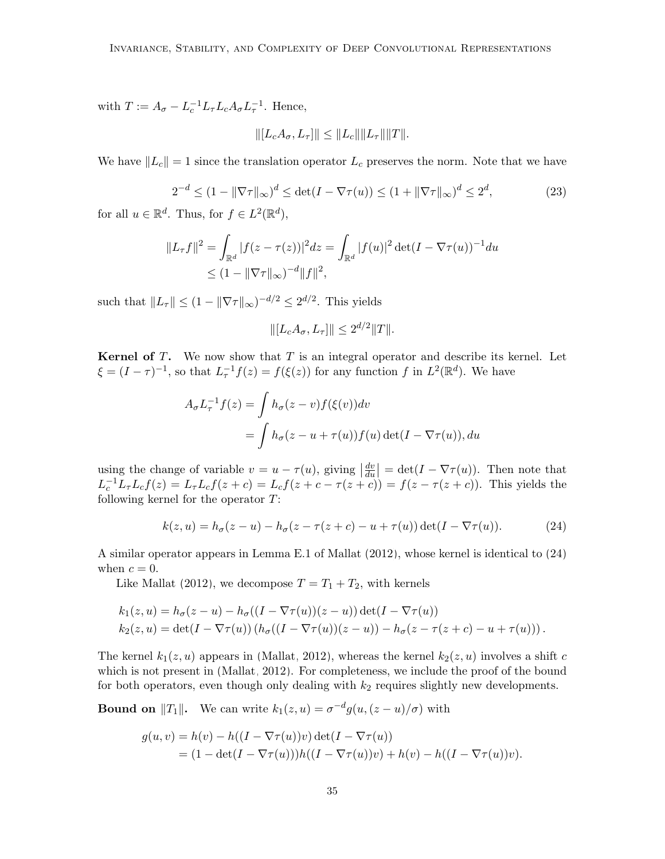with  $T := A_{\sigma} - L_c^{-1} L_{\tau} L_c A_{\sigma} L_{\tau}^{-1}$ . Hence,

$$
\| [L_c A_{\sigma}, L_{\tau}] \| \leq \| L_c \| \| L_{\tau} \| \| T \|.
$$

We have  $||L_c|| = 1$  since the translation operator  $L_c$  preserves the norm. Note that we have

$$
2^{-d} \le (1 - \|\nabla \tau\|_{\infty})^d \le \det(I - \nabla \tau(u)) \le (1 + \|\nabla \tau\|_{\infty})^d \le 2^d,
$$
 (23)

for all  $u \in \mathbb{R}^d$ . Thus, for  $f \in L^2(\mathbb{R}^d)$ ,

$$
||L_{\tau}f||^{2} = \int_{\mathbb{R}^{d}} |f(z - \tau(z))|^{2} dz = \int_{\mathbb{R}^{d}} |f(u)|^{2} \det(I - \nabla \tau(u))^{-1} du
$$
  
 
$$
\leq (1 - ||\nabla \tau||_{\infty})^{-d} ||f||^{2},
$$

such that  $||L_{\tau}|| \leq (1 - ||\nabla \tau||_{\infty})^{-d/2} \leq 2^{d/2}$ . This yields

$$
\| [L_c A_{\sigma}, L_{\tau}] \| \le 2^{d/2} \|T\|.
$$

**Kernel of T.** We now show that  $T$  is an integral operator and describe its kernel. Let  $\xi = (I - \tau)^{-1}$ , so that  $L_{\tau}^{-1} f(z) = f(\xi(z))$  for any function f in  $L^2(\mathbb{R}^d)$ . We have

$$
A_{\sigma}L_{\tau}^{-1}f(z) = \int h_{\sigma}(z-v)f(\xi(v))dv
$$
  
= 
$$
\int h_{\sigma}(z-u+\tau(u))f(u) \det(I-\nabla \tau(u)), du
$$

using the change of variable  $v = u - \tau(u)$ , giving  $\frac{dv}{du}$  $\frac{dv}{du}$  = det( $I - \nabla \tau(u)$ ). Then note that  $L_c^{-1}L_{\tau}L_{c}f(z) = L_{\tau}L_{c}f(z+c) = L_{c}f(z+c-\tau(z+c)) = f(z-\tau(z+c))$ . This yields the following kernel for the operator  $T$ :

<span id="page-34-0"></span>
$$
k(z, u) = h_{\sigma}(z - u) - h_{\sigma}(z - \tau(z + c) - u + \tau(u)) \det(I - \nabla \tau(u)). \tag{24}
$$

A similar operator appears in Lemma E.1 of [Mallat](#page-46-1) [\(2012\)](#page-46-1), whose kernel is identical to [\(24\)](#page-34-0) when  $c = 0$ .

Like [Mallat](#page-46-1) [\(2012\)](#page-46-1), we decompose  $T = T_1 + T_2$ , with kernels

$$
k_1(z, u) = h_{\sigma}(z - u) - h_{\sigma}((I - \nabla \tau(u))(z - u)) \det(I - \nabla \tau(u))
$$
  
\n
$$
k_2(z, u) = \det(I - \nabla \tau(u))(h_{\sigma}((I - \nabla \tau(u))(z - u)) - h_{\sigma}(z - \tau(z + c) - u + \tau(u))).
$$

The kernel  $k_1(z, u)$  appears in [\(Mallat, 2012\)](#page-46-1), whereas the kernel  $k_2(z, u)$  involves a shift c which is not present in [\(Mallat, 2012\)](#page-46-1). For completeness, we include the proof of the bound for both operators, even though only dealing with  $k_2$  requires slightly new developments.

**Bound on**  $||T_1||$ . We can write  $k_1(z, u) = \sigma^{-d} g(u, (z - u)/\sigma)$  with

$$
g(u, v) = h(v) - h((I - \nabla \tau(u))v) \det(I - \nabla \tau(u))
$$
  
= 
$$
(1 - \det(I - \nabla \tau(u)))h((I - \nabla \tau(u))v) + h(v) - h((I - \nabla \tau(u))v).
$$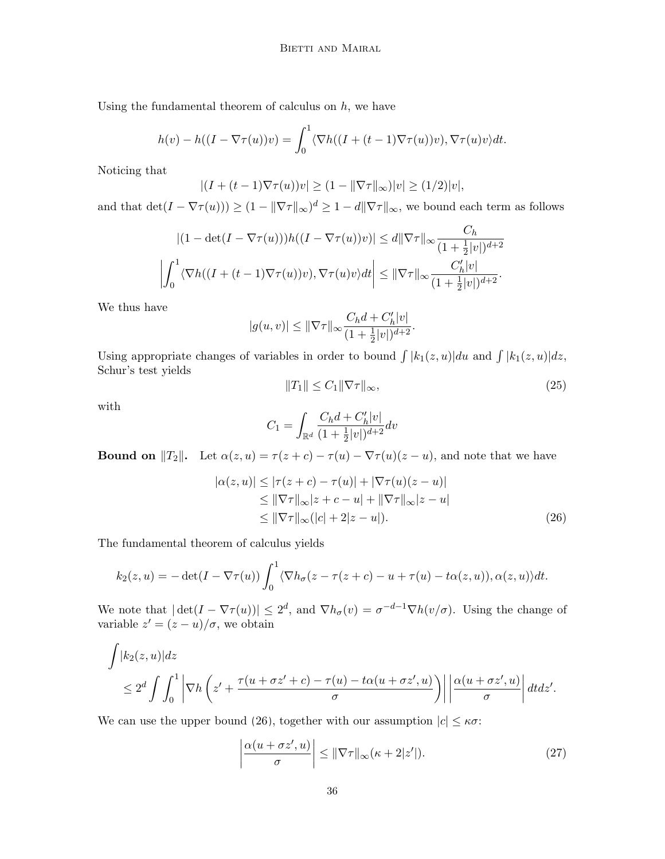Using the fundamental theorem of calculus on  $h$ , we have

$$
h(v) - h((I - \nabla \tau(u))v) = \int_0^1 \langle \nabla h((I + (t-1)\nabla \tau(u))v), \nabla \tau(u)v \rangle dt.
$$

Noticing that

$$
|(I + (t - 1)\nabla \tau(u))v| \ge (1 - \|\nabla \tau\|_{\infty})|v| \ge (1/2)|v|,
$$

and that  $\det(I - \nabla \tau(u))) \ge (1 - ||\nabla \tau||_{\infty})^d \ge 1 - d||\nabla \tau||_{\infty}$ , we bound each term as follows

$$
\left| (1 - \det(I - \nabla \tau(u)))h((I - \nabla \tau(u))v) \right| \le d \|\nabla \tau\|_{\infty} \frac{C_h}{(1 + \frac{1}{2}|v|)^{d+2}}
$$

$$
\left| \int_0^1 \langle \nabla h((I + (t-1)\nabla \tau(u))v), \nabla \tau(u)v \rangle dt \right| \le \|\nabla \tau\|_{\infty} \frac{C_h'|v|}{(1 + \frac{1}{2}|v|)^{d+2}}.
$$

We thus have

$$
|g(u,v)|\leq \|\nabla \tau\|_\infty\frac{C_hd+C'_h|v|}{(1+\frac{1}{2}|v|)^{d+2}}.
$$

Using appropriate changes of variables in order to bound  $\int |k_1(z, u)| du$  and  $\int |k_1(z, u)| dz$ , Schur's test yields

<span id="page-35-0"></span>
$$
||T_1|| \le C_1 ||\nabla \tau||_{\infty},\tag{25}
$$

with

$$
C_1=\int_{\mathbb{R}^d}\frac{C_hd+C'_h|v|}{(1+\frac{1}{2}|v|)^{d+2}}dv
$$

**Bound on**  $||T_2||$ . Let  $\alpha(z, u) = \tau(z + c) - \tau(u) - \nabla \tau(u)(z - u)$ , and note that we have

$$
|\alpha(z, u)| \le |\tau(z + c) - \tau(u)| + |\nabla \tau(u)(z - u)|
$$
  
\n
$$
\le \|\nabla \tau\|_{\infty} |z + c - u| + \|\nabla \tau\|_{\infty} |z - u|
$$
  
\n
$$
\le \|\nabla \tau\|_{\infty} (|c| + 2|z - u|).
$$
\n(26)

The fundamental theorem of calculus yields

$$
k_2(z, u) = -\det(I - \nabla \tau(u)) \int_0^1 \langle \nabla h_{\sigma}(z - \tau(z + c) - u + \tau(u) - t\alpha(z, u)), \alpha(z, u) \rangle dt.
$$

We note that  $|\det(I - \nabla \tau(u))| \leq 2^d$ , and  $\nabla h_{\sigma}(v) = \sigma^{-d-1} \nabla h(v/\sigma)$ . Using the change of variable  $z' = (z - u)/\sigma$ , we obtain

$$
\int |k_2(z, u)| dz
$$
  
\n
$$
\leq 2^d \int \int_0^1 \left| \nabla h \left( z' + \frac{\tau(u + \sigma z' + c) - \tau(u) - t\alpha(u + \sigma z', u)}{\sigma} \right) \right| \left| \frac{\alpha(u + \sigma z', u)}{\sigma} \right| dt dz'.
$$

We can use the upper bound [\(26\)](#page-35-0), together with our assumption  $|c| \leq \kappa \sigma$ :

$$
\left| \frac{\alpha(u + \sigma z', u)}{\sigma} \right| \leq ||\nabla \tau||_{\infty} (\kappa + 2|z'|). \tag{27}
$$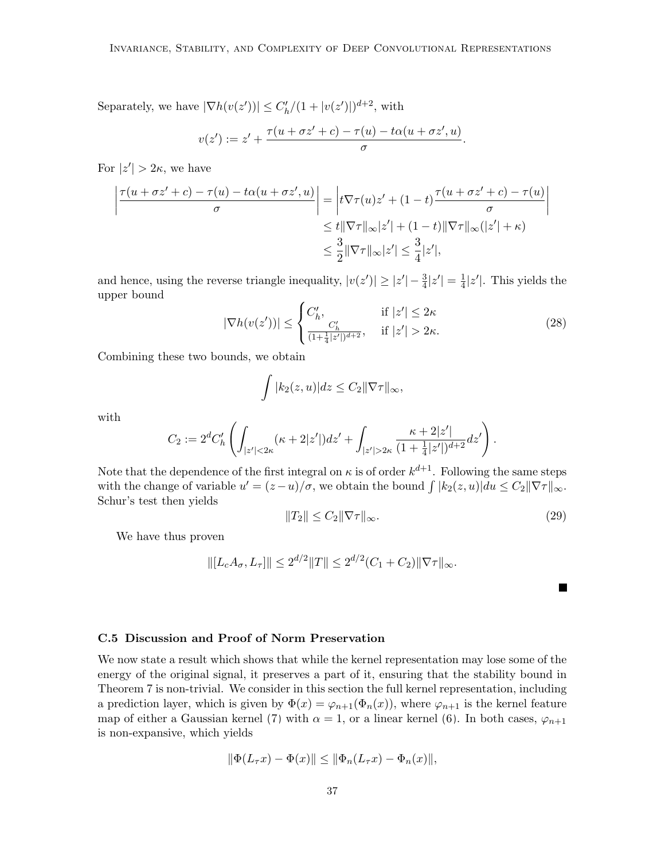Separately, we have  $|\nabla h(v(z'))| \leq C'_h/(1+|v(z')|)^{d+2}$ , with

$$
v(z') := z' + \frac{\tau(u + \sigma z' + c) - \tau(u) - t\alpha(u + \sigma z', u)}{\sigma}.
$$

For  $|z'| > 2\kappa$ , we have

$$
\left| \frac{\tau(u + \sigma z' + c) - \tau(u) - t\alpha(u + \sigma z', u)}{\sigma} \right| = \left| t\nabla \tau(u)z' + (1 - t)\frac{\tau(u + \sigma z' + c) - \tau(u)}{\sigma} \right|
$$
  

$$
\leq t \|\nabla \tau\|_{\infty} |z'| + (1 - t) \|\nabla \tau\|_{\infty} (|z'| + \kappa)
$$
  

$$
\leq \frac{3}{2} \|\nabla \tau\|_{\infty} |z'| \leq \frac{3}{4} |z'|,
$$

and hence, using the reverse triangle inequality,  $|v(z')| \ge |z'| - \frac{3}{4}|z'| = \frac{1}{4}$  $\frac{1}{4}|z'|$ . This yields the upper bound

$$
|\nabla h(v(z'))| \le \begin{cases} C'_h, & \text{if } |z'| \le 2\kappa \\ \frac{C'_h}{(1 + \frac{1}{4}|z'|)^{d+2}}, & \text{if } |z'| > 2\kappa. \end{cases}
$$
 (28)

Combining these two bounds, we obtain

$$
\int |k_2(z, u)| dz \leq C_2 ||\nabla \tau||_{\infty},
$$

with

$$
C_2 := 2^d C'_h \left( \int_{|z'|<2\kappa} (\kappa + 2|z'|) dz' + \int_{|z'|>2\kappa} \frac{\kappa + 2|z'|}{(1 + \frac{1}{4}|z'|)^{d+2}} dz' \right).
$$

Note that the dependence of the first integral on  $\kappa$  is of order  $k^{d+1}$ . Following the same steps with the change of variable  $u' = (z - u)/\sigma$ , we obtain the bound  $\int |k_2(z, u)| du \le C_2 ||\nabla \tau||_{\infty}$ . Schur's test then yields

$$
||T_2|| \le C_2 ||\nabla \tau||_{\infty}.\tag{29}
$$

 $\blacksquare$ 

We have thus proven

$$
\| [L_c A_{\sigma}, L_{\tau} ] \| \le 2^{d/2} \| T \| \le 2^{d/2} (C_1 + C_2) \| \nabla \tau \|_{\infty}.
$$

# <span id="page-36-0"></span>C.5 Discussion and Proof of Norm Preservation

We now state a result which shows that while the kernel representation may lose some of the energy of the original signal, it preserves a part of it, ensuring that the stability bound in Theorem [7](#page-14-2) is non-trivial. We consider in this section the full kernel representation, including a prediction layer, which is given by  $\Phi(x) = \varphi_{n+1}(\Phi_n(x))$ , where  $\varphi_{n+1}$  is the kernel feature map of either a Gaussian kernel [\(7\)](#page-9-4) with  $\alpha = 1$ , or a linear kernel [\(6\)](#page-9-2). In both cases,  $\varphi_{n+1}$ is non-expansive, which yields

$$
\|\Phi(L_{\tau}x) - \Phi(x)\| \le \|\Phi_n(L_{\tau}x) - \Phi_n(x)\|,
$$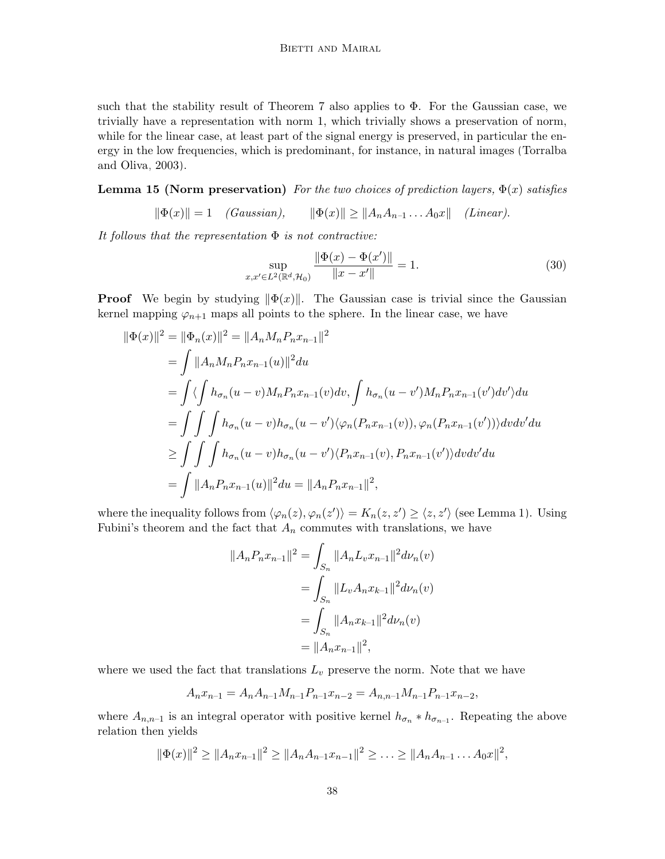such that the stability result of Theorem [7](#page-14-2) also applies to  $\Phi$ . For the Gaussian case, we trivially have a representation with norm 1, which trivially shows a preservation of norm, while for the linear case, at least part of the signal energy is preserved, in particular the energy in the low frequencies, which is predominant, for instance, in natural images [\(Torralba](#page-47-10) [and Oliva, 2003\)](#page-47-10).

<span id="page-37-1"></span>**Lemma 15 (Norm preservation)** For the two choices of prediction layers,  $\Phi(x)$  satisfies

$$
\|\Phi(x)\| = 1 \quad (Gaussian), \qquad \|\Phi(x)\| \ge \|A_n A_{n-1} \dots A_0 x\| \quad (Linear).
$$

It follows that the representation  $\Phi$  is not contractive:

<span id="page-37-0"></span>
$$
\sup_{x,x'\in L^2(\mathbb{R}^d,\mathcal{H}_0)}\frac{\|\Phi(x)-\Phi(x')\|}{\|x-x'\|}=1.
$$
\n(30)

**Proof** We begin by studying  $\|\Phi(x)\|$ . The Gaussian case is trivial since the Gaussian kernel mapping  $\varphi_{n+1}$  maps all points to the sphere. In the linear case, we have

$$
\begin{aligned}\n\|\Phi(x)\|^2 &= \|\Phi_n(x)\|^2 = \|A_n M_n P_n x_{n-1}\|^2 \\
&= \int \|A_n M_n P_n x_{n-1}(u)\|^2 du \\
&= \int \langle \int h_{\sigma_n}(u-v) M_n P_n x_{n-1}(v) dv, \int h_{\sigma_n}(u-v') M_n P_n x_{n-1}(v') dv' \rangle du \\
&= \int \int \int h_{\sigma_n}(u-v) h_{\sigma_n}(u-v') \langle \varphi_n(P_n x_{n-1}(v)), \varphi_n(P_n x_{n-1}(v')) \rangle dv dv' du \\
&\geq \int \int \int h_{\sigma_n}(u-v) h_{\sigma_n}(u-v') \langle P_n x_{n-1}(v), P_n x_{n-1}(v') \rangle dv dv' du \\
&= \int \|A_n P_n x_{n-1}(u)\|^2 du = \|A_n P_n x_{n-1}\|^2,\n\end{aligned}
$$

where the inequality follows from  $\langle \varphi_n(z), \varphi_n(z') \rangle = K_n(z, z') \ge \langle z, z' \rangle$  (see Lemma [1\)](#page-7-1). Using Fubini's theorem and the fact that  $A_n$  commutes with translations, we have

$$
||A_n P_n x_{n-1}||^2 = \int_{S_n} ||A_n L_v x_{n-1}||^2 d\nu_n(v)
$$
  
= 
$$
\int_{S_n} ||L_v A_n x_{k-1}||^2 d\nu_n(v)
$$
  
= 
$$
\int_{S_n} ||A_n x_{k-1}||^2 d\nu_n(v)
$$
  
= 
$$
||A_n x_{n-1}||^2,
$$

where we used the fact that translations  $L_v$  preserve the norm. Note that we have

$$
A_n x_{n-1} = A_n A_{n-1} M_{n-1} P_{n-1} x_{n-2} = A_{n,n-1} M_{n-1} P_{n-1} x_{n-2},
$$

where  $A_{n,n-1}$  is an integral operator with positive kernel  $h_{\sigma_n} * h_{\sigma_{n-1}}$ . Repeating the above relation then yields

$$
\|\Phi(x)\|^2 \ge \|A_n x_{n-1}\|^2 \ge \|A_n A_{n-1} x_{n-1}\|^2 \ge \ldots \ge \|A_n A_{n-1} \ldots A_0 x\|^2,
$$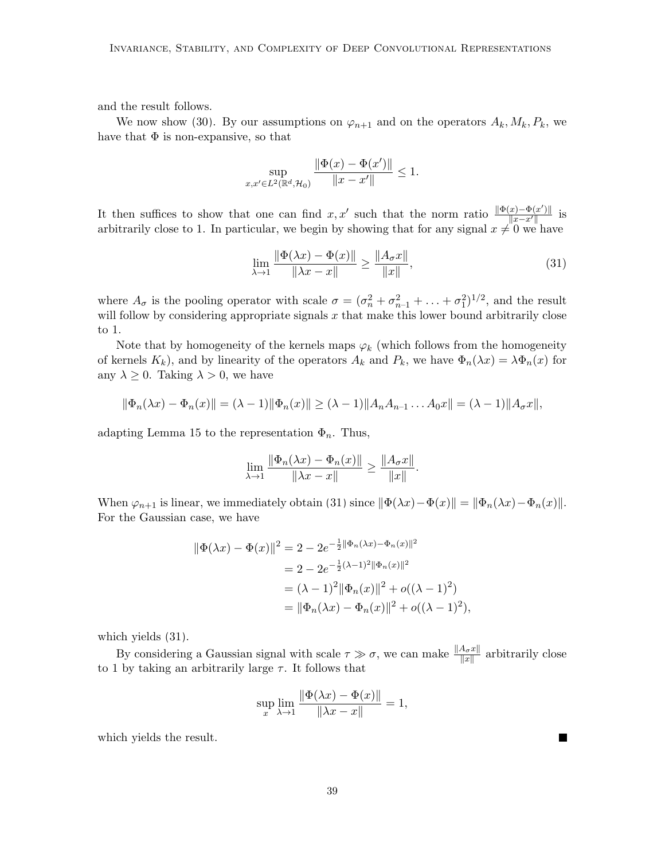and the result follows.

We now show [\(30\)](#page-37-0). By our assumptions on  $\varphi_{n+1}$  and on the operators  $A_k, M_k, P_k$ , we have that  $\Phi$  is non-expansive, so that

$$
\sup_{x,x'\in L^2(\mathbb{R}^d,\mathcal{H}_0)}\frac{\|\Phi(x)-\Phi(x')\|}{\|x-x'\|}\leq 1.
$$

It then suffices to show that one can find x, x' such that the norm ratio  $\frac{\|\Phi(x)-\Phi(x')\|}{\|x-x'\|}$  $\frac{||x)-\Psi(x)||}{||x-x'||}$  is arbitrarily close to 1. In particular, we begin by showing that for any signal  $x \neq 0$  we have

<span id="page-38-0"></span>
$$
\lim_{\lambda \to 1} \frac{\|\Phi(\lambda x) - \Phi(x)\|}{\|\lambda x - x\|} \ge \frac{\|A_{\sigma} x\|}{\|x\|},
$$
\n(31)

where  $A_{\sigma}$  is the pooling operator with scale  $\sigma = (\sigma_n^2 + \sigma_{n-1}^2 + \ldots + \sigma_1^2)^{1/2}$ , and the result will follow by considering appropriate signals  $x$  that make this lower bound arbitrarily close to 1.

Note that by homogeneity of the kernels maps  $\varphi_k$  (which follows from the homogeneity of kernels  $K_k$ ), and by linearity of the operators  $A_k$  and  $P_k$ , we have  $\Phi_n(\lambda x) = \lambda \Phi_n(x)$  for any  $\lambda \geq 0$ . Taking  $\lambda > 0$ , we have

$$
\|\Phi_n(\lambda x) - \Phi_n(x)\| = (\lambda - 1)\|\Phi_n(x)\| \ge (\lambda - 1)\|A_n A_{n-1} \dots A_0 x\| = (\lambda - 1)\|A_\sigma x\|,
$$

adapting Lemma [15](#page-37-1) to the representation  $\Phi_n$ . Thus,

$$
\lim_{\lambda \to 1} \frac{\|\Phi_n(\lambda x) - \Phi_n(x)\|}{\|\lambda x - x\|} \ge \frac{\|A_\sigma x\|}{\|x\|}.
$$

When  $\varphi_{n+1}$  is linear, we immediately obtain [\(31\)](#page-38-0) since  $\|\Phi(\lambda x)-\Phi(x)\| = \|\Phi_n(\lambda x)-\Phi_n(x)\|.$ For the Gaussian case, we have

$$
\|\Phi(\lambda x) - \Phi(x)\|^2 = 2 - 2e^{-\frac{1}{2}\|\Phi_n(\lambda x) - \Phi_n(x)\|^2}
$$
  
=  $2 - 2e^{-\frac{1}{2}(\lambda - 1)^2 \|\Phi_n(x)\|^2}$   
=  $(\lambda - 1)^2 \|\Phi_n(x)\|^2 + o((\lambda - 1)^2)$   
=  $\|\Phi_n(\lambda x) - \Phi_n(x)\|^2 + o((\lambda - 1)^2),$ 

which yields [\(31\)](#page-38-0).

By considering a Gaussian signal with scale  $\tau \gg \sigma$ , we can make  $\frac{\|A_{\sigma}x\|}{\|x\|}$  arbitrarily close to 1 by taking an arbitrarily large  $\tau$ . It follows that

$$
\sup_{x} \lim_{\lambda \to 1} \frac{\|\Phi(\lambda x) - \Phi(x)\|}{\|\lambda x - x\|} = 1,
$$

which yields the result.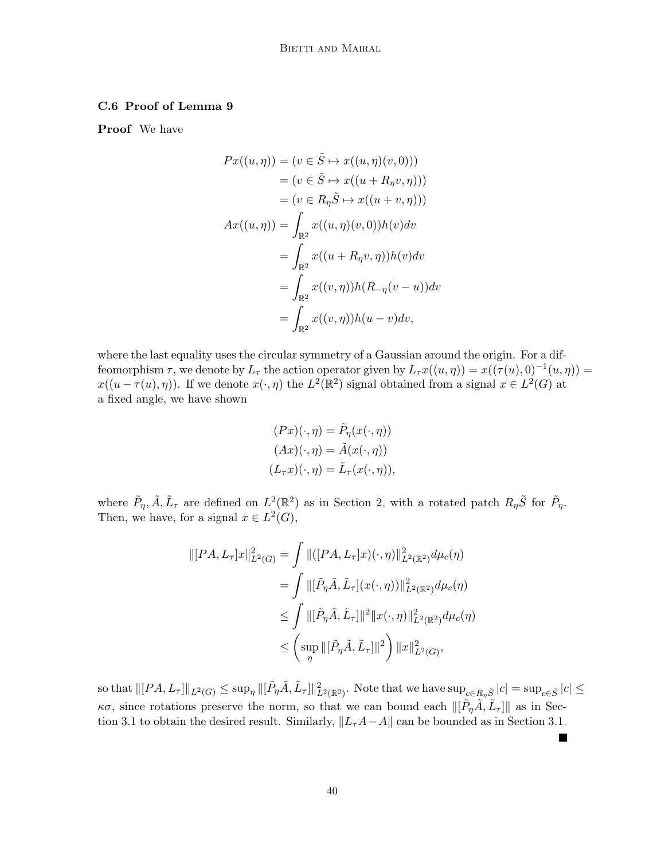# C.6 Proof of Lemma [9](#page-20-0)

Proof We have

$$
Px((u, \eta)) = (v \in \tilde{S} \mapsto x((u, \eta)(v, 0)))
$$
  
\n
$$
= (v \in \tilde{S} \mapsto x((u + R_{\eta}v, \eta)))
$$
  
\n
$$
= (v \in R_{\eta}\tilde{S} \mapsto x((u + v, \eta)))
$$
  
\n
$$
Ax((u, \eta)) = \int_{\mathbb{R}^2} x((u, \eta)(v, 0))h(v)dv
$$
  
\n
$$
= \int_{\mathbb{R}^2} x((u + R_{\eta}v, \eta))h(v)dv
$$
  
\n
$$
= \int_{\mathbb{R}^2} x((v, \eta))h(R_{-\eta}(v - u))dv
$$
  
\n
$$
= \int_{\mathbb{R}^2} x((v, \eta))h(u - v)dv,
$$

where the last equality uses the circular symmetry of a Gaussian around the origin. For a diffeomorphism  $\tau$ , we denote by  $L_{\tau}$  the action operator given by  $L_{\tau}x((u,\eta)) = x((\tau(u),0)^{-1}(u,\eta)) =$  $x((u - \tau(u), \eta))$ . If we denote  $x(\cdot, \eta)$  the  $L^2(\mathbb{R}^2)$  signal obtained from a signal  $x \in L^2(G)$  at a fixed angle, we have shown

$$
(Px)(\cdot, \eta) = \tilde{P}_{\eta}(x(\cdot, \eta))
$$

$$
(Ax)(\cdot, \eta) = \tilde{A}(x(\cdot, \eta))
$$

$$
(L_{\tau}x)(\cdot, \eta) = \tilde{L}_{\tau}(x(\cdot, \eta)),
$$

where  $\tilde{P}_{\eta}, \tilde{A}, \tilde{L}_{\tau}$  are defined on  $L^2(\mathbb{R}^2)$  as in Section [2,](#page-6-0) with a rotated patch  $R_{\eta} \tilde{S}$  for  $\tilde{P}_{\eta}$ . Then, we have, for a signal  $x \in L^2(G)$ ,

$$
\begin{aligned} \|[PA, L_{\tau}]x\|_{L^{2}(G)}^{2} &= \int \|([PA, L_{\tau}]x)(\cdot, \eta)\|_{L^{2}(\mathbb{R}^{2})}^{2} d\mu_{c}(\eta) \\ &= \int \|[\tilde{P}_{\eta}\tilde{A}, \tilde{L}_{\tau}](x(\cdot, \eta))\|_{L^{2}(\mathbb{R}^{2})}^{2} d\mu_{c}(\eta) \\ &\leq \int \|[\tilde{P}_{\eta}\tilde{A}, \tilde{L}_{\tau}]\|^{2} \|x(\cdot, \eta)\|_{L^{2}(\mathbb{R}^{2})}^{2} d\mu_{c}(\eta) \\ &\leq \left(\sup_{\eta} \|[\tilde{P}_{\eta}\tilde{A}, \tilde{L}_{\tau}]\|^{2}\right) \|x\|_{L^{2}(G)}^{2}, \end{aligned}
$$

 $\| \|\left[PA, L_\tau\right]\|_{L^2(G)} \leq \sup_{\eta} \|[\tilde{P}_{\eta}\tilde{A}, \tilde{L}_\tau]\|_{L^2(\mathbb{R}^2)}^2.$  Note that we have  $\sup_{c\in R_{\eta}\tilde{S}}|c| = \sup_{c\in \tilde{S}}|c| \leq 1$  $\kappa\sigma$ , since rotations preserve the norm, so that we can bound each  $\|\tilde{[P}_\eta \tilde{A}, \tilde{L}_\tau\| \|$  as in Sec-tion [3.1](#page-13-0) to obtain the desired result. Similarly,  $||L_{\tau}A-A||$  can be bounded as in Section [3.1.](#page-13-0)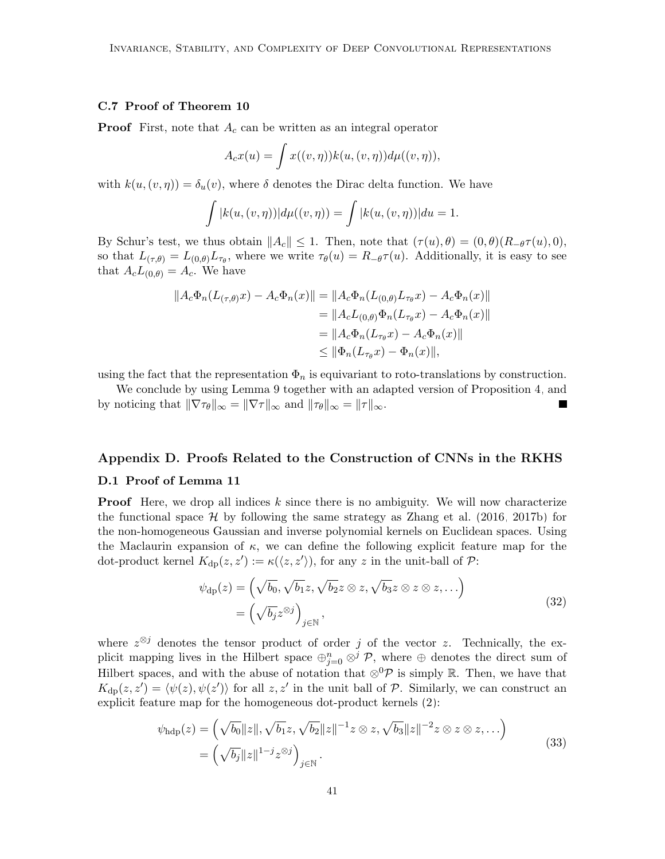# C.7 Proof of Theorem [10](#page-21-1)

**Proof** First, note that  $A_c$  can be written as an integral operator

$$
A_c x(u) = \int x((v, \eta)) k(u, (v, \eta)) d\mu((v, \eta)),
$$

with  $k(u,(v,\eta)) = \delta_u(v)$ , where  $\delta$  denotes the Dirac delta function. We have

$$
\int |k(u, (v, \eta))| d\mu((v, \eta)) = \int |k(u, (v, \eta))| du = 1.
$$

By Schur's test, we thus obtain  $||A_c|| \leq 1$ . Then, note that  $(\tau(u), \theta) = (0, \theta)(R_{-\theta}\tau(u), 0)$ , so that  $L_{(\tau,\theta)} = L_{(0,\theta)} L_{\tau_{\theta}}$ , where we write  $\tau_{\theta}(u) = R_{-\theta} \tau(u)$ . Additionally, it is easy to see that  $A_c L_{(0,\theta)} = A_c$ . We have

$$
||A_{c}\Phi_{n}(L_{(\tau,\theta)}x) - A_{c}\Phi_{n}(x)|| = ||A_{c}\Phi_{n}(L_{(0,\theta)}L_{\tau_{\theta}}x) - A_{c}\Phi_{n}(x)||
$$
  
\n
$$
= ||A_{c}L_{(0,\theta)}\Phi_{n}(L_{\tau_{\theta}}x) - A_{c}\Phi_{n}(x)||
$$
  
\n
$$
= ||A_{c}\Phi_{n}(L_{\tau_{\theta}}x) - A_{c}\Phi_{n}(x)||
$$
  
\n
$$
\leq ||\Phi_{n}(L_{\tau_{\theta}}x) - \Phi_{n}(x)||,
$$

using the fact that the representation  $\Phi_n$  is equivariant to roto-translations by construction.

We conclude by using Lemma [9](#page-20-0) together with an adapted version of Proposition [4,](#page-13-1) and by noticing that  $\|\nabla \tau_{\theta}\|_{\infty} = \|\nabla \tau\|_{\infty}$  and  $\|\tau_{\theta}\|_{\infty} = \|\tau\|_{\infty}$ . П

# Appendix D. Proofs Related to the Construction of CNNs in the RKHS

# D.1 Proof of Lemma [11](#page-22-4)

**Proof** Here, we drop all indices  $k$  since there is no ambiguity. We will now characterize the functional space  $\mathcal{H}$  by following the same strategy as [Zhang et al.](#page-48-2) [\(2016,](#page-48-2) [2017b\)](#page-48-0) for the non-homogeneous Gaussian and inverse polynomial kernels on Euclidean spaces. Using the Maclaurin expansion of  $\kappa$ , we can define the following explicit feature map for the dot-product kernel  $K_{dp}(z, z') := \kappa(\langle z, z' \rangle)$ , for any z in the unit-ball of  $\mathcal{P}$ :

$$
\psi_{dp}(z) = \left(\sqrt{b_0}, \sqrt{b_1}z, \sqrt{b_2}z \otimes z, \sqrt{b_3}z \otimes z \otimes z, \ldots\right)
$$
  
= 
$$
\left(\sqrt{b_j}z^{\otimes j}\right)_{j \in \mathbb{N}},
$$
 (32)

where  $z^{\otimes j}$  denotes the tensor product of order j of the vector z. Technically, the explicit mapping lives in the Hilbert space  $\oplus_{j=0}^n \otimes^j \mathcal{P}$ , where  $\oplus$  denotes the direct sum of Hilbert spaces, and with the abuse of notation that  $\otimes^0 \mathcal{P}$  is simply R. Then, we have that  $K_{dp}(z, z') = \langle \psi(z), \psi(z') \rangle$  for all  $z, z'$  in the unit ball of  $P$ . Similarly, we can construct an explicit feature map for the homogeneous dot-product kernels [\(2\)](#page-7-2):

$$
\psi_{\text{hdp}}(z) = \left(\sqrt{b_0}||z||, \sqrt{b_1}z, \sqrt{b_2}||z||^{-1}z \otimes z, \sqrt{b_3}||z||^{-2}z \otimes z \otimes z, \dots\right)
$$
  
= 
$$
\left(\sqrt{b_j}||z||^{1-j}z^{\otimes j}\right)_{j \in \mathbb{N}}.
$$
 (33)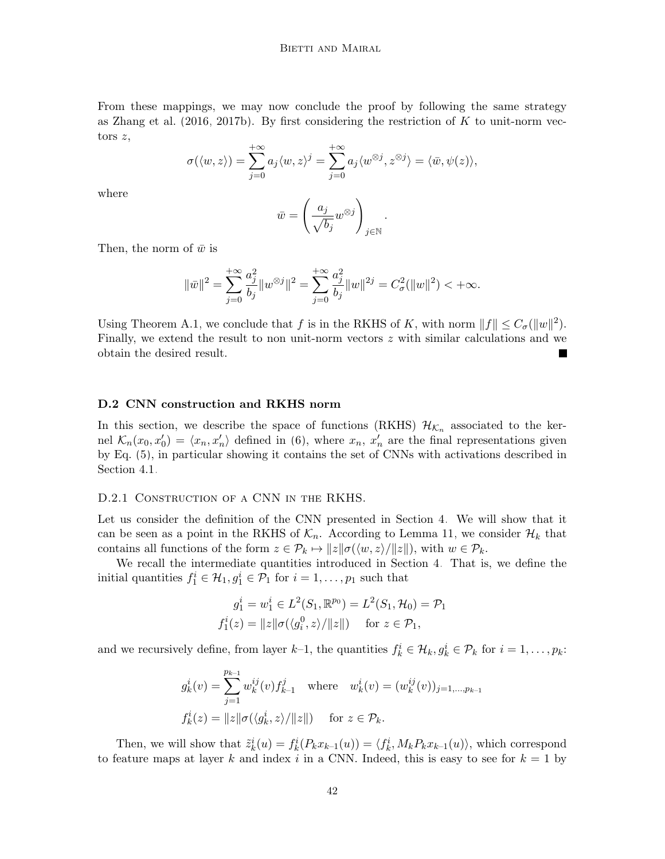From these mappings, we may now conclude the proof by following the same strategy as [Zhang et al.](#page-48-2) [\(2016,](#page-48-2) [2017b\)](#page-48-0). By first considering the restriction of  $K$  to unit-norm vectors z,

$$
\sigma(\langle w, z \rangle) = \sum_{j=0}^{+\infty} a_j \langle w, z \rangle^j = \sum_{j=0}^{+\infty} a_j \langle w^{\otimes j}, z^{\otimes j} \rangle = \langle \bar{w}, \psi(z) \rangle,
$$

where

$$
\bar{w} = \left(\frac{a_j}{\sqrt{b_j}} w^{\otimes j}\right)_{j \in \mathbb{N}}.
$$

Then, the norm of  $\bar{w}$  is

$$
\|\bar w\|^2=\sum_{j=0}^{+\infty}\frac{a_j^2}{b_j}\|w^{\otimes j}\|^2=\sum_{j=0}^{+\infty}\frac{a_j^2}{b_j}\|w\|^{2j}=C^2_\sigma(\|w\|^2)<+\infty.
$$

Using Theorem [A.1,](#page-30-3) we conclude that f is in the RKHS of K, with norm  $||f|| \leq C_{\sigma} (||w||^2)$ . Finally, we extend the result to non unit-norm vectors  $z$  with similar calculations and we obtain the desired result.

# <span id="page-41-0"></span>D.2 CNN construction and RKHS norm

In this section, we describe the space of functions (RKHS)  $\mathcal{H}_{K_n}$  associated to the kernel  $\mathcal{K}_n(x_0, x_0') = \langle x_n, x_n' \rangle$  defined in [\(6\)](#page-9-2), where  $x_n$ ,  $x_n'$  are the final representations given by Eq. [\(5\)](#page-9-1), in particular showing it contains the set of CNNs with activations described in Section [4.1.](#page-22-0)

#### D.2.1 CONSTRUCTION OF A CNN IN THE RKHS.

Let us consider the definition of the CNN presented in Section [4.](#page-21-0) We will show that it can be seen as a point in the RKHS of  $\mathcal{K}_n$ . According to Lemma [11,](#page-22-4) we consider  $\mathcal{H}_k$  that contains all functions of the form  $z \in \mathcal{P}_k \mapsto ||z|| \sigma(\langle w, z \rangle / ||z||)$ , with  $w \in \mathcal{P}_k$ .

We recall the intermediate quantities introduced in Section [4.](#page-21-0) That is, we define the initial quantities  $f_1^i \in \mathcal{H}_1, g_1^i \in \mathcal{P}_1$  for  $i = 1, \ldots, p_1$  such that

$$
g_1^i = w_1^i \in L^2(S_1, \mathbb{R}^{p_0}) = L^2(S_1, \mathcal{H}_0) = \mathcal{P}_1
$$
  

$$
f_1^i(z) = ||z|| \sigma(\langle g_1^0, z \rangle / ||z||) \quad \text{for } z \in \mathcal{P}_1,
$$

and we recursively define, from layer  $k-1$ , the quantities  $f_k^i \in \mathcal{H}_k, g_k^i \in \mathcal{P}_k$  for  $i = 1, \ldots, p_k$ :

$$
g_k^i(v) = \sum_{j=1}^{p_{k-1}} w_k^{ij}(v) f_{k-1}^j \quad \text{where} \quad w_k^i(v) = (w_k^{ij}(v))_{j=1,\dots,p_{k-1}}
$$
  

$$
f_k^i(z) = ||z|| \sigma(\langle g_k^i, z \rangle / ||z||) \quad \text{for } z \in \mathcal{P}_k.
$$

Then, we will show that  $\tilde{z}_k^i(u) = f_k^i(P_k x_{k-1}(u)) = \langle f_k^i, M_k P_k x_{k-1}(u) \rangle$ , which correspond to feature maps at layer k and index i in a CNN. Indeed, this is easy to see for  $k = 1$  by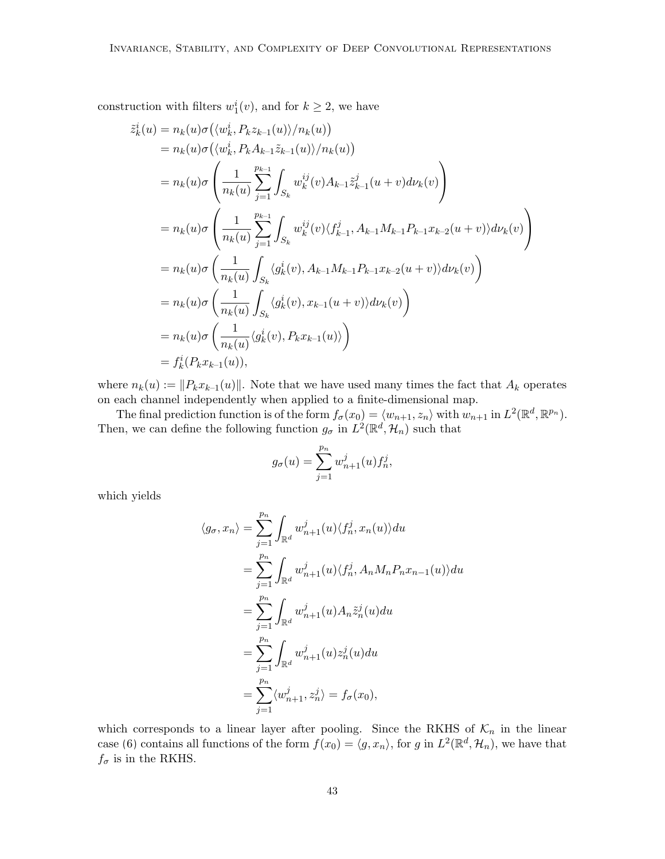construction with filters  $w_1^i(v)$ , and for  $k \ge 2$ , we have

$$
\tilde{z}_{k}^{i}(u) = n_{k}(u)\sigma(\langle w_{k}^{i}, P_{k}z_{k-1}(u)\rangle/n_{k}(u))
$$
\n
$$
= n_{k}(u)\sigma(\langle w_{k}^{i}, P_{k}A_{k-1}\tilde{z}_{k-1}(u)\rangle/n_{k}(u))
$$
\n
$$
= n_{k}(u)\sigma\left(\frac{1}{n_{k}(u)}\sum_{j=1}^{p_{k-1}}\int_{S_{k}}w_{k}^{ij}(v)A_{k-1}\tilde{z}_{k-1}^{j}(u+v)dv_{k}(v)\right)
$$
\n
$$
= n_{k}(u)\sigma\left(\frac{1}{n_{k}(u)}\sum_{j=1}^{p_{k-1}}\int_{S_{k}}w_{k}^{ij}(v)\langle f_{k-1}^{j}, A_{k-1}M_{k-1}P_{k-1}x_{k-2}(u+v)\rangle d\nu_{k}(v)\right)
$$
\n
$$
= n_{k}(u)\sigma\left(\frac{1}{n_{k}(u)}\int_{S_{k}}\langle g_{k}^{i}(v), A_{k-1}M_{k-1}P_{k-1}x_{k-2}(u+v)\rangle d\nu_{k}(v)\right)
$$
\n
$$
= n_{k}(u)\sigma\left(\frac{1}{n_{k}(u)}\int_{S_{k}}\langle g_{k}^{i}(v), x_{k-1}(u+v)\rangle d\nu_{k}(v)\right)
$$
\n
$$
= n_{k}(u)\sigma\left(\frac{1}{n_{k}(u)}\langle g_{k}^{i}(v), P_{k}x_{k-1}(u)\rangle\right)
$$
\n
$$
= f_{k}^{i}(P_{k}x_{k-1}(u)),
$$

where  $n_k(u) := ||P_kx_{k-1}(u)||$ . Note that we have used many times the fact that  $A_k$  operates on each channel independently when applied to a finite-dimensional map.

The final prediction function is of the form  $f_{\sigma}(x_0) = \langle w_{n+1}, z_n \rangle$  with  $w_{n+1}$  in  $L^2(\mathbb{R}^d, \mathbb{R}^{p_n})$ . Then, we can define the following function  $g_{\sigma}$  in  $L^2(\mathbb{R}^d, \mathcal{H}_n)$  such that

$$
g_{\sigma}(u) = \sum_{j=1}^{p_n} w_{n+1}^j(u) f_n^j,
$$

which yields

$$
\langle g_{\sigma}, x_n \rangle = \sum_{j=1}^{p_n} \int_{\mathbb{R}^d} w_{n+1}^j(u) \langle f_n^j, x_n(u) \rangle du
$$
  
\n
$$
= \sum_{j=1}^{p_n} \int_{\mathbb{R}^d} w_{n+1}^j(u) \langle f_n^j, A_n M_n P_n x_{n-1}(u) \rangle du
$$
  
\n
$$
= \sum_{j=1}^{p_n} \int_{\mathbb{R}^d} w_{n+1}^j(u) A_n \tilde{z}_n^j(u) du
$$
  
\n
$$
= \sum_{j=1}^{p_n} \int_{\mathbb{R}^d} w_{n+1}^j(u) z_n^j(u) du
$$
  
\n
$$
= \sum_{j=1}^{p_n} \langle w_{n+1}^j, z_n^j \rangle = f_{\sigma}(x_0),
$$

which corresponds to a linear layer after pooling. Since the RKHS of  $\mathcal{K}_n$  in the linear case [\(6\)](#page-9-2) contains all functions of the form  $f(x_0) = \langle g, x_n \rangle$ , for g in  $L^2(\mathbb{R}^d, \mathcal{H}_n)$ , we have that  $f_{\sigma}$  is in the RKHS.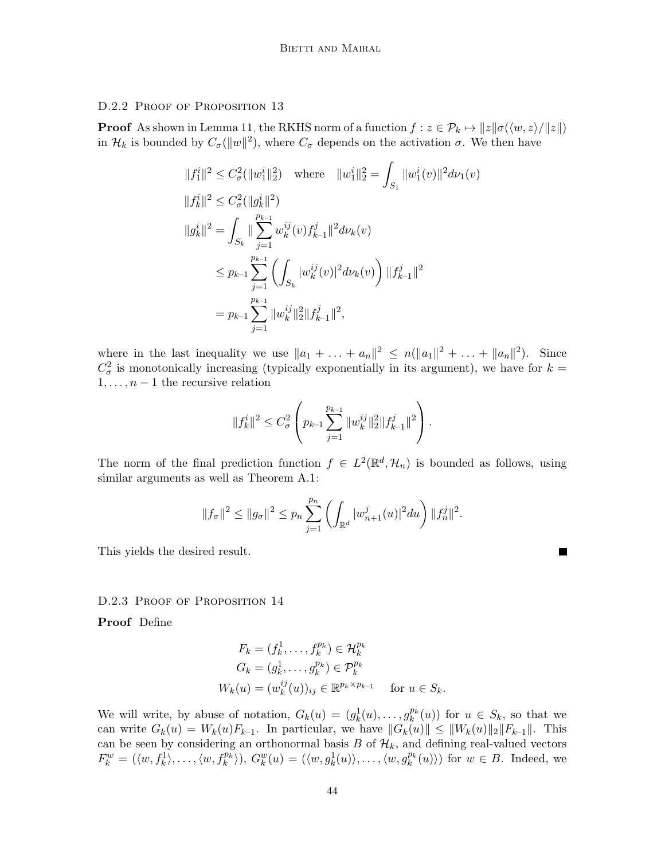D.2.2 PROOF OF PROPOSITION [13](#page-25-1)

**Proof** As shown in Lemma [11,](#page-22-4) the RKHS norm of a function  $f : z \in \mathcal{P}_k \mapsto ||z|| \sigma(\langle w, z \rangle / ||z||)$ in  $\mathcal{H}_k$  is bounded by  $C_{\sigma}(\|w\|^2)$ , where  $C_{\sigma}$  depends on the activation  $\sigma$ . We then have

$$
||f_1^i||^2 \leq C_{\sigma}^2(||w_1^i||_2^2) \quad \text{where} \quad ||w_1^i||_2^2 = \int_{S_1} ||w_1^i(v)||^2 d\nu_1(v)
$$
  
\n
$$
||f_k^i||^2 \leq C_{\sigma}^2 (||g_k^i||^2)
$$
  
\n
$$
||g_k^i||^2 = \int_{S_k} ||\sum_{j=1}^{p_{k-1}} w_k^{ij}(v) f_{k-1}^j||^2 d\nu_k(v)
$$
  
\n
$$
\leq p_{k-1} \sum_{j=1}^{p_{k-1}} \left( \int_{S_k} |w_k^{ij}(v)|^2 d\nu_k(v) \right) ||f_{k-1}^j||^2
$$
  
\n
$$
= p_{k-1} \sum_{j=1}^{p_{k-1}} ||w_k^{ij}||_2^2 ||f_{k-1}^j||^2,
$$

where in the last inequality we use  $||a_1 + ... + a_n||^2 \le n(||a_1||^2 + ... + ||a_n||^2)$ . Since  $C^2_{\sigma}$  is monotonically increasing (typically exponentially in its argument), we have for  $k =$  $1, \ldots, n-1$  the recursive relation

$$
||f_k^i||^2 \leq C_{\sigma}^2 \left( p_{k-1} \sum_{j=1}^{p_{k-1}} ||w_k^{ij}||_2^2 ||f_{k-1}^j||^2 \right).
$$

The norm of the final prediction function  $f \in L^2(\mathbb{R}^d, \mathcal{H}_n)$  is bounded as follows, using similar arguments as well as Theorem [A.1:](#page-30-3)

$$
||f_{\sigma}||^{2} \leq ||g_{\sigma}||^{2} \leq p_{n} \sum_{j=1}^{p_{n}} \left( \int_{\mathbb{R}^{d}} |w_{n+1}^{j}(u)|^{2} du \right) ||f_{n}^{j}||^{2}.
$$

This yields the desired result.

### D.2.3 PROOF OF PROPOSITION [14](#page-25-0)

Proof Define

$$
F_k = (f_k^1, \dots, f_k^{p_k}) \in \mathcal{H}_k^{p_k}
$$
  
\n
$$
G_k = (g_k^1, \dots, g_k^{p_k}) \in \mathcal{P}_k^{p_k}
$$
  
\n
$$
W_k(u) = (w_k^{ij}(u))_{ij} \in \mathbb{R}^{p_k \times p_{k-1}} \quad \text{for } u \in S_k.
$$

We will write, by abuse of notation,  $G_k(u) = (g_k^1(u), \ldots, g_k^{p_k}(u))$  for  $u \in S_k$ , so that we can write  $G_k(u) = W_k(u)F_{k-1}$ . In particular, we have  $||G_k(u)|| \leq ||W_k(u)||_2||F_{k-1}||$ . This can be seen by considering an orthonormal basis  $B$  of  $\mathcal{H}_k$ , and defining real-valued vectors  $F_k^w = (\langle w, f_k^1 \rangle, \ldots, \langle w, f_k^{p_k} \rangle), G_k^w(u) = (\langle w, g_k^1(u) \rangle, \ldots, \langle w, g_k^{p_k}(u) \rangle)$  for  $w \in B$ . Indeed, we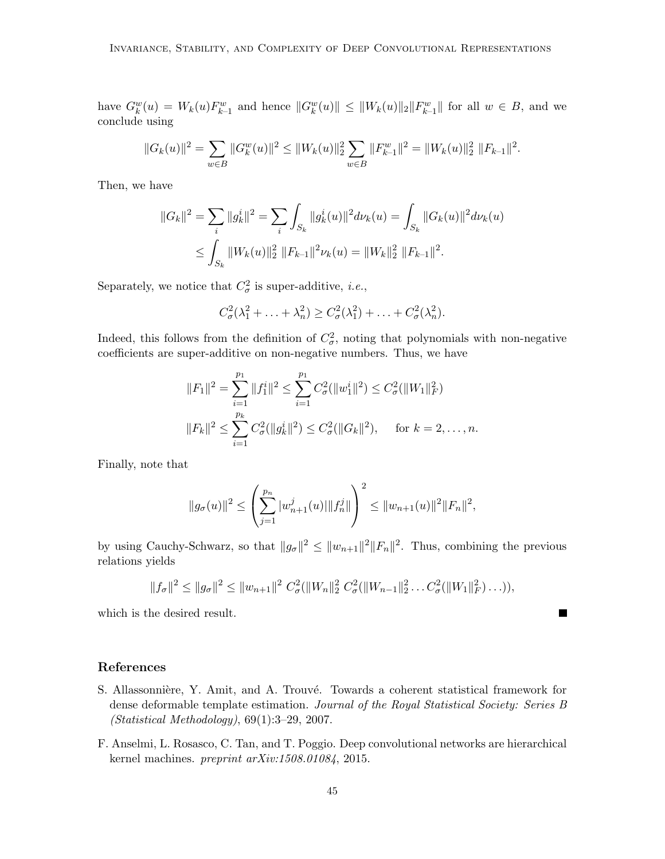have  $G_k^w(u) = W_k(u) F_{k-1}^w$  and hence  $||G_k^w(u)|| \le ||W_k(u)||_2 ||F_{k-1}^w||$  for all  $w \in B$ , and we conclude using

$$
||G_k(u)||^2 = \sum_{w \in B} ||G_k^w(u)||^2 \le ||W_k(u)||_2^2 \sum_{w \in B} ||F_{k-1}^w||^2 = ||W_k(u)||_2^2 ||F_{k-1}||^2.
$$

Then, we have

$$
||G_k||^2 = \sum_i ||g_k^i||^2 = \sum_i \int_{S_k} ||g_k^i(u)||^2 d\nu_k(u) = \int_{S_k} ||G_k(u)||^2 d\nu_k(u)
$$
  

$$
\leq \int_{S_k} ||W_k(u)||_2^2 ||F_{k-1}||^2 \nu_k(u) = ||W_k||_2^2 ||F_{k-1}||^2.
$$

Separately, we notice that  $C^2_{\sigma}$  is super-additive, *i.e.*,

$$
C_{\sigma}^2(\lambda_1^2 + \ldots + \lambda_n^2) \ge C_{\sigma}^2(\lambda_1^2) + \ldots + C_{\sigma}^2(\lambda_n^2).
$$

Indeed, this follows from the definition of  $C_{\sigma}^2$ , noting that polynomials with non-negative coefficients are super-additive on non-negative numbers. Thus, we have

$$
||F_1||^2 = \sum_{i=1}^{p_1} ||f_1^i||^2 \le \sum_{i=1}^{p_1} C_{\sigma}^2(||w_1^i||^2) \le C_{\sigma}^2(||W_1||_F^2)
$$
  

$$
||F_k||^2 \le \sum_{i=1}^{p_k} C_{\sigma}^2(||g_k^i||^2) \le C_{\sigma}^2(||G_k||^2), \quad \text{for } k = 2, ..., n.
$$

Finally, note that

$$
||g_{\sigma}(u)||^2 \le \left(\sum_{j=1}^{p_n} |w_{n+1}^j(u)| ||f_n^j||\right)^2 \le ||w_{n+1}(u)||^2 ||F_n||^2,
$$

by using Cauchy-Schwarz, so that  $||g_{\sigma}||^2 \le ||w_{n+1}||^2 ||F_n||^2$ . Thus, combining the previous relations yields

$$
||f_{\sigma}||^{2} \leq ||g_{\sigma}||^{2} \leq ||w_{n+1}||^{2} C_{\sigma}^{2}(||W_{n}||_{2}^{2} C_{\sigma}^{2}(||W_{n-1}||_{2}^{2} ... C_{\sigma}^{2}(||W_{1}||_{F}^{2}) ...)),
$$

 $\blacksquare$ 

which is the desired result.

# References

- <span id="page-44-1"></span>S. Allassonnière, Y. Amit, and A. Trouvé. Towards a coherent statistical framework for dense deformable template estimation. Journal of the Royal Statistical Society: Series B (Statistical Methodology), 69(1):3–29, 2007.
- <span id="page-44-0"></span>F. Anselmi, L. Rosasco, C. Tan, and T. Poggio. Deep convolutional networks are hierarchical kernel machines. preprint arXiv:1508.01084, 2015.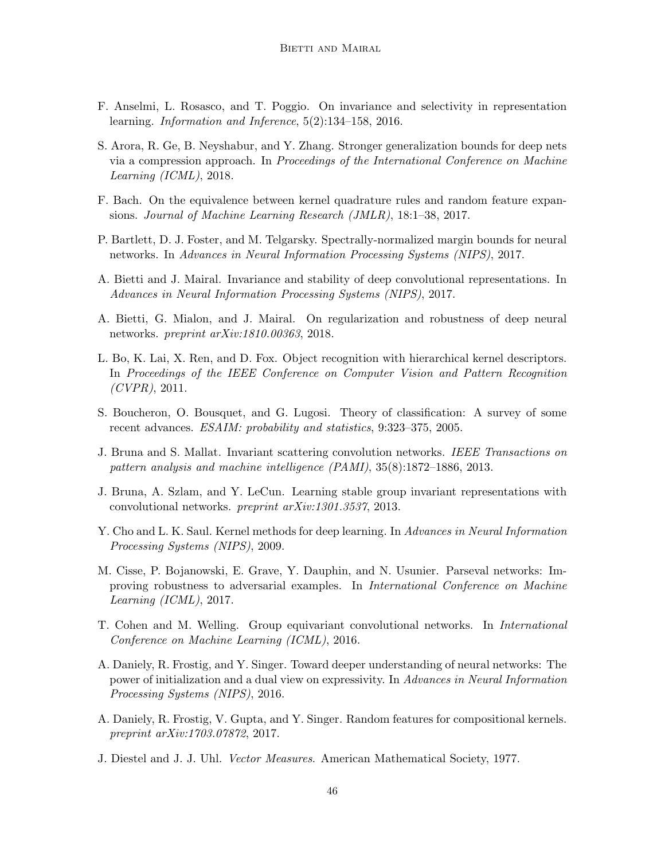- <span id="page-45-6"></span>F. Anselmi, L. Rosasco, and T. Poggio. On invariance and selectivity in representation learning. Information and Inference, 5(2):134–158, 2016.
- <span id="page-45-14"></span>S. Arora, R. Ge, B. Neyshabur, and Y. Zhang. Stronger generalization bounds for deep nets via a compression approach. In Proceedings of the International Conference on Machine Learning (ICML), 2018.
- <span id="page-45-12"></span>F. Bach. On the equivalence between kernel quadrature rules and random feature expansions. Journal of Machine Learning Research (JMLR), 18:1–38, 2017.
- <span id="page-45-3"></span>P. Bartlett, D. J. Foster, and M. Telgarsky. Spectrally-normalized margin bounds for neural networks. In Advances in Neural Information Processing Systems (NIPS), 2017.
- <span id="page-45-2"></span>A. Bietti and J. Mairal. Invariance and stability of deep convolutional representations. In Advances in Neural Information Processing Systems (NIPS), 2017.
- <span id="page-45-1"></span>A. Bietti, G. Mialon, and J. Mairal. On regularization and robustness of deep neural networks. preprint arXiv:1810.00363, 2018.
- <span id="page-45-8"></span>L. Bo, K. Lai, X. Ren, and D. Fox. Object recognition with hierarchical kernel descriptors. In Proceedings of the IEEE Conference on Computer Vision and Pattern Recognition  $(CVPR)$ , 2011.
- <span id="page-45-13"></span>S. Boucheron, O. Bousquet, and G. Lugosi. Theory of classification: A survey of some recent advances. ESAIM: probability and statistics, 9:323–375, 2005.
- <span id="page-45-0"></span>J. Bruna and S. Mallat. Invariant scattering convolution networks. IEEE Transactions on pattern analysis and machine intelligence (PAMI), 35(8):1872–1886, 2013.
- <span id="page-45-4"></span>J. Bruna, A. Szlam, and Y. LeCun. Learning stable group invariant representations with convolutional networks. preprint arXiv:1301.3537, 2013.
- <span id="page-45-7"></span>Y. Cho and L. K. Saul. Kernel methods for deep learning. In Advances in Neural Information Processing Systems (NIPS), 2009.
- <span id="page-45-15"></span>M. Cisse, P. Bojanowski, E. Grave, Y. Dauphin, and N. Usunier. Parseval networks: Improving robustness to adversarial examples. In International Conference on Machine Learning (ICML), 2017.
- <span id="page-45-5"></span>T. Cohen and M. Welling. Group equivariant convolutional networks. In International Conference on Machine Learning (ICML), 2016.
- <span id="page-45-9"></span>A. Daniely, R. Frostig, and Y. Singer. Toward deeper understanding of neural networks: The power of initialization and a dual view on expressivity. In Advances in Neural Information Processing Systems (NIPS), 2016.
- <span id="page-45-10"></span>A. Daniely, R. Frostig, V. Gupta, and Y. Singer. Random features for compositional kernels. preprint arXiv:1703.07872, 2017.
- <span id="page-45-11"></span>J. Diestel and J. J. Uhl. Vector Measures. American Mathematical Society, 1977.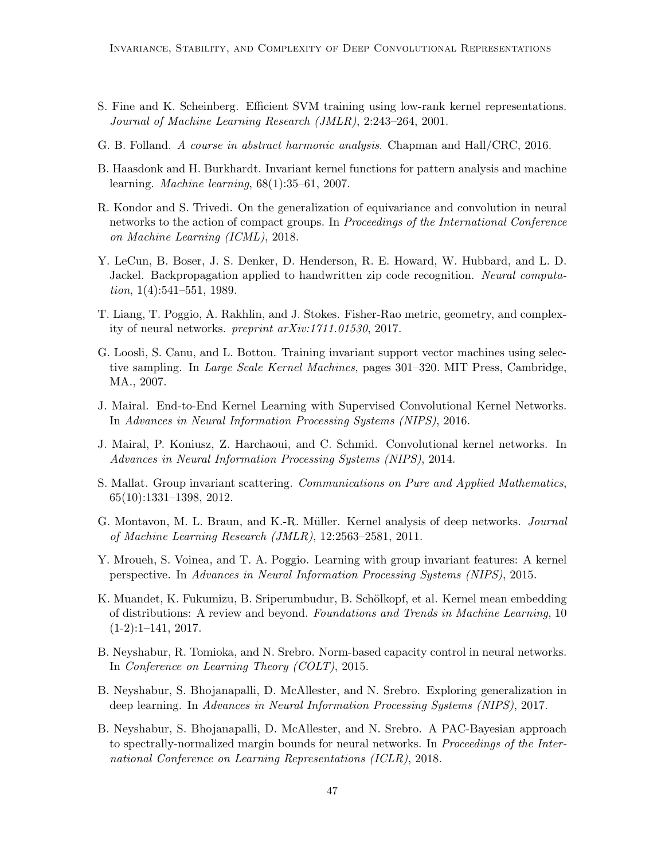- <span id="page-46-9"></span>S. Fine and K. Scheinberg. Efficient SVM training using low-rank kernel representations. Journal of Machine Learning Research (JMLR), 2:243–264, 2001.
- <span id="page-46-11"></span>G. B. Folland. A course in abstract harmonic analysis. Chapman and Hall/CRC, 2016.
- <span id="page-46-5"></span>B. Haasdonk and H. Burkhardt. Invariant kernel functions for pattern analysis and machine learning. Machine learning, 68(1):35–61, 2007.
- <span id="page-46-12"></span>R. Kondor and S. Trivedi. On the generalization of equivariance and convolution in neural networks to the action of compact groups. In Proceedings of the International Conference on Machine Learning (ICML), 2018.
- <span id="page-46-0"></span>Y. LeCun, B. Boser, J. S. Denker, D. Henderson, R. E. Howard, W. Hubbard, and L. D. Jackel. Backpropagation applied to handwritten zip code recognition. Neural computation,  $1(4):541-551$ , 1989.
- <span id="page-46-13"></span>T. Liang, T. Poggio, A. Rakhlin, and J. Stokes. Fisher-Rao metric, geometry, and complexity of neural networks. preprint arXiv:1711.01530, 2017.
- <span id="page-46-10"></span>G. Loosli, S. Canu, and L. Bottou. Training invariant support vector machines using selective sampling. In Large Scale Kernel Machines, pages 301–320. MIT Press, Cambridge, MA., 2007.
- <span id="page-46-2"></span>J. Mairal. End-to-End Kernel Learning with Supervised Convolutional Kernel Networks. In Advances in Neural Information Processing Systems (NIPS), 2016.
- <span id="page-46-3"></span>J. Mairal, P. Koniusz, Z. Harchaoui, and C. Schmid. Convolutional kernel networks. In Advances in Neural Information Processing Systems (NIPS), 2014.
- <span id="page-46-1"></span>S. Mallat. Group invariant scattering. *Communications on Pure and Applied Mathematics*, 65(10):1331–1398, 2012.
- <span id="page-46-7"></span>G. Montavon, M. L. Braun, and K.-R. Müller. Kernel analysis of deep networks. *Journal* of Machine Learning Research (JMLR), 12:2563–2581, 2011.
- <span id="page-46-6"></span>Y. Mroueh, S. Voinea, and T. A. Poggio. Learning with group invariant features: A kernel perspective. In Advances in Neural Information Processing Systems (NIPS), 2015.
- <span id="page-46-8"></span>K. Muandet, K. Fukumizu, B. Sriperumbudur, B. Schölkopf, et al. Kernel mean embedding of distributions: A review and beyond. Foundations and Trends in Machine Learning, 10  $(1-2):1-141, 2017.$
- <span id="page-46-15"></span>B. Neyshabur, R. Tomioka, and N. Srebro. Norm-based capacity control in neural networks. In Conference on Learning Theory (COLT), 2015.
- <span id="page-46-14"></span>B. Neyshabur, S. Bhojanapalli, D. McAllester, and N. Srebro. Exploring generalization in deep learning. In Advances in Neural Information Processing Systems (NIPS), 2017.
- <span id="page-46-4"></span>B. Neyshabur, S. Bhojanapalli, D. McAllester, and N. Srebro. A PAC-Bayesian approach to spectrally-normalized margin bounds for neural networks. In Proceedings of the International Conference on Learning Representations (ICLR), 2018.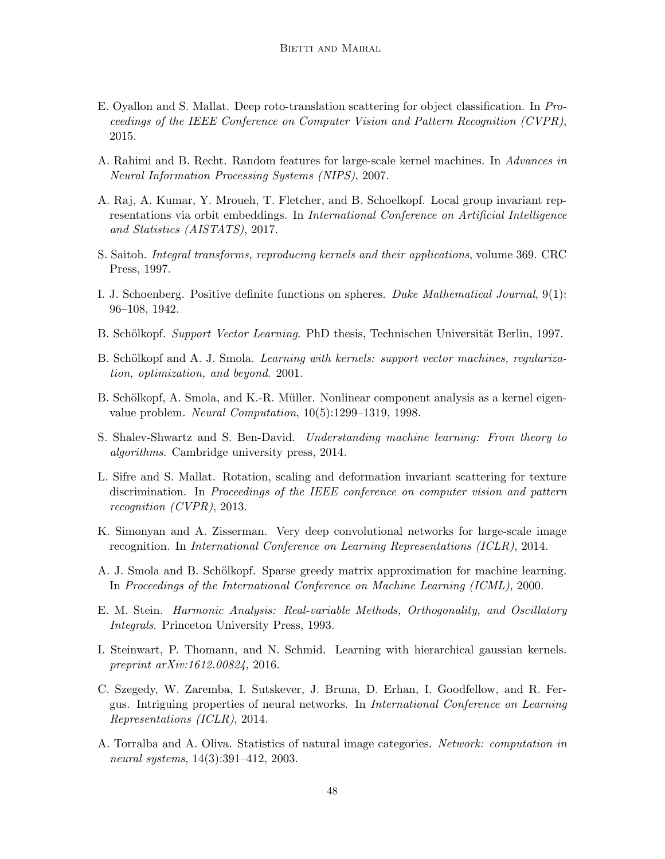- <span id="page-47-11"></span>E. Oyallon and S. Mallat. Deep roto-translation scattering for object classification. In Proceedings of the IEEE Conference on Computer Vision and Pattern Recognition (CVPR), 2015.
- <span id="page-47-8"></span>A. Rahimi and B. Recht. Random features for large-scale kernel machines. In Advances in Neural Information Processing Systems (NIPS), 2007.
- <span id="page-47-1"></span>A. Raj, A. Kumar, Y. Mroueh, T. Fletcher, and B. Schoelkopf. Local group invariant representations via orbit embeddings. In International Conference on Artificial Intelligence and Statistics (AISTATS), 2017.
- <span id="page-47-15"></span>S. Saitoh. Integral transforms, reproducing kernels and their applications, volume 369. CRC Press, 1997.
- <span id="page-47-6"></span>I. J. Schoenberg. Positive definite functions on spheres. Duke Mathematical Journal, 9(1): 96–108, 1942.
- <span id="page-47-4"></span>B. Schölkopf. Support Vector Learning. PhD thesis, Technischen Universität Berlin, 1997.
- <span id="page-47-0"></span>B. Schölkopf and A. J. Smola. *Learning with kernels: support vector machines, regulariza*tion, optimization, and beyond. 2001.
- <span id="page-47-3"></span>B. Schölkopf, A. Smola, and K.-R. Müller. Nonlinear component analysis as a kernel eigenvalue problem. Neural Computation, 10(5):1299–1319, 1998.
- <span id="page-47-12"></span>S. Shalev-Shwartz and S. Ben-David. Understanding machine learning: From theory to algorithms. Cambridge university press, 2014.
- <span id="page-47-2"></span>L. Sifre and S. Mallat. Rotation, scaling and deformation invariant scattering for texture discrimination. In Proceedings of the IEEE conference on computer vision and pattern recognition (CVPR), 2013.
- <span id="page-47-9"></span>K. Simonyan and A. Zisserman. Very deep convolutional networks for large-scale image recognition. In International Conference on Learning Representations (ICLR), 2014.
- <span id="page-47-7"></span>A. J. Smola and B. Schölkopf. Sparse greedy matrix approximation for machine learning. In Proceedings of the International Conference on Machine Learning (ICML), 2000.
- <span id="page-47-14"></span>E. M. Stein. Harmonic Analysis: Real-variable Methods, Orthogonality, and Oscillatory Integrals. Princeton University Press, 1993.
- <span id="page-47-5"></span>I. Steinwart, P. Thomann, and N. Schmid. Learning with hierarchical gaussian kernels. preprint arXiv:1612.00824, 2016.
- <span id="page-47-13"></span>C. Szegedy, W. Zaremba, I. Sutskever, J. Bruna, D. Erhan, I. Goodfellow, and R. Fergus. Intriguing properties of neural networks. In International Conference on Learning Representations (ICLR), 2014.
- <span id="page-47-10"></span>A. Torralba and A. Oliva. Statistics of natural image categories. Network: computation in neural systems, 14(3):391–412, 2003.